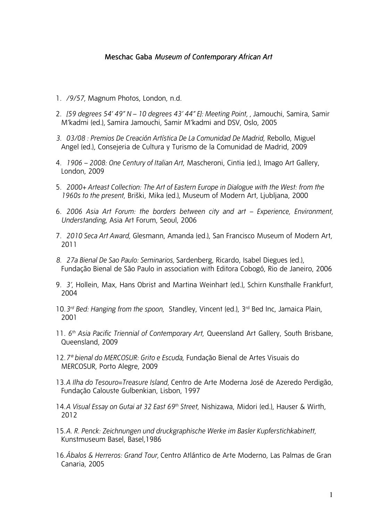## **Meschac Gaba** *Museum of Contemporary African Art*

- 1. */9/57,* Magnum Photos, London, n.d.
- 2. *[59 degrees 54' 49" N 10 degrees 43' 44" E]: Meeting Point, ,* Jamouchi, Samira, Samir M'kadmi (ed.), Samira Jamouchi, Samir M'kadmi and DSV, Oslo, 2005
- *3. 03/08 : Premios De Creación Artística De La Comunidad De Madrid*, Rebollo, Miguel Angel (ed.), Consejeria de Cultura y Turismo de la Comunidad de Madrid, 2009
- 4. *1906 2008: One Century of Italian Art*, Mascheroni, Cintia (ed.), Imago Art Gallery, London, 2009
- 5. *2000+ Arteast Collection: The Art of Eastern Europe in Dialogue with the West: from the 1960s to the present*, Briški, Mika (ed.), Museum of Modern Art, Ljubljana, 2000
- 6. *2006 Asia Art Forum: the borders between city and art Experience, Environment, Understanding*, Asia Art Forum, Seoul, 2006
- 7. *2010 Seca Art Award,* Glesmann, Amanda (ed.), San Francisco Museum of Modern Art, 2011
- *8. 27a Bienal De Sao Paulo: Seminarios,* Sardenberg, Ricardo, Isabel Diegues (ed.), Fundação Bienal de São Paulo in association with Editora Cobogó, Rio de Janeiro, 2006
- 9. *3'*, Hollein, Max, Hans Obrist and Martina Weinhart (ed.), Schirn Kunsthalle Frankfurt, 2004
- 10.*3 rd Bed: Hanging from the spoon*, Standley, Vincent (ed.), 3rd Bed Inc, Jamaica Plain, 2001
- 11. *6th Asia Pacific Triennial of Contemporary Art*, Queensland Art Gallery, South Brisbane, Queensland, 2009
- 12.*7ª bienal do MERCOSUR: Grito e Escuda*, Fundação Bienal de Artes Visuais do MERCOSUR, Porto Alegre, 2009
- 13.*A Ilha do Tesouro=Treasure Island,* Centro de Arte Moderna José de Azeredo Perdigão, Fundação Calouste Gulbenkian, Lisbon, 1997
- 14.*A Visual Essay on Gutai at 32 East 69th Street*, Nishizawa, Midori (ed.), Hauser & Wirth, 2012
- 15.*A. R. Penck: Zeichnungen und druckgraphische Werke im Basler Kupferstichkabinett,*  Kunstmuseum Basel, Basel,1986
- 16.*Ábalos & Herreros: Grand Tour,* Centro Atlántico de Arte Moderno, Las Palmas de Gran Canaria, 2005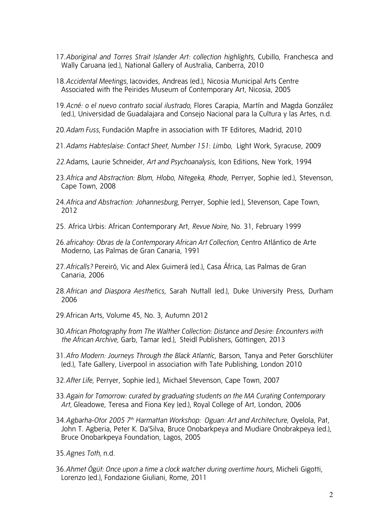- 17.*Aboriginal and Torres Strait Islander Art: collection highlights,* Cubillo, Franchesca and Wally Caruana (ed.), National Gallery of Australia, Canberra, 2010
- 18.*Accidental Meetings,* Iacovides, Andreas (ed.), Nicosia Municipal Arts Centre Associated with the Peirides Museum of Contemporary Art, Nicosia, 2005
- 19.*Acné: o el nuevo contrato social ilustrado,* Flores Carapia, Martín and Magda González (ed.), Universidad de Guadalajara and Consejo Nacional para la Cultura y las Artes, n.d.
- 20.*Adam Fuss,* Fundación Mapfre in association with TF Editores, Madrid, 2010
- 21.*Adams Habteslaise: Contact Sheet, Number 151*: *Limbo,* Light Work, Syracuse, 2009
- *22.*Adams, Laurie Schneider, *Art and Psychoanalysis*, Icon Editions, New York, 1994
- 23.*Africa and Abstraction: Blom, Hlobo, Nitegeka, Rhode*, Perryer, Sophie (ed.), Stevenson, Cape Town, 2008
- 24.*Africa and Abstraction: Johannesburg,* Perryer, Sophie (ed.), Stevenson, Cape Town, 2012
- 25. Africa Urbis: African Contemporary Art, *Revue Noire*, No. 31, February 1999
- 26.*africahoy: Obras de la Contemporary African Art Collection,* Centro Atlántico de Arte Moderno, Las Palmas de Gran Canaria, 1991
- 27.*Africalls?* Pereiró, Vic and Alex Guimerá (ed.), Casa África, Las Palmas de Gran Canaria, 2006
- 28.*African and Diaspora Aesthetics*, Sarah Nuttall (ed.), Duke University Press, Durham 2006
- 29.African Arts, Volume 45, No. 3, Autumn 2012
- 30.*African Photography from The Walther Collection: Distance and Desire: Encounters with the African Archive,* Garb, Tamar (ed.),Steidl Publishers, Göttingen, 2013
- 31.*Afro Modern: Journeys Through the Black Atlantic*, Barson, Tanya and Peter Gorschlüter (ed.), Tate Gallery, Liverpool in association with Tate Publishing, London 2010
- 32.*After Life*, Perryer, Sophie (ed.), Michael Stevenson, Cape Town, 2007
- 33.*Again for Tomorrow: curated by graduating students on the MA Curating Contemporary Art,* Gleadowe, Teresa and Fiona Key (ed.), Royal College of Art, London, 2006
- 34.*Agbarha-Otor 2005 7th Harmattan Workshop: Oguan: Art and Architecture,* Oyelola, Pat, John T. Agberia, Peter K. Da'Silva, Bruce Onobarkpeya and Mudiare Onobrakpeya (ed.), Bruce Onobarkpeya Foundation, Lagos, 2005
- 35.*Agnes Toth,* n.d.
- 36.*Ahmet Ögüt: Once upon a time a clock watcher during overtime hours,* Micheli Gigotti, Lorenzo (ed.), Fondazione Giuliani, Rome, 2011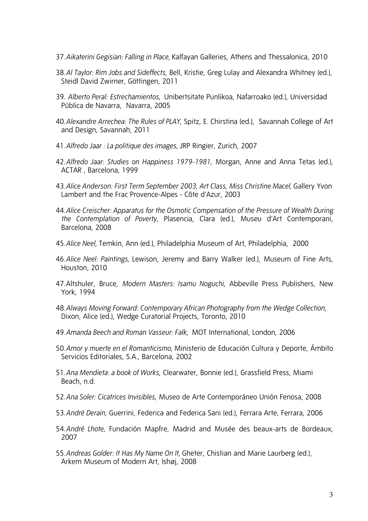- 37.*Aikaterini Gegisian: Falling in Place,* Kalfayan Galleries, Athens and Thessalonica, 2010
- 38.*Al Taylor: Rim Jobs and Sideffects*, Bell, Kristie, Greg Lulay and Alexandra Whitney (ed.), Steidl David Zwirner, Göttingen, 2011
- 39. *Alberto Peral: Estrechamientos*,Unibertsitate Punlikoa, Nafarroako (ed.), Universidad Pública de Navarra, Navarra, 2005
- 40.*Alexandre Arrechea: The Rules of PLAY*, Spitz, E. Chirstina (ed.), Savannah College of Art and Design, Savannah, 2011
- 41.*Alfredo Jaar : La politique des images,* JRP Ringier, Zurich, 2007
- 42.*Alfredo Jaar: Studies on Happiness 1979-1981*, Morgan, Anne and Anna Tetas (ed.), ACTAR , Barcelona, 1999
- 43.*Alice Anderson: First Term September 2003, Art Class, Miss Christine Macel,* Gallery Yvon Lambert and the Frac Provence-Alpes - Côte d'Azur, 2003
- 44.*Alice Creischer: Apparatus for the Osmotic Compensation of the Pressure of Wealth During the Contemplation of Poverty*, Plasencia, Clara (ed.), Museu d'Art Contemporani, Barcelona, 2008
- 45.*Alice Neel,* Temkin, Ann (ed.), Philadelphia Museum of Art, Philadelphia, 2000
- 46.*Alice Neel: Paintings,* Lewison, Jeremy and Barry Walker (ed.), Museum of Fine Arts, Houston, 2010
- 47.Altshuler, Bruce, *Modern Masters: Isamu Noguchi*, Abbeville Press Publishers, New York, 1994
- 48.*Always Moving Forward: Contemporary African Photography from the Wedge Collection*, Dixon, Alice (ed.), Wedge Curatorial Projects, Toronto, 2010
- 49.*Amanda Beech and Roman Vasseur: Falk,* MOT International, London, 2006
- 50.*Amor y muerte en el Romanticismo,* Ministerio de Educación Cultura y Deporte, Ámbito Servicios Editoriales, S.A., Barcelona, 2002
- 51.*Ana Mendieta: a book of Works*, Clearwater, Bonnie (ed.), Grassfield Press, Miami Beach, n.d.
- 52.*Ana Soler: Cicatrices Invisibles*, Museo de Arte Contemporáneo Unión Fenosa, 2008
- 53.*André Derain*, Guerrini, Federica and Federica Sani (ed.), Ferrara Arte, Ferrara, 2006
- 54.*André Lhote*, Fundación Mapfre, Madrid and Musée des beaux-arts de Bordeaux, 2007
- 55.*Andreas Golder: It Has My Name On It,* Gheter, Chistian and Marie Laurberg (ed.), Arkem Museum of Modern Art, Ishøj, 2008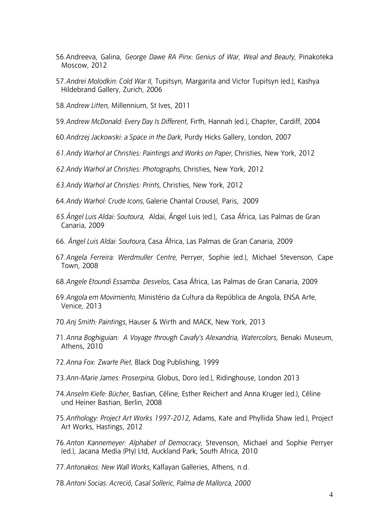- 56.Andreeva, Galina, *George Dawe RA Pinx: Genius of War, Weal and Beauty*, Pinakoteka Moscow, 2012
- 57.*Andrei Molodkin: Cold War II*, Tupitsyn, Margarita and Victor Tupitsyn (ed.), Kashya Hildebrand Gallery, Zurich, 2006
- 58.*Andrew Litten*, Millennium, St Ives, 2011
- 59.*Andrew McDonald: Every Day Is Different*, Firth, Hannah (ed.), Chapter, Cardiff, 2004
- 60.*Andrzej Jackowski: a Space in the Dark*, Purdy Hicks Gallery, London, 2007
- *61.Andy Warhol at Christies: Paintings and Works on Paper,* Christies, New York, 2012
- *62.Andy Warhol at Christies: Photographs,* Christies, New York, 2012
- *63.Andy Warhol at Christies: Prints,* Christies, New York, 2012
- 64.*Andy Warhol: Crude Icons,* Galerie Chantal Crousel, Paris, 2009
- *65.Ángel Luis Aldai: Soutoura,* Aldai, Ángel Luis (ed.),Casa África, Las Palmas de Gran Canaria, 2009
- 66. *Ángel Luis Aldai: Soutoura,* Casa África, Las Palmas de Gran Canaria, 2009
- 67.*Angela Ferreira: Werdmuller Centre,* Perryer, Sophie (ed.), Michael Stevenson, Cape Town, 2008
- 68.*Angele Etoundi Essamba*: *Desvelos*, Casa África, Las Palmas de Gran Canaria, 2009
- 69.*Angola em Movimiento,* Ministério da Cultura da República de Angola*,* ENSA Arte, Venice, 2013
- 70.*Anj Smith: Paintings,* Hauser & Wirth and MACK, New York, 2013
- 71.*Anna Boghiguian: A Voyage through Cavafy's Alexandria, Watercolors*, Benaki Museum, Athens, 2010
- 72.*Anna Fox*: *Zwarte Piet*, Black Dog Publishing, 1999
- 73.*Ann-Marie James: Proserpina*, Globus, Doro (ed.), Ridinghouse, London 2013
- 74.*Anselm Kiefe: Bücher*, Bastian, Céline, Esther Reichert and Anna Kruger (ed.), Céline und Heiner Bastian, Berlin, 2008
- 75.*Anthology: Project Art Works 1997-2012*, Adams, Kate and Phyllida Shaw (ed.), Project Art Works, Hastings, 2012
- 76.*Anton Kannemeyer: Alphabet of Democracy,* Stevenson, Michael and Sophie Perryer (ed.), Jacana Media (Pty) Ltd, Auckland Park, South Africa, 2010
- 77.*Antonakos: New Wall Works,* Kalfayan Galleries, Athens, n.d.
- 78.*Antoni Socias: Acreció, Casal Solleric, Palma de Mallorca, 2000*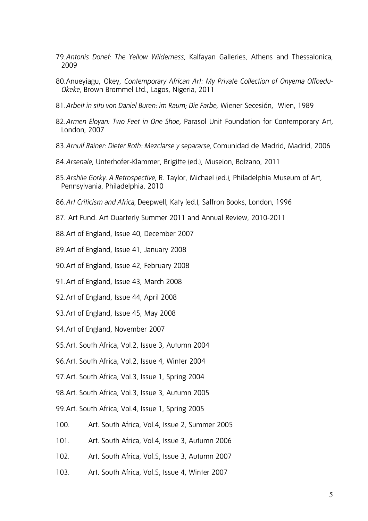- 79.*Antonis Donef: The Yellow Wilderness*, Kalfayan Galleries, Athens and Thessalonica, 2009
- 80.Anueyiagu, Okey, *Contemporary African Art: My Private Collection of Onyema Offoedu-Okeke,* Brown Brommel Ltd., Lagos, Nigeria, 2011
- 81.*Arbeit in situ von Daniel Buren: im Raum; Die Farbe*, Wiener Secesión, Wien, 1989
- 82.*Armen Eloyan: Two Feet in One Shoe,* Parasol Unit Foundation for Contemporary Art, London, 2007
- 83.*Arnulf Rainer: Dieter Roth: Mezclarse y separarse,* Comunidad de Madrid, Madrid, 2006
- 84.*Arsenale*, Unterhofer-Klammer, Brigitte (ed.), Museion, Bolzano, 2011
- 85.*Arshile Gorky. A Retrospective*, R. Taylor, Michael (ed.), Philadelphia Museum of Art, Pennsylvania, Philadelphia, 2010
- 86.*Art Criticism and Africa,* Deepwell, Katy (ed.), Saffron Books, London, 1996
- 87. Art Fund. Art Quarterly Summer 2011 and Annual Review, 2010-2011
- 88.Art of England, Issue 40, December 2007
- 89.Art of England, Issue 41, January 2008
- 90.Art of England, Issue 42, February 2008
- 91.Art of England, Issue 43, March 2008
- 92.Art of England, Issue 44, April 2008
- 93.Art of England, Issue 45, May 2008
- 94.Art of England, November 2007
- 95.Art. South Africa, Vol.2, Issue 3, Autumn 2004
- 96.Art. South Africa, Vol.2, Issue 4, Winter 2004
- 97.Art. South Africa, Vol.3, Issue 1, Spring 2004
- 98.Art. South Africa, Vol.3, Issue 3, Autumn 2005
- 99.Art. South Africa, Vol.4, Issue 1, Spring 2005
- 100. Art. South Africa, Vol.4, Issue 2, Summer 2005
- 101. Art. South Africa, Vol.4, Issue 3, Autumn 2006
- 102. Art. South Africa, Vol.5, Issue 3, Autumn 2007
- 103. Art. South Africa, Vol.5, Issue 4, Winter 2007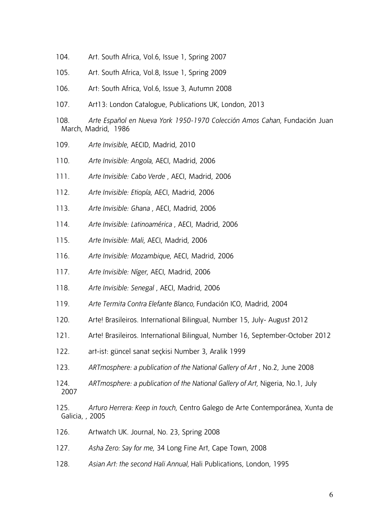- 104. Art. South Africa, Vol.6, Issue 1, Spring 2007
- 105. Art. South Africa, Vol.8, Issue 1, Spring 2009
- 106. Art: South Africa, Vol.6, Issue 3, Autumn 2008
- 107. Art13: London Catalogue, Publications UK, London, 2013
- 108. *Arte Español en Nueva York 1950-1970 Colección Amos Cahan, Fundación Juan* March, Madrid, 1986
- 109. *Arte Invisible*, AECID, Madrid, 2010
- 110. *Arte Invisible: Angola*, AECI, Madrid, 2006
- 111. *Arte Invisible: Cabo Verde* , AECI, Madrid, 2006
- 112. *Arte Invisible: Etiopía*, AECI, Madrid, 2006
- 113. *Arte Invisible: Ghana* , AECI, Madrid, 2006
- 114. *Arte Invisible: Latinoamérica* , AECI, Madrid, 2006
- 115. *Arte Invisible: Mali*, AECI, Madrid, 2006
- 116. *Arte Invisible: Mozambique*, AECI, Madrid, 2006
- 117. *Arte Invisible: Níger*, AECI, Madrid, 2006
- 118. *Arte Invisible: Senegal* , AECI, Madrid, 2006
- 119. *Arte Termita Contra Elefante Blanco,* Fundación ICO, Madrid, 2004
- 120. Arte! Brasileiros. International Bilingual, Number 15, July- August 2012
- 121. Arte! Brasileiros. International Bilingual, Number 16, September-October 2012
- 122. art-ist: güncel sanat seçkisi Number 3, Aralik 1999
- 123. *ARTmosphere: a publication of the National Gallery of Art* , No.2, June 2008
- 124. *ARTmosphere: a publication of the National Gallery of Art,* Nigeria, No.1, July 2007
- 125. *Arturo Herrera: Keep in touch*, Centro Galego de Arte Contemporánea, Xunta de Galicia, , 2005
- 126. Artwatch UK. Journal, No. 23, Spring 2008
- 127. *Asha Zero: Say for me*, 34 Long Fine Art, Cape Town, 2008
- 128. *Asian Art: the second Hali Annual,* Hali Publications, London, 1995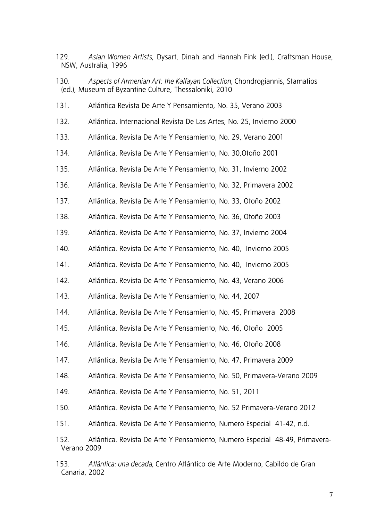129. *Asian Women Artists*, Dysart, Dinah and Hannah Fink (ed.), Craftsman House, NSW, Australia, 1996

130. *Aspects of Armenian Art: the Kalfayan Collection,* Chondrogiannis, Stamatios (ed.), Museum of Byzantine Culture, Thessaloniki, 2010

- 131. Atlántica Revista De Arte Y Pensamiento, No. 35, Verano 2003
- 132. Atlántica. Internacional Revista De Las Artes, No. 25, Invierno 2000
- 133. Atlántica. Revista De Arte Y Pensamiento, No. 29, Verano 2001
- 134. Atlántica. Revista De Arte Y Pensamiento, No. 30,Otoño 2001
- 135. Atlántica. Revista De Arte Y Pensamiento, No. 31, Invierno 2002
- 136. Atlántica. Revista De Arte Y Pensamiento, No. 32, Primavera 2002
- 137. Atlántica. Revista De Arte Y Pensamiento, No. 33, Otoño 2002
- 138. Atlántica. Revista De Arte Y Pensamiento, No. 36, Otoño 2003
- 139. Atlántica. Revista De Arte Y Pensamiento, No. 37, Invierno 2004
- 140. Atlántica. Revista De Arte Y Pensamiento, No. 40, Invierno 2005
- 141. Atlántica. Revista De Arte Y Pensamiento, No. 40, Invierno 2005
- 142. Atlántica. Revista De Arte Y Pensamiento, No. 43, Verano 2006
- 143. Atlántica. Revista De Arte Y Pensamiento, No. 44, 2007
- 144. Atlántica. Revista De Arte Y Pensamiento, No. 45, Primavera 2008
- 145. Atlántica. Revista De Arte Y Pensamiento, No. 46, Otoño 2005
- 146. Atlántica. Revista De Arte Y Pensamiento, No. 46, Otoño 2008
- 147. Atlántica. Revista De Arte Y Pensamiento, No. 47, Primavera 2009
- 148. Atlántica. Revista De Arte Y Pensamiento, No. 50, Primavera-Verano 2009
- 149. Atlántica. Revista De Arte Y Pensamiento, No. 51, 2011
- 150. Atlántica. Revista De Arte Y Pensamiento, No. 52 Primavera-Verano 2012
- 151. Atlántica. Revista De Arte Y Pensamiento, Numero Especial 41-42, n.d.

152. Atlántica. Revista De Arte Y Pensamiento, Numero Especial 48-49, Primavera-Verano 2009

153. *Atlántica: una decada,* Centro Atlántico de Arte Moderno, Cabildo de Gran Canaria, 2002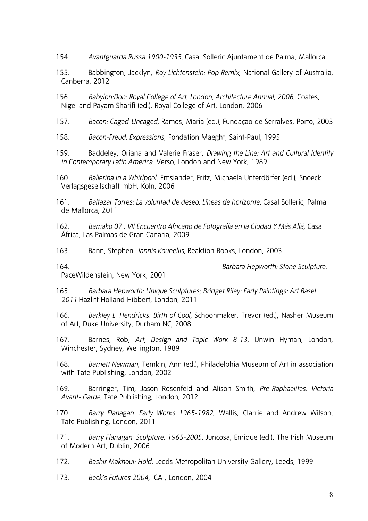154. *Avantguarda Russa 1900-1935,* Casal Solleric Ajuntament de Palma, Mallorca

- 155. Babbington, Jacklyn, *Roy Lichtenstein: Pop Remix*, National Gallery of Australia, Canberra, 2012
- 156. *Babylon:Don: Royal College of Art, London, Architecture Annual, 2006,* Coates, Nigel and Payam Sharifi (ed.), Royal College of Art, London, 2006
- 157. *Bacon: Caged-Uncaged,* Ramos, Maria (ed.), Fundação de Serralves, Porto, 2003
- 158. *Bacon-Freud: Expressions*, Fondation Maeght, Saint-Paul, 1995
- 159. Baddeley, Oriana and Valerie Fraser, *Drawing the Line: Art and Cultural Identity in Contemporary Latin America*, Verso, London and New York, 1989
- 160. *Ballerina in a Whirlpool*, Emslander, Fritz, Michaela Unterdörfer (ed.), Snoeck Verlagsgesellschaft mbH, Koln, 2006
- 161. *Baltazar Torres: La voluntad de deseo: Líneas de horizonte,* Casal Solleric, Palma de Mallorca, 2011
- 162. *Bamako 07 : VII Encuentro Africano de Fotografía en la Ciudad Y Más Allá,* Casa África, Las Palmas de Gran Canaria, 2009
- 163. Bann, Stephen, *Jannis Kounellis,* Reaktion Books, London, 2003

164. *Barbara Hepworth: Stone Sculpture,* 

PaceWildenstein, New York, 2001

- 165. *Barbara Hepworth: Unique Sculptures; Bridget Riley: Early Paintings: Art Basel 2011* Hazlitt Holland-Hibbert, London, 2011
- 166. *Barkley L. Hendricks: Birth of Cool,* Schoonmaker, Trevor (ed.), Nasher Museum of Art, Duke University, Durham NC, 2008
- 167. Barnes, Rob, *Art, Design and Topic Work 8-13*, Unwin Hyman, London, Winchester, Sydney, Wellington, 1989
- 168. *Barnett Newman*, Temkin, Ann (ed.), Philadelphia Museum of Art in association with Tate Publishing, London, 2002
- 169. Barringer, Tim, Jason Rosenfeld and Alison Smith, *Pre-Raphaelites: Victoria Avant- Garde,* Tate Publishing, London, 2012
- 170. *Barry Flanagan: Early Works 1965-1982*, Wallis, Clarrie and Andrew Wilson, Tate Publishing, London, 2011
- 171. *Barry Flanagan: Sculpture: 1965-2005,* Juncosa, Enrique (ed.), The Irish Museum of Modern Art, Dublin, 2006
- 172. *Bashir Makhoul: Hold,* Leeds Metropolitan University Gallery, Leeds, 1999
- 173. *Beck's Futures 2004*, ICA , London, 2004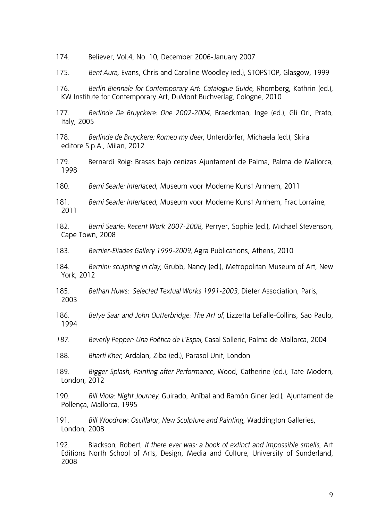- 174. Believer, Vol.4, No. 10, December 2006-January 2007
- 175. *Bent Aura,* Evans, Chris and Caroline Woodley (ed.), STOPSTOP, Glasgow, 1999
- 176. *Berlin Biennale for Contemporary Art*: *Catalogue Guide*, Rhomberg, Kathrin (ed.), KW Institute for Contemporary Art, DuMont Buchverlag, Cologne, 2010
- 177. *Berlinde De Bruyckere: One 2002-2004*, Braeckman, Inge (ed.), Gli Ori, Prato, Italy, 2005
- 178. *Berlinde de Bruyckere: Romeu my deer*, Unterdörfer, Michaela (ed.), Skira editore S.p.A., Milan, 2012
- 179. Bernardì Roig: Brasas bajo cenizas Ajuntament de Palma, Palma de Mallorca, 1998
- 180. *Berni Searle: Interlaced*, Museum voor Moderne Kunst Arnhem, 2011
- 181. *Berni Searle: Interlaced*, Museum voor Moderne Kunst Arnhem, Frac Lorraine, 2011
- 182. *Berni Searle: Recent Work 2007-2008,* Perryer, Sophie (ed.), Michael Stevenson, Cape Town, 2008
- 183. *Bernier-Eliades Gallery 1999-2009,* Agra Publications, Athens, 2010
- 184. *Bernini: sculpting in clay*, Grubb, Nancy (ed.), Metropolitan Museum of Art, New York, 2012
- 185. *Bethan Huws: Selected Textual Works 1991-2003,* Dieter Association, Paris, 2003
- 186. *Betye Saar and John Outterbridge: The Art of,* Lizzetta LeFalle-Collins, Sao Paulo, 1994
- *187. Beverly Pepper: Una Poètica de L'Espai,* Casal Solleric, Palma de Mallorca, 2004
- 188. *Bharti Kher*, Ardalan, Ziba (ed.), Parasol Unit, London
- 189. *Bigger Splash, Painting after Performance,* Wood, Catherine (ed.), Tate Modern, London, 2012
- 190. *Bill Viola: Night Journey,* Guirado, Aníbal and Ramón Giner (ed.), Ajuntament de Pollença, Mallorca, 1995
- 191. *Bill Woodrow: Oscillator, New Sculpture and Painting*, Waddington Galleries, London, 2008
- 192. Blackson, Robert, *If there ever was: a book of extinct and impossible smells,* Art Editions North School of Arts, Design, Media and Culture, University of Sunderland, 2008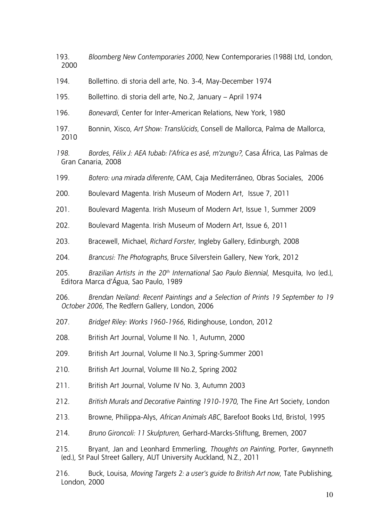- 193. *Bloomberg New Contemporaries 2000,* New Contemporaries (1988) Ltd, London, 2000
- 194. Bollettino. di storia dell arte, No. 3-4, May-December 1974
- 195. Bollettino. di storia dell arte, No.2, January April 1974
- 196. *Bonevardi*, Center for Inter-American Relations, New York, 1980
- 197. Bonnin, Xisco*, Art Show: Translúcids,* Consell de Mallorca, Palma de Mallorca, 2010
- *198. Bordes, Félix J: AEA tubab: l'Africa es asé, m'zungu?,* Casa África, Las Palmas de Gran Canaria, 2008
- 199. *Botero: una mirada diferente,* CAM, Caja Mediterráneo, Obras Sociales, 2006
- 200. Boulevard Magenta. Irish Museum of Modern Art, Issue 7, 2011
- 201. Boulevard Magenta. Irish Museum of Modern Art, Issue 1, Summer 2009
- 202. Boulevard Magenta. Irish Museum of Modern Art, Issue 6, 2011
- 203. Bracewell, Michael, *Richard Forster*, Ingleby Gallery, Edinburgh, 2008
- 204. *Brancusi: The Photographs,* Bruce Silverstein Gallery, New York, 2012
- 205. *Brazilian Artists in the 20th International Sao Paulo Biennial*, Mesquita, Ivo (ed.), Editora Marca d'Água, Sao Paulo, 1989
- 206. *Brendan Neiland: Recent Paintings and a Selection of Prints 19 September to 19 October 2006,* The Redfern Gallery, London, 2006
- 207. *Bridget Riley: Works 1960-1966*, Ridinghouse, London, 2012
- 208. British Art Journal, Volume II No. 1, Autumn, 2000
- 209. British Art Journal, Volume II No.3, Spring-Summer 2001
- 210. British Art Journal, Volume III No.2, Spring 2002
- 211. British Art Journal, Volume IV No. 3, Autumn 2003
- 212. *British Murals and Decorative Painting 1910-1970*, The Fine Art Society, London
- 213. Browne, Philippa-Alys, *African Animals ABC,* Barefoot Books Ltd, Bristol, 1995
- 214. *Bruno Gironcoli: 11 Skulpturen*, Gerhard-Marcks-Stiftung, Bremen, 2007
- 215. Bryant, Jan and Leonhard Emmerling, *Thoughts on Painting*, Porter, Gwynneth (ed.), St Paul Street Gallery, AUT University Auckland, N.Z., 2011
- 216. Buck, Louisa, *Moving Targets 2: a user's guide to British Art now*, Tate Publishing, London, 2000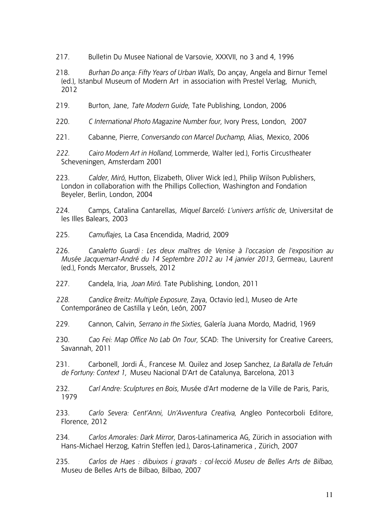- 217. Bulletin Du Musee National de Varsovie, XXXVII, no 3 and 4, 1996
- 218. *Burhan Do ança: Fifty Years of Urban Walls*, Do ançay, Angela and Birnur Temel (ed.), Istanbul Museum of Modern Art in association with Prestel Verlag, Munich, 2012
- 219. Burton, Jane, *Tate Modern Guide*, Tate Publishing, London, 2006
- 220. *C International Photo Magazine Number four,* Ivory Press, London, 2007
- 221. Cabanne, Pierre*, Conversando con Marcel Duchamp*, Alias, Mexico, 2006
- *222. Cairo Modern Art in Holland,* Lommerde, Walter (ed.), Fortis Circustheater Scheveningen, Amsterdam 2001
- 223. *Calder, Miró*, Hutton, Elizabeth, Oliver Wick (ed.), Philip Wilson Publishers, London in collaboration with the Phillips Collection, Washington and Fondation Beyeler, Berlin, London, 2004
- 224. Camps, Catalina Cantarellas, *Miquel Barceló: L'univers artístic de*, Universitat de les Illes Balears, 2003
- 225. *Camuflajes*, La Casa Encendida, Madrid, 2009
- 226. *Canaletto Guardi : Les deux maîtres de Venise à l'occasion de l'exposition au Musée Jacquemart-André du 14 Septembre 2012 au 14 janvier 2013,* Germeau, Laurent (ed.), Fonds Mercator, Brussels, 2012
- 227. Candela, Iria, *Joan Miró*. Tate Publishing, London, 2011
- *228. Candice Breitz: Multiple Exposure,* Zaya, Octavio (ed.), Museo de Arte Contemporáneo de Castilla y León, León, 2007
- 229. Cannon, Calvin, *Serrano in the Sixties*, Galería Juana Mordo, Madrid, 1969
- 230. *Cao Fei: Map Office No Lab On Tour,* SCAD: The University for Creative Careers, Savannah, 2011
- 231. Carbonell, Jordi Á., Francese M. Quilez and Josep Sanchez, *La Batalla de Tetuán de Fortuny: Context 1,* Museu Nacional D'Art de Catalunya, Barcelona, 2013
- 232. *Carl Andre: Sculptures en Bois,* Musée d'Art moderne de la Ville de Paris, Paris, 1979
- 233. *Carlo Severa: Cent'Anni, Un'Avventura Creativa,* Angleo Pontecorboli Editore, Florence, 2012
- 234. *Carlos Amorales: Dark Mirror*, Daros-Latinamerica AG, Zürich in association with Hans-Michael Herzog, Katrin Steffen (ed.), Daros-Latinamerica , Zürich, 2007
- 235. *Carlos de Haes : dibuixos i gravats : col·lecció Museu de Belles Arts de Bilbao,*  Museu de Belles Arts de Bilbao, Bilbao, 2007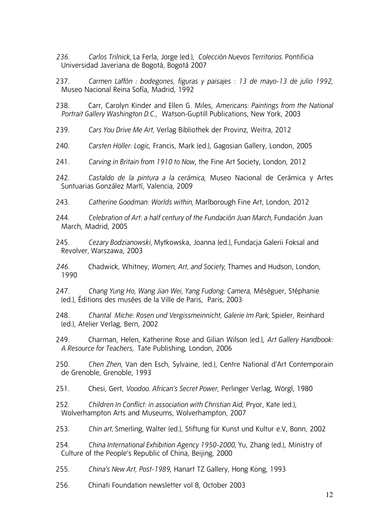- *236. Carlos Trilnick,* La Ferla, Jorge (ed.), *Colección Nuevos Territorios.* Pontificia Universidad Javeriana de Bogotá, Bogotá 2007
- 237. *Carmen Laffón : bodegones, figuras y paisajes : 13 de mayo-13 de julio 1992*, Museo Nacional Reina Sofía, Madrid, 1992
- 238. Carr, Carolyn Kinder and Ellen G. Miles, *Americans: Paintings from the National Portrait Gallery Washington D.C.,* Watson-Guptill Publications, New York, 2003
- 239. *Cars You Drive Me Art*, Verlag Bibliothek der Provinz, Weitra, 2012
- 240. *Carsten Höller: Logic*, Francis, Mark (ed.), Gagosian Gallery, London, 2005
- 241. *Carving in Britain from 1910 to Now*, the Fine Art Society, London, 2012
- 242. *Castaldo de la pintura a la cerámica*, Museo Nacional de Cerámica y Artes Suntuarias González Martí, Valencia, 2009
- 243. *Catherine Goodman: Worlds within,* Marlborough Fine Art, London, 2012
- 244. *Celebration of Art: a half century of the Fundación Juan March,* Fundación Juan March, Madrid, 2005
- 245. *Cezary Bodzianowski,* Mytkowska, Joanna (ed.), Fundacja Galerii Foksal and Revolver*,* Warszawa, 2003
- *246.* Chadwick, Whitney, *Women, Art, and Society,* Thames and Hudson, London, 1990
- 247. *Chang Yung Ho, Wang Jian Wei, Yang Fudong: Camera*, Méséguer, Stéphanie (ed.), Éditions des musées de la Ville de Paris, Paris, 2003
- 248. *Chantal Miche: Rosen und Vergissmeinnicht, Galerie Im Park,* Spieler, Reinhard (ed.), Atelier Verlag, Bern, 2002
- 249. Charman, Helen, Katherine Rose and Gilian Wilson (ed.), *Art Gallery Handbook: A Resource for Teachers,* Tate Publishing, London, 2006
- 250. *Chen Zhen*, Van den Esch, Sylvaine, (ed.), Centre National d'Art Contemporain de Grenoble, Grenoble, 1993
- 251. Chesi, Gert, *Voodoo. African's Secret Power*, Perlinger Verlag, Wörgl, 1980
- 252. *Children In Conflict: in association with Christian Aid*, Pryor, Kate (ed.), Wolverhampton Arts and Museums, Wolverhampton, 2007
- 253. *Chin art,* Smerling, Walter (ed.), Stiftung für Kunst und Kultur e.V, Bonn, 2002
- 254. *China International Exhibition Agency 1950-2000,* Yu, Zhang (ed.), Ministry of Culture of the People's Republic of China, Beijing, 2000
- 255. *China's New Art, Post-1989*, Hanart TZ Gallery, Hong Kong, 1993
- 256. Chinati Foundation newsletter vol 8, October 2003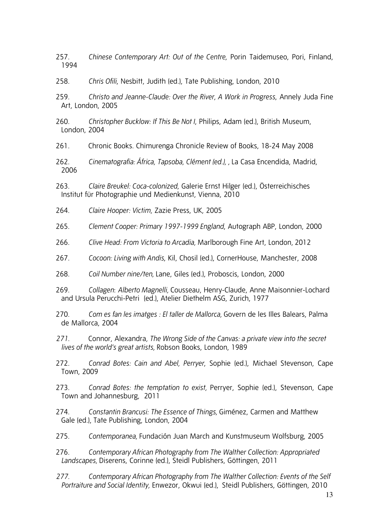257. *Chinese Contemporary Art: Out of the Centre*, Porin Taidemuseo, Pori, Finland, 1994

258. *Chris Ofili*, Nesbitt, Judith (ed.), Tate Publishing, London, 2010

259. *Christo and Jeanne-Claude: Over the River, A Work in Progress*, Annely Juda Fine Art, London, 2005

- 260. *Christopher Bucklow: If This Be Not I*, Philips, Adam (ed.), British Museum, London, 2004
- 261. Chronic Books. Chimurenga Chronicle Review of Books, 18-24 May 2008
- 262. *Cinematografia: África, Tapsoba, Clément (ed.), ,* La Casa Encendida, Madrid, 2006
- 263. *Claire Breukel: Coca-colonized*, Galerie Ernst Hilger (ed.), Österreichisches Institut für Photographie und Medienkunst, Vienna, 2010
- 264. *Claire Hooper: Victim,* Zazie Press, UK, 2005
- 265. *Clement Cooper: Primary 1997-1999 England*, Autograph ABP, London, 2000
- 266. *Clive Head: From Victoria to Arcadia,* Marlborough Fine Art, London*,* 2012
- 267. *Cocoon: Living with Andis*, Kil, Chosil (ed.), CornerHouse, Manchester, 2008
- 268. *Coil Number nine/ten,* Lane, Giles (ed.), Proboscis, London, 2000
- 269. *Collagen*: *Alberto Magnelli,* Cousseau, Henry-Claude, Anne Maisonnier-Lochard and Ursula Perucchi-Petri (ed.), Atelier Diethelm ASG, Zurich, 1977
- 270. *Com es fan les imatges : El taller de Mallorca,* Govern de les Illes Balears, Palma de Mallorca, 2004
- *271.* Connor, Alexandra*, The Wrong Side of the Canvas: a private view into the secret lives of the world's great artists,* Robson Books, London, 1989

272. *Conrad Botes: Cain and Abel, Perryer*, Sophie (ed.), Michael Stevenson, Cape Town, 2009

- 273. *Conrad Botes: the temptation to exist,* Perryer, Sophie (ed.), Stevenson, Cape Town and Johannesburg, 2011
- 274. *Constantin Brancusi: The Essence of Things,* Giménez, Carmen and Matthew Gale (ed.), Tate Publishing, London, 2004
- 275. *Contemporanea,* Fundación Juan March and Kunstmuseum Wolfsburg, 2005
- 276. *Contemporary African Photography from The Walther Collection: Appropriated Landscapes,* Diserens, Corinne (ed.), Steidl Publishers, Göttingen, 2011
- *277. Contemporary African Photography from The Walther Collection: Events of the Self Portraiture and Social Identity,* Enwezor, Okwui (ed.),Steidl Publishers, Göttingen, 2010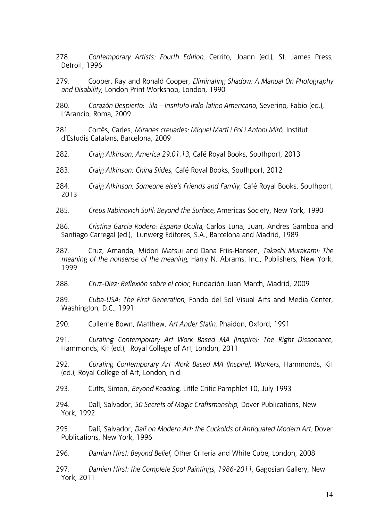278. *Contemporary Artists: Fourth Edition,* Cerrito, Joann (ed.), St. James Press, Detroit, 1996

279. Cooper, Ray and Ronald Cooper, *Eliminating Shadow: A Manual On Photography and Disability*, London Print Workshop, London, 1990

280. *Corazón Despierto*: *iila – Instituto Italo-latino Americano*, Severino, Fabio (ed.), L'Arancio, Roma, 2009

281. Cortés, Carles, *Mirades creuades: Miquel Martí i Pol i Antoni Miró*, Institut d'Estudis Catalans, Barcelona, 2009

282. *Craig Atkinson: America 29.01.13*, Café Royal Books, Southport, 2013

283. *Craig Atkinson: China Slides*, Café Royal Books, Southport, 2012

284. *Craig Atkinson: Someone else's Friends and Family*, Café Royal Books, Southport, 2013

285. *Creus Rabinovich Sutil: Beyond the Surface,* Americas Society, New York, 1990

286. *Cristina García Rodero: España Oculta,* Carlos Luna, Juan, Andrés Gamboa and Santiago Carregal (ed.), Lunwerg Editores, S.A., Barcelona and Madrid, 1989

287. Cruz, Amanda, Midori Matsui and Dana Friis-Hansen, *Takashi Murakami: The meaning of the nonsense of the meaning,* Harry N. Abrams, Inc., Publishers, New York, 1999

288. *Cruz-Diez: Reflexión sobre el color,* Fundación Juan March, Madrid, 2009

289. *Cuba-USA: The First Generation*, Fondo del Sol Visual Arts and Media Center, Washington, D.C., 1991

290. Cullerne Bown, Matthew, *Art Ander Stalin*, Phaidon, Oxford, 1991

291. *Curating Contemporary Art Work Based MA (Inspire): The Right Dissonance*, Hammonds, Kit (ed.), Royal College of Art, London, 2011

292. *Curating Contemporary Art Work Based MA (Inspire): Workers,* Hammonds, Kit (ed.), Royal College of Art, London, n.d.

293. Cutts, Simon, *Beyond Reading*, Little Critic Pamphlet 10, July 1993

294. Dalí, Salvador, *50 Secrets of Magic Craftsmanship*, Dover Publications, New York, 1992

295. Dalí, Salvador, *Dalí on Modern Art: the Cuckolds of Antiquated Modern Art*, Dover Publications, New York, 1996

296. *Damian Hirst: Beyond Belief*, Other Criteria and White Cube, London, 2008

297. *Damien Hirst: the Complete Spot Paintings, 1986-2011,* Gagosian Gallery, New York, 2011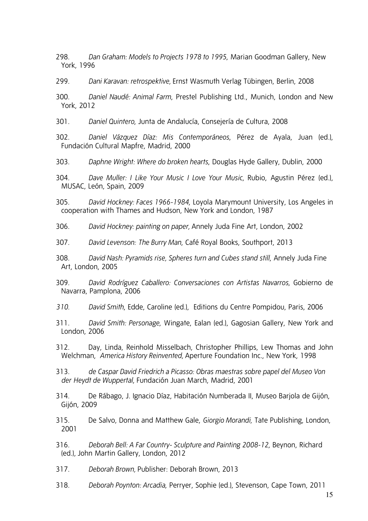298. *Dan Graham: Models to Projects 1978 to 1995*, Marian Goodman Gallery, New York, 1996

299. *Dani Karavan: retrospektive,* Ernst Wasmuth Verlag Tübingen, Berlin, 2008

300. *Daniel Naudé: Animal Farm*, Prestel Publishing Ltd., Munich, London and New York, 2012

301. *Daniel Quintero*, Junta de Andalucía, Consejería de Cultura, 2008

302. *Daniel Vázquez Díaz: Mis Contemporáneos*, Pérez de Ayala, Juan (ed.), Fundación Cultural Mapfre, Madrid, 2000

303. *Daphne Wright: Where do broken hearts*, Douglas Hyde Gallery, Dublin, 2000

304. *Dave Muller: I Like Your Music I Love Your Music,* Rubio, Agustin Pérez (ed.), MUSAC, León, Spain, 2009

305. *David Hockney: Faces 1966-1984*, Loyola Marymount University, Los Angeles in cooperation with Thames and Hudson, New York and London, 1987

306. *David Hockney: painting on paper,* Annely Juda Fine Art, London, 2002

307. *David Levenson: The Burry Man*, Café Royal Books, Southport, 2013

308. *David Nash: Pyramids rise, Spheres turn and Cubes stand still*, Annely Juda Fine Art, London, 2005

309. *David Rodríguez Caballero: Conversaciones con Artistas Navarros,* Gobierno de Navarra, Pamplona, 2006

*310. David Smith*, Edde, Caroline (ed.), Editions du Centre Pompidou, Paris, 2006

311. *David Smith: Personage*, Wingate, Ealan (ed.), Gagosian Gallery, New York and London, 2006

312. Day, Linda, Reinhold Misselbach, Christopher Phillips, Lew Thomas and John Welchman, *America History Reinvented,* Aperture Foundation Inc., New York, 1998

313. *de Caspar David Friedrich a Picasso: Obras maestras sobre papel del Museo Von der Heydt de Wuppertal*, Fundación Juan March, Madrid, 2001

314. De Rábago, J. Ignacio Díaz, Habitación Numberada II, Museo Barjola de Gijón, Gijón, 2009

315. De Salvo, Donna and Matthew Gale, *Giorgio Morandi,* Tate Publishing, London, 2001

316. *Deborah Bell: A Far Country- Sculpture and Painting 2008-12*, Beynon, Richard (ed.), John Martin Gallery, London, 2012

317. *Deborah Brown,* Publisher: Deborah Brown, 2013

318. *Deborah Poynton: Arcadia*, Perryer, Sophie (ed.), Stevenson, Cape Town, 2011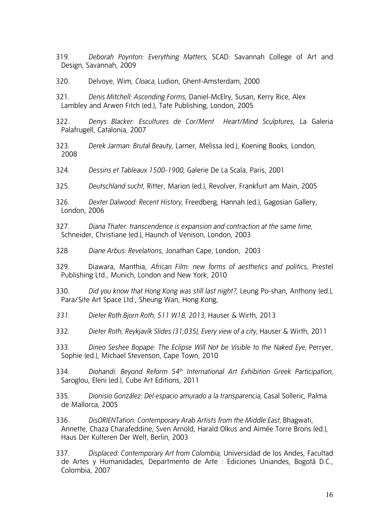- 319. *Deborah Poynton: Everything Matters,* SCAD: Savannah College of Art and Design, Savannah, 2009
- 320. Delvoye, Wim, *Cloaca,* Ludion, Ghent-Amsterdam, 2000
- 321. *Denis Mitchell: Ascending Forms*, Daniel-McElry, Susan, Kerry Rice, Alex Lambley and Arwen Fitch (ed.), Tate Publishing, London, 2005
- 322. *Denys Blacker: Escultures de Cor/Ment Heart/Mind Sculptures*, La Galeria Palafrugell, Catalonia, 2007
- 323. *Derek Jarman: Brutal Beauty*, Larner, Melissa (ed.), Koening Books, London, 2008
- 324. *Dessins et Tableaux 1500-1900*, Galerie De La Scala, Paris, 2001
- 325. *Deutschland sucht*, Ritter, Marion (ed.), Revolver, Frankfurt am Main, 2005
- 326. *Dexter Dalwood: Recent History*, Freedberg, Hannah (ed.), Gagosian Gallery, London, 2006
- 327. *Diana Thater: transcendence is expansion and contraction at the same time,*  Schneider, Christiane (ed.), Haunch of Venison, London, 2003
- 328. *Diane Arbus: Revelations*, Jonathan Cape, London, 2003
- 329. Diawara, Manthia, *African Film: new forms of aesthetics and politics*, Prestel Publishing Ltd., Munich, London and New York, 2010
- 330. *Did you know that Hong Kong was still last night?*, Leung Po-shan, Anthony (ed.), Para/Site Art Space Ltd., Sheung Wan, Hong Kong,
- *331. Dieter Roth Bjorn Roth, 511 W18, 2013,* Hauser & Wirth, 2013
- 332. *Dieter Roth, Reykjavík Slides (31,035), Every view of a city,* Hauser & Wirth, 2011
- 333. *Dineo Seshee Bopape: The Eclipse Will Not be Visible to the Naked Eye,* Perryer, Sophie (ed.), Michael Stevenson, Cape Town, 2010
- 334. *Diohandi: Beyond Reform 54th International Art Exhibition Greek Participation,*  Saroglou, Eleni (ed.), Cube Art Editions, 2011
- 335. *Dionisio González: Del espacio amurado a la transparencia,* Casal Solleric, Palma de Mallorca, 2005
- 336. *DisORIENTation: Contemporary Arab Artists from the Middle East,* Bhagwati, Annette, Chaza Charafeddine, Sven Arnold, Harald Olkus and Aimée Torre Brons (ed.), Haus Der Kulteren Der Welt, Berlin, 2003
- 337. *Displaced: Contemporary Art from Colombia*, Universidad de los Andes, Facultad de Artes y Humanidades, Departmento de Arte : Ediciones Uniandes, Bogotá D.C., Colombia, 2007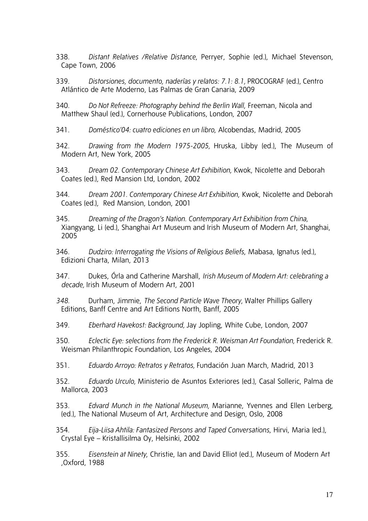- 338. *Distant Relatives /Relative Distance*, Perryer, Sophie (ed.), Michael Stevenson, Cape Town, 2006
- 339. *Distorsiones, documento, naderías y relatos: 7.1: 8.1,* PROCOGRAF (ed.), Centro Atlántico de Arte Moderno, Las Palmas de Gran Canaria, 2009
- 340. *Do Not Refreeze: Photography behind the Berlin Wall*, Freeman, Nicola and Matthew Shaul (ed.), Cornerhouse Publications, London, 2007
- 341. *Doméstico'04: cuatro ediciones en un libro*, Alcobendas, Madrid, 2005
- 342. *Drawing from the Modern 1975-2005,* Hruska, Libby (ed.), The Museum of Modern Art, New York, 2005
- 343. *Dream 02. Contemporary Chinese Art Exhibition*, Kwok, Nicolette and Deborah Coates (ed.), Red Mansion Ltd, London, 2002
- 344. *Dream 2001. Contemporary Chinese Art Exhibition*, Kwok, Nicolette and Deborah Coates (ed.), Red Mansion, London, 2001
- 345. *Dreaming of the Dragon's Nation. Contemporary Art Exhibition from China,* Xiangyang, Li (ed.), Shanghai Art Museum and Irish Museum of Modern Art, Shanghai, 2005
- 346. *Dudziro: Interrogating the Visions of Religious Beliefs*, Mabasa, Ignatus (ed.), Edizioni Charta, Milan, 2013
- 347. Dukes, Órla and Catherine Marshall, *Irish Museum of Modern Art: celebrating a decade,* Irish Museum of Modern Art, 2001
- *348.* Durham, Jimmie, *The Second Particle Wave Theory,* Walter Phillips Gallery Editions, Banff Centre and Art Editions North, Banff, 2005
- 349. *Eberhard Havekost: Background,* Jay Jopling, White Cube, London, 2007
- 350. *Eclectic Eye: selections from the Frederick R. Weisman Art Foundation,* Frederick R. Weisman Philanthropic Foundation, Los Angeles, 2004
- 351. *Eduardo Arroyo: Retratos y Retratos,* Fundación Juan March, Madrid, 2013
- 352. *Eduardo Urculo,* Ministerio de Asuntos Exteriores (ed.), Casal Solleric, Palma de Mallorca, 2003
- 353. *Edvard Munch in the National Museum,* Marianne, Yvennes and Ellen Lerberg, (ed.), The National Museum of Art, Architecture and Design, Oslo, 2008
- 354. *Eija-Liisa Ahtila: Fantasized Persons and Taped Conversations*, Hirvi, Maria (ed.), Crystal Eye – Kristallisilma Oy, Helsinki, 2002
- 355. *Eisenstein at Ninety*, Christie, Ian and David Elliot (ed.), Museum of Modern Art ,Oxford, 1988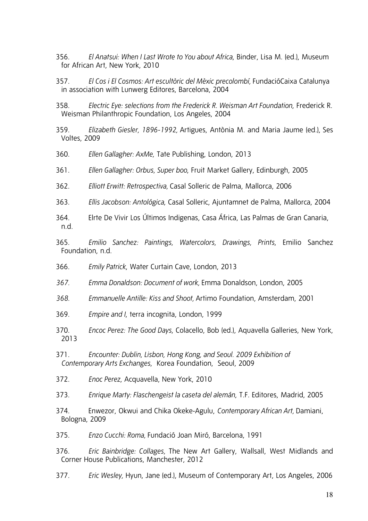356. *El Anatsui: When I Last Wrote to You about Africa*, Binder, Lisa M. (ed.), Museum for African Art, New York, 2010

357. *El Cos i El Cosmos: Art escultòric del Mèxic precolombí,* FundacióCaixa Catalunya in association with Lunwerg Editores, Barcelona, 2004

358. *Electric Eye: selections from the Frederick R. Weisman Art Foundation*, Frederick R. Weisman Philanthropic Foundation, Los Angeles, 2004

359. *Elizabeth Giesler, 1896-1992,* Artigues, Antònia M. and Maria Jaume (ed.), Ses Voltes, 2009

360. *Ellen Gallagher: AxMe,* Tate Publishing, London, 2013

361. *Ellen Gallagher: Orbus, Super boo*, Fruit Market Gallery, Edinburgh, 2005

362. *Elliott Erwitt: Retrospectiva,* Casal Solleric de Palma, Mallorca, 2006

363. *Ellis Jacobson: Antológica*, Casal Solleric, Ajuntamnet de Palma, Mallorca, 2004

364. Elrte De Vivir Los Últimos Indigenas, Casa África, Las Palmas de Gran Canaria, n.d.

365. *Emilio Sanchez: Paintings, Watercolors, Drawings, Prints*, Emilio Sanchez Foundation, n.d.

366. *Emily Patrick*, Water Curtain Cave, London, 2013

*367. Emma Donaldson: Document of work,* Emma Donaldson, London, 2005

*368. Emmanuelle Antille: Kiss and Shoot,* Artimo Foundation, Amsterdam, 2001

369. *Empire and I*, terra incognita, London, 1999

370. *Encoc Perez: The Good Days*, Colacello, Bob (ed.), Aquavella Galleries, New York, 2013

371. *Encounter: Dublin, Lisbon, Hong Kong, and Seoul. 2009 Exhibition of Contemporary Arts Exchanges*, Korea Foundation, Seoul, 2009

372. *Enoc Perez*, Acquavella, New York, 2010

373. *Enrique Marty: Flaschengeist la caseta del alemán*, T.F. Editores, Madrid, 2005

374. Enwezor, Okwui and Chika Okeke-Agulu, *Contemporary African Art,* Damiani, Bologna, 2009

375. *Enzo Cucchi: Roma,* Fundació Joan Miró, Barcelona, 1991

376. *Eric Bainbridge: Collages,* The New Art Gallery, Wallsall, West Midlands and Corner House Publications, Manchester, 2012

377. *Eric Wesley,* Hyun, Jane (ed.), Museum of Contemporary Art, Los Angeles, 2006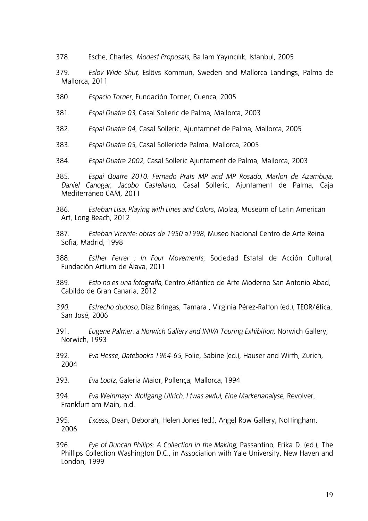- 378. Esche, Charles, *Modest Proposals*, Ba lam Yayıncılık, Istanbul, 2005
- 379. *Eslov Wide Shut*, Eslövs Kommun, Sweden and Mallorca Landings, Palma de Mallorca, 2011
- 380. *Espacio Torner,* Fundación Torner, Cuenca, 2005
- 381. *Espai Quatre 03,* Casal Solleric de Palma, Mallorca, 2003
- 382. *Espai Quatre 04*, Casal Solleric, Ajuntamnet de Palma, Mallorca, 2005
- 383. *Espai Quatre 05,* Casal Sollericde Palma, Mallorca, 2005
- 384. *Espai Quatre 2002*, Casal Solleric Ajuntament de Palma, Mallorca, 2003
- 385. *Espai Quatre 2010: Fernado Prats MP and MP Rosado, Marlon de Azambuja, Daniel Canogar, Jacobo Castellano*, Casal Solleric, Ajuntament de Palma, Caja Mediterráneo CAM, 2011
- 386. *Esteban Lisa: Playing with Lines and Colors*, Molaa, Museum of Latin American Art, Long Beach, 2012
- 387. *Esteban Vicente: obras de 1950 a1998*, Museo Nacional Centro de Arte Reina Sofia, Madrid, 1998
- 388. *Esther Ferrer : In Four Movements*, Sociedad Estatal de Acción Cultural, Fundación Artium de Álava, 2011
- 389. *Esto no es una fotografía,* Centro Atlántico de Arte Moderno San Antonio Abad, Cabildo de Gran Canaria, 2012
- *390. Estrecho dudoso,* Díaz Bringas, Tamara , Virginia Pérez-Ratton (ed.), TEOR/ética, San José, 2006
- 391. *Eugene Palmer: a Norwich Gallery and INIVA Touring Exhibition*, Norwich Gallery, Norwich, 1993
- 392. *Eva Hesse, Datebooks 1964-65,* Folie, Sabine (ed.), Hauser and Wirth, Zurich, 2004
- 393. *Eva Lootz,* Galeria Maior*,* Pollença, Mallorca*,* 1994
- 394. *Eva Weinmayr: Wolfgang Ullrich, I twas awful, Eine Markenanalyse,* Revolver, Frankfurt am Main, n.d.
- 395. *Excess*, Dean, Deborah, Helen Jones (ed.), Angel Row Gallery, Nottingham, 2006

396. *Eye of Duncan Philips: A Collection in the Making,* Passantino, Erika D. (ed.), The Phillips Collection Washington D.C., in Association with Yale University, New Haven and London, 1999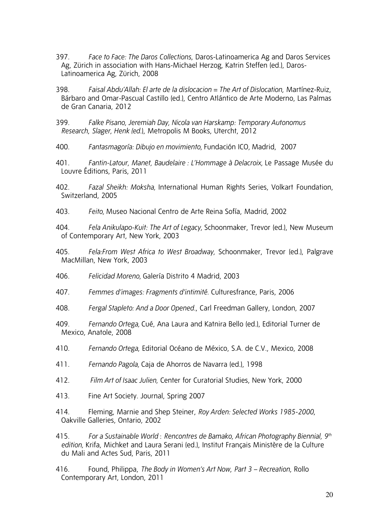- 397. *Face to Face: The Daros Collections*, Daros-Latinoamerica Ag and Daros Services Ag, Zürich in association with Hans-Michael Herzog, Katrin Steffen (ed.), Daros-Latinoamerica Ag, Zürich, 2008
- 398. *Faisal Abdu'Allah: El arte de la dislocacion = The Art of Dislocation*, Martínez-Ruiz, Bárbaro and Omar-Pascual Castillo (ed.), Centro Atlántico de Arte Moderno, Las Palmas de Gran Canaria, 2012
- 399. *Falke Pisano, Jeremiah Day, Nicola van Harskamp: Temporary Autonomus Research*, *Slager, Henk (ed*.), Metropolis M Books, Utercht, 2012
- 400. *Fantasmagoría: Dibujo en movimiento,* Fundación ICO*,* Madrid, 2007
- 401. *Fantin-Latour, Manet, Baudelaire : L'Hommage à Delacroix,* Le Passage Musée du Louvre Éditions, Paris, 2011
- 402. *Fazal Sheikh: Moksha,* International Human Rights Series, Volkart Foundation, Switzerland, 2005
- 403. *Feito,* Museo Nacional Centro de Arte Reina Sofía, Madrid, 2002
- 404. *Fela Anikulapo-Kuit: The Art of Legacy,* Schoonmaker, Trevor (ed.), New Museum of Contemporary Art, New York, 2003
- 405. *Fela:From West Africa to West Broadway,* Schoonmaker, Trevor (ed.), Palgrave MacMillan, New York, 2003
- 406. *Felicidad Moreno,* Galería Distrito 4 Madrid, 2003
- 407. *Femmes d'images: Fragments d'intimité.* Culturesfrance, Paris, 2006
- 408. *Fergal Stapleto: And a Door Opened.*, Carl Freedman Gallery, London, 2007
- 409. *Fernando Ortega,* Cué, Ana Laura and Katnira Bello (ed.), Editorial Turner de Mexico, Anatole, 2008
- 410. *Fernando Ortega*, Editorial Océano de México, S.A. de C.V., Mexico, 2008
- 411. *Fernando Pagola,* Caja de Ahorros de Navarra (ed.), 1998
- 412. *Film Art of Isaac Julien,* Center for Curatorial Studies, New York, 2000
- 413. Fine Art Society. Journal, Spring 2007
- 414. Fleming, Marnie and Shep Steiner, *Roy Arden: Selected Works 1985-2000*, Oakville Galleries, Ontario, 2002
- 415. *For a Sustainable World* : *Rencontres de Bamako, African Photography Biennial, 9th edition,* Krifa, Michket and Laura Serani (ed.), Institut Français Ministère de la Culture du Mali and Actes Sud, Paris, 2011
- 416. Found, Philippa, *The Body in Women's Art Now*, *Part 3 Recreation*, Rollo Contemporary Art, London, 2011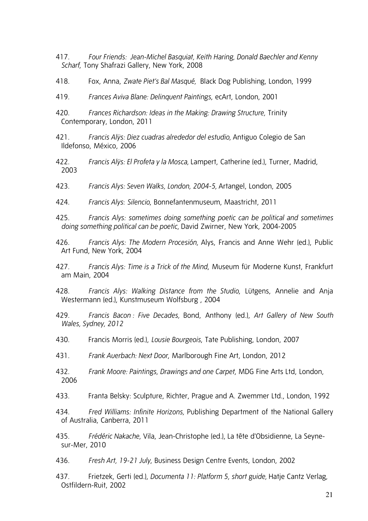- 417. *Four Friends: Jean-Michel Basquiat, Keith Haring, Donald Baechler and Kenny Scharf*, Tony Shafrazi Gallery, New York, 2008
- 418. Fox, Anna, *Zwate Piet's Bal Masqué,* Black Dog Publishing, London, 1999
- 419. *Frances Aviva Blane: Delinquent Paintings*, ecArt, London, 2001
- 420. *Frances Richardson: Ideas in the Making: Drawing Structure,* Trinity Contemporary, London, 2011
- 421. *Francis Alÿs: Diez cuadras alrededor del estudio,* Antiguo Colegio de San Ildefonso, México, 2006
- 422. *Francis Alÿs: El Profeta y la Mosca,* Lampert, Catherine (ed.), Turner, Madrid, 2003
- 423. *Francis Alys: Seven Walks, London, 2004-5,* Artangel, London, 2005
- 424. *Francis Alys*: *Silencio*, Bonnefantenmuseum, Maastricht, 2011
- 425. *Francis Alys: sometimes doing something poetic can be political and sometimes doing something political can be poetic,* David Zwirner, New York, 2004-2005
- 426. *Francis Alys: The Modern Procesión,* Alys, Francis and Anne Wehr (ed.), Public Art Fund, New York, 2004
- 427. *Francis Alys: Time is a Trick of the Mind*, Museum für Moderne Kunst, Frankfurt am Main, 2004
- 428. *Francis Alys: Walking Distance from the Studio*, Lütgens, Annelie and Anja Westermann (ed.), Kunstmuseum Wolfsburg , 2004
- 429. *Francis Bacon : Five Decades,* Bond, Anthony (ed.), *Art Gallery of New South Wales, Sydney, 2012*
- 430. Francis Morris (ed.), *Lousie Bourgeois*, Tate Publishing, London, 2007
- 431. *Frank Auerbach: Next Door*, Marlborough Fine Art, London, 2012
- 432. *Frank Moore: Paintings, Drawings and one Carpet*, MDG Fine Arts Ltd, London, 2006
- 433. Franta Belsky: Sculpture, Richter, Prague and A. Zwemmer Ltd., London, 1992
- 434. *Fred Williams: Infinite Horizons,* Publishing Department of the National Gallery of Australia, Canberra, 2011
- 435. *Frédéric Nakache,* Vila, Jean-Christophe (ed.), La tête d'Obsidienne, La Seynesur-Mer, 2010
- 436. *Fresh Art, 19-21 July*, Business Design Centre Events, London, 2002
- 437. Frietzek, Gerti (ed.), *Documenta 11: Platform 5, short guide,* Hatje Cantz Verlag, Ostfildern-Ruit, 2002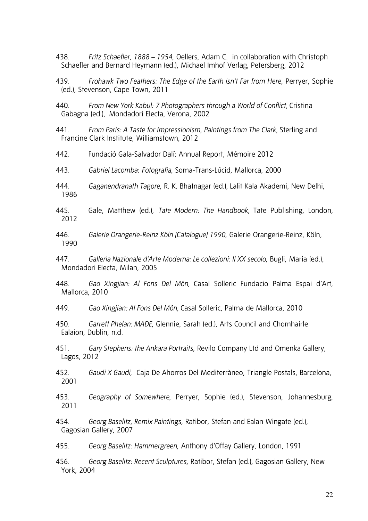438. *Fritz Schaefler, 1888 – 1954*, Oellers, Adam C. in collaboration with Christoph Schaefler and Bernard Heymann (ed.), Michael Imhof Verlag, Petersberg, 2012

439. *Frohawk Two Feathers: The Edge of the Earth isn't Far from Here*, Perryer, Sophie (ed.), Stevenson, Cape Town, 2011

440. *From New York Kabul: 7 Photographers through a World of Conflict,* Cristina Gabagna (ed*.*),Mondadori Electa, Verona, 2002

441. *From Paris: A Taste for Impressionism, Paintings from The Clark,* Sterling and Francine Clark Institute, Williamstown, 2012

442. Fundació Gala-Salvador Dalí: Annual Report, Mémoire 2012

443. *Gabriel Lacomba*: *Fotografia*, Soma-Trans-Lúcid, Mallorca, 2000

444. *Gaganendranath Tagore*, R. K. Bhatnagar (ed.), Lalit Kala Akademi, New Delhi, 1986

- 445. Gale, Matthew (ed.), *Tate Modern: The Handbook,* Tate Publishing, London, 2012
- 446. *Galerie Orangerie-Reinz Köln [Catalogue] 1990*, Galerie Orangerie-Reinz, Köln, 1990
- 447. *Galleria Nazionale d'Arte Moderna: Le collezioni: Il XX secolo*, Bugli, Maria (ed.), Mondadori Electa, Milan, 2005
- 448. *Gao Xingjian: Al Fons Del Món,* Casal Solleric Fundacio Palma Espai d'Art, Mallorca, 2010

449. *Gao Xingjian: Al Fons Del Món,* Casal Solleric, Palma de Mallorca, 2010

- 450. *Garrett Phelan: MADE*, Glennie, Sarah (ed.), Arts Council and Chomhairle Ealaion, Dublin, n.d.
- 451. *Gary Stephens: the Ankara Portraits*, Revilo Company Ltd and Omenka Gallery, Lagos, 2012
- 452. *Gaudi X Gaudi*, Caja De Ahorros Del Mediterràneo, Triangle Postals, Barcelona, 2001
- 453. *Geography of Somewhere*, Perryer, Sophie (ed.), Stevenson, Johannesburg, 2011
- 454. *Georg Baselitz, Remix Paintings*, Ratibor, Stefan and Ealan Wingate (ed.), Gagosian Gallery, 2007

455. *Georg Baselitz: Hammergreen*, Anthony d'Offay Gallery, London, 1991

456. *Georg Baselitz: Recent Sculptures*, Ratibor, Stefan (ed.), Gagosian Gallery, New York, 2004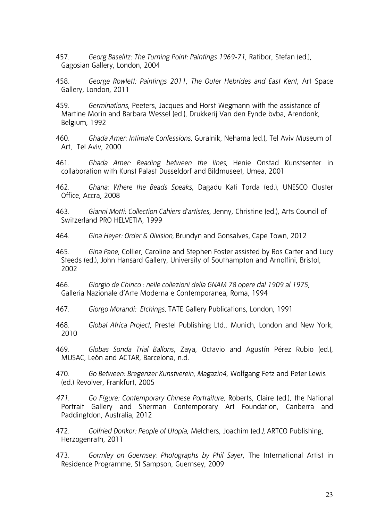- 457. *Georg Baselitz: The Turning Point: Paintings 1969-71*, Ratibor, Stefan (ed.), Gagosian Gallery, London, 2004
- 458. *George Rowlett: Paintings 2011, The Outer Hebrides and East Kent*, Art Space Gallery, London, 2011
- 459. *Germinations*, Peeters, Jacques and Horst Wegmann with the assistance of Martine Morin and Barbara Wessel (ed.), Drukkerij Van den Eynde bvba, Arendonk, Belgium, 1992
- 460. *Ghada Amer: Intimate Confessions,* Guralnik, Nehama (ed.), Tel Aviv Museum of Art, Tel Aviv, 2000
- 461. *Ghada Amer: Reading between the lines,* Henie Onstad Kunstsenter in collaboration with Kunst Palast Dusseldorf and Bildmuseet, Umea, 2001
- 462. *Ghana: Where the Beads Speaks*, Dagadu Kati Torda (ed.)*,* UNESCO Cluster Office, Accra, 2008
- 463. *Gianni Motti: Collection Cahiers d'artistes*, Jenny, Christine (ed.), Arts Council of Switzerland PRO HELVETIA, 1999
- 464. *Gina Heyer: Order & Division,* Brundyn and Gonsalves, Cape Town, 2012
- 465. *Gina Pane*, Collier, Caroline and Stephen Foster assisted by Ros Carter and Lucy Steeds (ed.), John Hansard Gallery, University of Southampton and Arnolfini, Bristol, 2002
- 466. *Giorgio de Chirico : nelle collezioni della GNAM 78 opere dal 1909 al 1975,* Galleria Nazionale d'Arte Moderna e Contemporanea, Roma, 1994
- 467. *Giorgo Morandi: Etchings,* TATE Gallery Publications, London, 1991
- 468. *Global Africa Project*, Prestel Publishing Ltd., Munich, London and New York, 2010
- 469. *Globas Sonda Trial Ballons*, Zaya, Octavio and Agustín Pérez Rubio (ed.), MUSAC, León and ACTAR, Barcelona, n.d.
- 470. *Go Between: Bregenzer Kunstverein, Magazin4,* Wolfgang Fetz and Peter Lewis (ed.) Revolver, Frankfurt, 2005
- *471. Go F!gure: Contemporary Chinese Portraiture*, Roberts, Claire (ed.), the National Portrait Gallery and Sherman Contemporary Art Foundation, Canberra and Paddingtdon, Australia, 2012
- 472. *Golfried Donkor: People of Utopia*, Melchers, Joachim (ed*.),* ARTCO Publishing, Herzogenrath, 2011
- 473. *Gormley on Guernsey: Photographs by Phil Sayer*, The International Artist in Residence Programme, St Sampson, Guernsey, 2009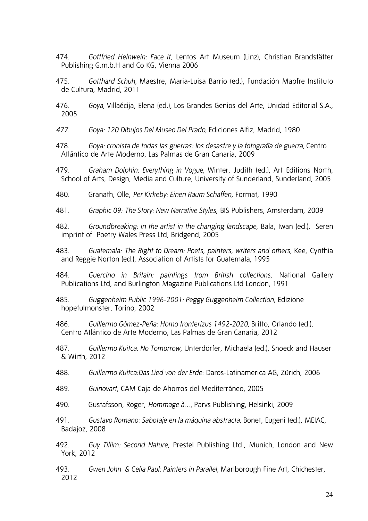- 474. *Gottfried Helnwein: Face It*, Lentos Art Museum (Linz), Christian Brandstätter Publishing G.m.b.H and Co KG, Vienna 2006
- 475. *Gotthard Schuh,* Maestre, Maria-Luisa Barrio (ed.), Fundación Mapfre Instituto de Cultura, Madrid, 2011
- 476. *Goya,* Villaécija, Elena (ed.), Los Grandes Genios del Arte, Unidad Editorial S.A., 2005
- *477. Goya: 120 Dibujos Del Museo Del Prado,* Ediciones Alfiz, Madrid, 1980

478. *Goya: cronista de todas las guerras: los desastre y la fotografía de guerra,* Centro Atlántico de Arte Moderno, Las Palmas de Gran Canaria, 2009

- 479. *Graham Dolphin: Everything in Vogue,* Winter, Judith (ed.), Art Editions North, School of Arts, Design, Media and Culture, University of Sunderland, Sunderland, 2005
- 480. Granath, Olle, *Per Kirkeby: Einen Raum Schaffen*, Format, 1990
- 481. *Graphic 09: The Story: New Narrative Styles*, BIS Publishers, Amsterdam, 2009
- 482. *Groundbreaking: in the artist in the changing landscape*, Bala, Iwan (ed.), Seren imprint of Poetry Wales Press Ltd, Bridgend, 2005
- 483. *Guatemala: The Right to Dream: Poets, painters, writers and others,* Kee, Cynthia and Reggie Norton (ed.), Association of Artists for Guatemala, 1995
- 484. *Guercino in Britain: paintings from British collections*, National Gallery Publications Ltd, and Burlington Magazine Publications Ltd London, 1991
- 485. *Guggenheim Public 1996-2001: Peggy Guggenheim Collection*, Edizione hopefulmonster, Torino, 2002
- 486. *Guillermo Gómez-Peña: Homo fronterizus 1492-2020,* Britto, Orlando (ed.), Centro Atlántico de Arte Moderno, Las Palmas de Gran Canaria, 2012
- 487. *Guillermo Kuitca: No Tomorrow,* Unterdörfer, Michaela (ed.), Snoeck and Hauser & Wirth, 2012
- 488. *Guillermo Kuitca:Das Lied von der Erde*: Daros-Latinamerica AG, Zürich, 2006
- 489. *Guinovart*, CAM Caja de Ahorros del Mediterráneo, 2005
- 490. Gustafsson, Roger, *Hommage à…,* Parvs Publishing, Helsinki, 2009
- 491. *Gustavo Romano: Sabotaje en la máquina abstracta,* Bonet, Eugeni (ed.), MEIAC, Badajoz, 2008
- 492. *Guy Tillim: Second Nature*, Prestel Publishing Ltd., Munich, London and New York, 2012
- 493. *Gwen John & Celia Paul: Painters in Parallel,* Marlborough Fine Art, Chichester, 2012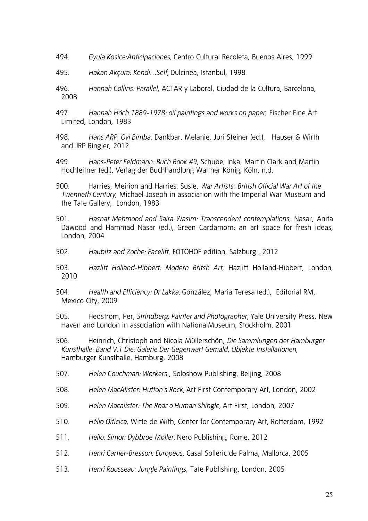- 494. *Gyula Kosice:Anticipaciones,* Centro Cultural Recoleta, Buenos Aires, 1999
- 495. *Hakan Akçura: Kendi…Self,* Dulcinea, Istanbul, 1998
- 496. *Hannah Collins: Parallel*, ACTAR y Laboral, Ciudad de la Cultura, Barcelona, 2008
- 497. *Hannah Höch 1889-1978: oil paintings and works on paper*, Fischer Fine Art Limited, London, 1983
- 498. *Hans ARP, Ovi Bimba*, Dankbar, Melanie, Juri Steiner (ed.), Hauser & Wirth and JRP Ringier, 2012
- 499. *Hans-Peter Feldmann: Buch Book #9*, Schube, Inka, Martin Clark and Martin Hochleitner (ed.), Verlag der Buchhandlung Walther König, Köln, n.d.
- 500. Harries, Meirion and Harries, Susie, *War Artists*: *British Official War Art of the Twentieth Century*, Michael Joseph in association with the Imperial War Museum and the Tate Gallery, London, 1983
- 501. *Hasnat Mehmood and Saira Wasim: Transcendent contemplations*, Nasar, Anita Dawood and Hammad Nasar (ed.), Green Cardamom: an art space for fresh ideas, London, 2004
- 502. *Haubitz and Zoche: Facelift*, FOTOHOF edition, Salzburg , 2012
- 503. *Hazlitt Holland-Hibbert: Modern Britsh Art*, Hazlitt Holland-Hibbert, London, 2010
- 504. *Health and Efficiency: Dr Lakka,* González, Maria Teresa (ed.), Editorial RM, Mexico City, 2009

505. Hedström, Per, *Strindberg: Painter and Photographer,* Yale University Press, New Haven and London in association with NationalMuseum, Stockholm, 2001

- 506. Heinrich, Christoph and Nicola Müllerschön, *Die Sammlungen der Hamburger Kunsthalle: Band V.1 Die: Galerie Der Gegenwart Gemäld, Objekte Installationen*, Hamburger Kunsthalle, Hamburg, 2008
- 507. *Helen Couchman: Workers*:, Soloshow Publishing, Beijing, 2008
- 508. *Helen MacAlister: Hutton's Rock,* Art First Contemporary Art, London, 2002
- 509. *Helen Macalister: The Roar o'Human Shingle,* Art First, London, 2007
- 510. *Hélio Oiticica*, Witte de With, Center for Contemporary Art, Rotterdam, 1992
- 511. *Hello: Simon Dybbroe Møller,* Nero Publishing, Rome, 2012
- 512. *Henri Cartier-Bresson: Europeus*, Casal Solleric de Palma, Mallorca, 2005
- 513. *Henri Rousseau: Jungle Paintings*, Tate Publishing, London, 2005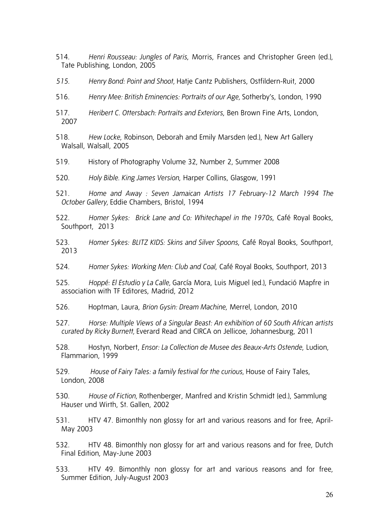- 514. *Henri Rousseau: Jungles of Paris*, Morris, Frances and Christopher Green (ed.), Tate Publishing, London, 2005
- *515. Henry Bond: Point and Shoot,* Hatje Cantz Publishers, Ostfildern-Ruit, 2000
- 516. *Henry Mee: British Eminencies: Portraits of our Age,* Sotherby's, London, 1990
- 517. *Heribert C. Ottersbach: Portraits and Exteriors*, Ben Brown Fine Arts, London, 2007
- 518. *Hew Locke*, Robinson, Deborah and Emily Marsden (ed.), New Art Gallery Walsall, Walsall, 2005
- 519. History of Photography Volume 32, Number 2, Summer 2008
- 520. *Holy Bible. King James Version*, Harper Collins, Glasgow, 1991
- 521. *Home and Away : Seven Jamaican Artists 17 February-12 March 1994 The October Gallery,* Eddie Chambers, Bristol, 1994
- 522. *Homer Sykes: Brick Lane and Co: Whitechapel in the 1970s*, Café Royal Books, Southport, 2013
- 523. *Homer Sykes: BLITZ KIDS: Skins and Silver Spoons*, Café Royal Books, Southport, 2013
- 524. *Homer Sykes: Working Men: Club and Coal*, Café Royal Books, Southport, 2013
- 525. *Hoppé: El Estudio y La Calle,* García Mora, Luis Miguel (ed.), Fundació Mapfre in association with TF Editores, Madrid, 2012
- 526. Hoptman, Laura, *Brion Gysin: Dream Machine*, Merrel, London, 2010
- 527. *Horse: Multiple Views of a Singular Beast: An exhibition of 60 South African artists curated by Ricky Burnett,* Everard Read and CIRCA on Jellicoe, Johannesburg, 2011
- 528. Hostyn, Norbert, *Ensor: La Collection de Musee des Beaux-Arts Ostende*, Ludion, Flammarion, 1999
- 529. *House of Fairy Tales: a family festival for the curious,* House of Fairy Tales, London, 2008
- 530. *House of Fiction,* Rothenberger, Manfred and Kristin Schmidt (ed.), Sammlung Hauser und Wirth, St. Gallen, 2002
- 531. HTV 47. Bimonthly non glossy for art and various reasons and for free, April-May 2003
- 532. HTV 48. Bimonthly non glossy for art and various reasons and for free, Dutch Final Edition, May-June 2003
- 533. HTV 49. Bimonthly non glossy for art and various reasons and for free, Summer Edition, July-August 2003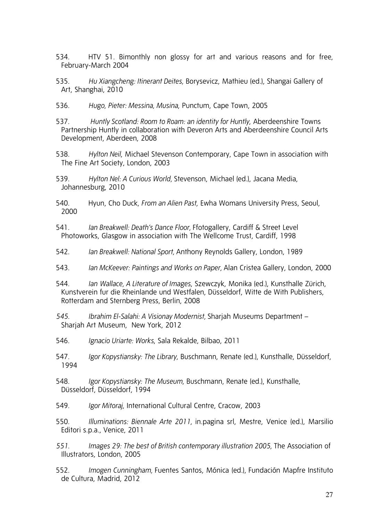- 534. HTV 51. Bimonthly non glossy for art and various reasons and for free, February-March 2004
- 535. *Hu Xiangcheng: Itinerant Deites,* Borysevicz, Mathieu (ed.), Shangai Gallery of Art, Shanghai, 2010
- 536. *Hugo, Pieter: Messina, Musina*, Punctum, Cape Town, 2005
- 537. *Huntly Scotland: Room to Roam: an identity for Huntly*, Aberdeenshire Towns Partnership Huntly in collaboration with Deveron Arts and Aberdeenshire Council Arts Development, Aberdeen, 2008
- 538. *Hylton Neil*, Michael Stevenson Contemporary, Cape Town in association with The Fine Art Society, London, 2003
- 539. *Hylton Nel: A Curious World,* Stevenson, Michael (ed.), Jacana Media, Johannesburg, 2010
- 540. Hyun, Cho Duck*, From an Alien Past*, Ewha Womans University Press, Seoul, 2000
- 541. *Ian Breakwell: Death's Dance Floor,* Ffotogallery, Cardiff & Street Level Photoworks, Glasgow in association with The Wellcome Trust, Cardiff, 1998
- 542. *Ian Breakwell: National Sport,* Anthony Reynolds Gallery, London, 1989
- 543. *Ian McKeever: Paintings and Works on Paper,* Alan Cristea Gallery, London, 2000
- 544. *Ian Wallace, A Literature of Images*, Szewczyk, Monika (ed.), Kunsthalle Zürich, Kunstverein fur die Rheinlande und Westfalen, Düsseldorf, Witte de With Publishers, Rotterdam and Sternberg Press, Berlin, 2008
- *545. Ibrahim El-Salahi: A Visionay Modernist,* Sharjah Museums Department Sharjah Art Museum, New York, 2012
- 546. *Ignacio Uriarte: Works*, Sala Rekalde, Bilbao, 2011
- 547. *Igor Kopystiansky: The Library,* Buschmann, Renate (ed.), Kunsthalle, Düsseldorf, 1994
- 548. *Igor Kopystiansky: The Museum,* Buschmann, Renate (ed.), Kunsthalle, Düsseldorf, Düsseldorf, 1994
- 549. *Igor Mitoraj*, International Cultural Centre, Cracow, 2003
- 550. *Illuminations: Biennale Arte 2011,* in.pagina srl, Mestre, Venice (ed.), Marsilio Editori s.p.a., Venice, 2011
- *551. Images 29: The best of British contemporary illustration 2005,* The Association of Illustrators, London, 2005
- 552. *Imogen Cunningham,* Fuentes Santos, Mónica (ed.), Fundación Mapfre Instituto de Cultura, Madrid, 2012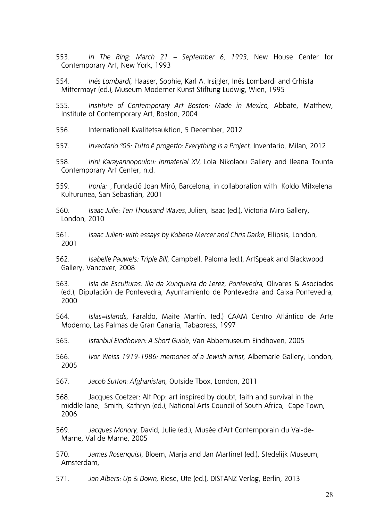553. *In The Ring: March 21 – September 6, 1993*, New House Center for Contemporary Art, New York, 1993

554. *Inés Lombardi*, Haaser, Sophie, Karl A. Irsigler, Inés Lombardi and Crhista Mittermayr (ed.), Museum Moderner Kunst Stiftung Ludwig, Wien, 1995

555. *Institute of Contemporary Art Boston: Made in Mexico*, Abbate, Matthew, Institute of Contemporary Art, Boston, 2004

- 556. Internationell Kvalitetsauktion, 5 December, 2012
- 557. *Inventario º05: Tutto è progetto: Everything is a Project*, Inventario, Milan, 2012

558. *Irini Karayannopoulou: Inmaterial XV,* Lola Nikolaou Gallery and Ileana Tounta Contemporary Art Center, n.d.

559. *Ironia: ,* Fundació Joan Miró, Barcelona, in collaboration with Koldo Mitxelena Kulturunea, San Sebastián, 2001

560. *Isaac Julie: Ten Thousand Waves,* Julien, Isaac (ed.), Victoria Miro Gallery, London, 2010

- 561. *Isaac Julien: with essays by Kobena Mercer and Chris Darke,* Ellipsis, London, 2001
- 562. *Isabelle Pauwels: Triple Bill,* Campbell, Paloma (ed.), ArtSpeak and Blackwood Gallery, Vancover, 2008
- 563. *Isla de Esculturas: Illa da Xunqueira do Lerez, Pontevedra*, Olivares & Asociados (ed.), Diputación de Pontevedra, Ayuntamiento de Pontevedra and Caixa Pontevedra, 2000

564. *Islas=Islands*, Faraldo, Maite Martín. (ed.) CAAM Centro Atlántico de Arte Moderno, Las Palmas de Gran Canaria, Tabapress, 1997

565. *Istanbul Eindhoven: A Short Guide,* Van Abbemuseum Eindhoven, 2005

566. *Ivor Weiss 1919-1986: memories of a Jewish artist*, Albemarle Gallery, London, 2005

567. *Jacob Sutton: Afghanistan*, Outside Tbox, London, 2011

568. Jacques Coetzer: Alt Pop: art inspired by doubt, faith and survival in the middle lane, Smith, Kathryn (ed.), National Arts Council of South Africa, Cape Town, 2006

569. *Jacques Monory*, David, Julie (ed.), Musée d'Art Contemporain du Val-de-Marne, Val de Marne, 2005

570. *James Rosenquist*, Bloem, Marja and Jan Martinet (ed.), Stedelijk Museum, Amsterdam,

571. *Jan Albers: Up & Down*, Riese, Ute (ed.), DISTANZ Verlag, Berlin, 2013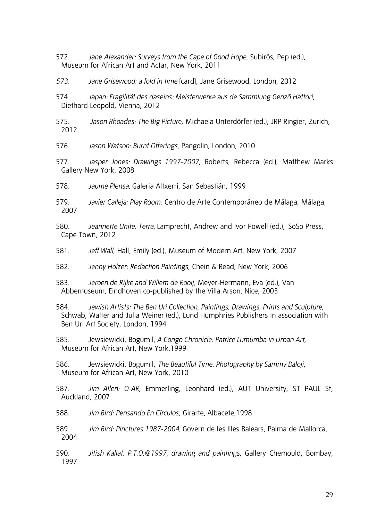572. *Jane Alexander: Surveys from the Cape of Good Hope,* Subirós, Pep (ed.), Museum for African Art and Actar, New York, 2011

*573. Jane Grisewood: a fold in time* [card], Jane Grisewood, London, 2012

574. *Japan: Fragilität des daseins: Meisterwerke aus de Sammlung Genzõ Hattori*, Diethard Leopold, Vienna, 2012

575. *Jason Rhoades: The Big Picture*, Michaela Unterdörfer (ed.), JRP Ringier, Zurich, 2012

576. *Jason Watson: Burnt Offerings,* Pangolin, London, 2010

577. *Jasper Jones: Drawings 1997-2007*, Roberts, Rebecca (ed.), Matthew Marks Gallery New York, 2008

578. *Jaume Plensa,* Galeria Altxerri, San Sebastián, 1999

579. *Javier Calleja: Play Room*, Centro de Arte Contemporáneo de Málaga, Málaga, 2007

580. *Jeannette Unite: Terra,* Lamprecht, Andrew and Ivor Powell (ed.),SoSo Press, Cape Town, 2012

581. *Jeff Wall*, Hall, Emily (ed.), Museum of Modern Art, New York, 2007

582. *Jenny Holzer: Redaction Paintings*, Chein & Read, New York, 2006

583. *Jeroen de Rijke and Willem de Rooij,* Meyer-Hermann, Eva (ed.), Van Abbemuseum, Eindhoven co-published by the Villa Arson, Nice, 2003

584. *Jewish Artists: The Ben Uri Collection, Paintings, Drawings, Prints and Sculpture,*  Schwab, Walter and Julia Weiner (ed.), Lund Humphries Publishers in association with Ben Uri Art Society, London, 1994

585. Jewsiewicki, Bogumil, *A Congo Chronicle: Patrice Lumumba in Urban Art,*  Museum for African Art, New York,1999

586. Jewsiewicki, Bogumil, *The Beautiful Time: Photography by Sammy Baloji*, Museum for African Art, New York, 2010

587. *Jim Allen: O-AR*, Emmerling, Leonhard (ed.), AUT University, ST PAUL St, Auckland, 2007

588. *Jim Bird: Pensando En Círculos*, Girarte, Albacete,1998

589. *Jim Bird: Pinctures 1987-2004,* Govern de les Illes Balears, Palma de Mallorca, 2004

590. *Jitish Kallat: P.T.O.@1997, drawing and paintings*, Gallery Chemould, Bombay, 1997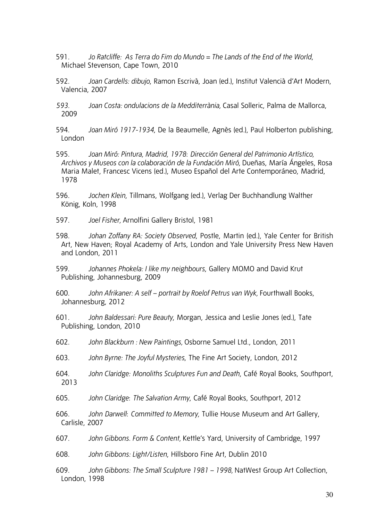- 591. *Jo Ratcliffe: As Terra do Fim do Mundo = The Lands of the End of the World*, Michael Stevenson, Cape Town, 2010
- 592. *Joan Cardells: dibujo*, Ramon Escrivà, Joan (ed.), Institut Valencià d'Art Modern, Valencia, 2007
- *593. Joan Costa: ondulacions de la Medditerrània,* Casal Solleric, Palma de Mallorca, 2009
- 594. *Joan Miró 1917-1934*, De la Beaumelle, Agnès (ed.), Paul Holberton publishing, London
- 595. *Joan Miró: Pintura, Madrid, 1978*: *Dirección General del Patrimonio Artístico, Archivos y Museos con la colaboración de la Fundación Miró,* Dueñas, María Ángeles, Rosa Maria Malet, Francesc Vicens (ed.), Museo Español del Arte Contemporáneo, Madrid, 1978
- 596. *Jochen Klein*, Tillmans, Wolfgang (ed.), Verlag Der Buchhandlung Walther König, Koln, 1998
- 597. *Joel Fisher,* Arnolfini Gallery Bristol, 1981
- 598. *Johan Zoffany RA: Society Observed*, Postle, Martin (ed.), Yale Center for British Art, New Haven; Royal Academy of Arts, London and Yale University Press New Haven and London, 2011
- 599. *Johannes Phokela: I like my neighbours*, Gallery MOMO and David Krut Publishing, Johannesburg, 2009
- 600. *John Afrikaner: A self portrait by Roelof Petrus van Wyk,* Fourthwall Books, Johannesburg, 2012
- 601. *John Baldessari: Pure Beauty*, Morgan, Jessica and Leslie Jones (ed.), Tate Publishing, London, 2010
- 602. *John Blackburn : New Paintings,* Osborne Samuel Ltd., London, 2011
- 603. *John Byrne: The Joyful Mysteries*, The Fine Art Society, London, 2012
- 604. *John Claridge: Monoliths Sculptures Fun and Death*, Café Royal Books, Southport, 2013
- 605. *John Claridge*: *The Salvation Army*, Café Royal Books, Southport, 2012
- 606. *John Darwell*: *Committed to Memory,* Tullie House Museum and Art Gallery, Carlisle, 2007
- 607. *John Gibbons. Form & Content,* Kettle's Yard, University of Cambridge, 1997
- 608. *John Gibbons: Light/Listen*, Hillsboro Fine Art, Dublin 2010
- 609. *John Gibbons: The Small Sculpture 1981 1998,* NatWest Group Art Collection, London, 1998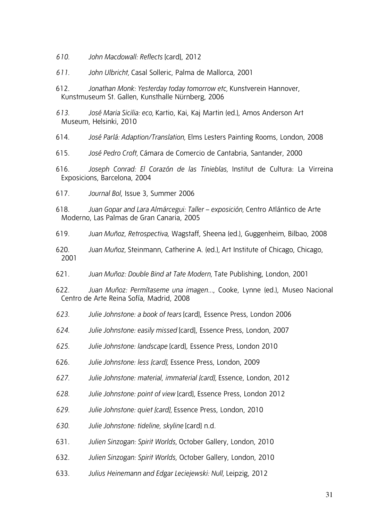- *610. John Macdowall: Reflects* [card], 2012
- *611. John Ulbricht,* Casal Solleric, Palma de Mallorca, 2001
- 612. *Jonathan Monk: Yesterday today tomorrow etc,* Kunstverein Hannover, Kunstmuseum St. Gallen, Kunsthalle Nürnberg, 2006
- *613. José Maria Sicilia: eco,* Kartio, Kai, Kaj Martin (ed.), Amos Anderson Art Museum, Helsinki, 2010
- 614. *José Parlá: Adaption/Translation,* Elms Lesters Painting Rooms, London, 2008
- 615. *José Pedro Croft,* Cámara de Comercio de Cantabria, Santander, 2000
- 616. *Joseph Conrad: El Corazón de las Tinieblas,* Institut de Cultura: La Virreina Exposicions, Barcelona, 2004
- 617. *Journal Bol*, Issue 3, Summer 2006
- 618. *Juan Gopar and Lara Almárcegui: Taller exposición,* Centro Atlántico de Arte Moderno, Las Palmas de Gran Canaria, 2005
- 619. *Juan Muñoz, Retrospectiva*, Wagstaff, Sheena (ed.), Guggenheim, Bilbao, 2008
- 620. *Juan Muñoz,* Steinmann, Catherine A. (ed.), Art Institute of Chicago, Chicago, 2001
- 621. *Juan Muñoz: Double Bind at Tate Modern,* Tate Publishing, London, 2001
- 622. *Juan Muñoz: Permítaseme una imagen...*, Cooke, Lynne (ed.), Museo Nacional Centro de Arte Reina Sofía, Madrid, 2008
- *623. Julie Johnstone: a book of tears* [card], Essence Press, London 2006
- *624. Julie Johnstone: easily missed* [card], Essence Press, London, 2007
- *625. Julie Johnstone: landscape* [card], Essence Press, London 2010
- 626. *Julie Johnstone: less [card],* Essence Press, London, 2009
- *627. Julie Johnstone: material, immaterial [card],* Essence, London, 2012
- *628. Julie Johnstone: point of view* [card], Essence Press, London 2012
- *629. Julie Johnstone: quiet [card],* Essence Press, London, 2010
- *630. Julie Johnstone: tideline, skyline* [card] n.d*.*
- 631. *Julien Sinzogan: Spirit Worlds,* October Gallery, London, 2010
- 632. *Julien Sinzogan: Spirit Worlds,* October Gallery, London, 2010
- 633. *Julius Heinemann and Edgar Leciejewski: Null,* Leipzig, 2012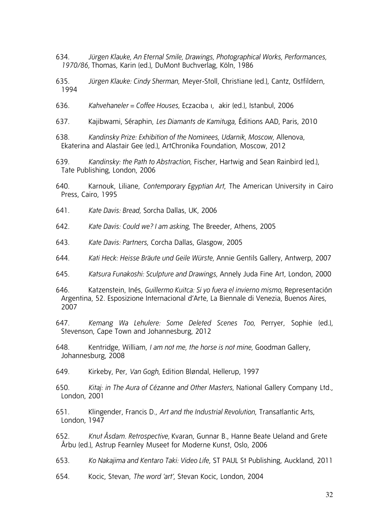- 634. *Jürgen Klauke, An Eternal Smile, Drawings, Photographical Works, Performances, 1970/86,* Thomas, Karin (ed.), DuMont Buchverlag, Köln, 1986
- 635. *Jürgen Klauke: Cindy Sherman*, Meyer-Stoll, Christiane (ed.), Cantz, Ostfildern, 1994
- 636. *Kahvehaneler = Coffee Houses,* Eczacıba ı, akir (ed.), Istanbul, 2006
- 637. Kajibwami, Séraphin, *Les Diamants de Kamituga*, Éditions AAD, Paris, 2010

638. *Kandinsky Prize: Exhibition of the Nominees, Udarnik, Moscow,* Allenova, Ekaterina and Alastair Gee (ed.), ArtChronika Foundation, Moscow, 2012

- 639. *Kandinsky: the Path to Abstraction,* Fischer, Hartwig and Sean Rainbird (ed.), Tate Publishing, London, 2006
- 640. Karnouk, Liliane, *Contemporary Egyptian Art*, The American University in Cairo Press, Cairo, 1995
- 641. *Kate Davis: Bread,* Sorcha Dallas, UK, 2006
- 642. *Kate Davis: Could we? I am asking,* The Breeder, Athens, 2005
- 643. *Kate Davis: Partners*, Corcha Dallas, Glasgow, 2005
- 644. *Kati Heck: Heisse Bräute und Geile Würste,* Annie Gentils Gallery, Antwerp, 2007
- 645. *Katsura Funakoshi: Sculpture and Drawings,* Annely Juda Fine Art, London, 2000
- 646. Katzenstein, Inés, *Guillermo Kuitca: Si yo fuera el invierno mismo,* Representación Argentina, 52. Esposizione Internacional d'Arte, La Biennale di Venezia, Buenos Aires, 2007
- 647. *Kemang Wa Lehulere: Some Deleted Scenes Too,* Perryer, Sophie (ed.), Stevenson, Cape Town and Johannesburg, 2012
- 648. Kentridge, William, *I am not me, the horse is not mine,* Goodman Gallery, Johannesburg, 2008
- 649. Kirkeby, Per, *Van Gogh*, Edition Bløndal, Hellerup, 1997
- 650. *Kitaj: in The Aura of Cézanne and Other Masters,* National Gallery Company Ltd., London, 2001
- 651. Klingender, Francis D., *Art and the Industrial Revolution*, Transatlantic Arts, London, 1947
- 652. *Knut Åsdam. Retrospective,* Kvaran, Gunnar B., Hanne Beate Ueland and Grete Årbu (ed.), Astrup Fearnley Museet for Moderne Kunst, Oslo, 2006
- 653. *Ko Nakajima and Kentaro Taki: Video Life*, ST PAUL St Publishing, Auckland, 2011
- 654. Kocic, Stevan, *The word 'art'*, Stevan Kocic, London, 2004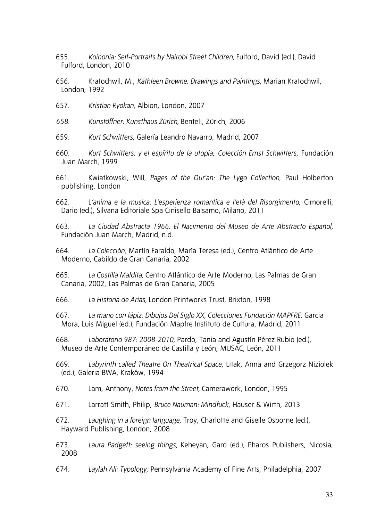655. *Koinonia: Self-Portraits by Nairobi Street Children,* Fulford, David (ed.), David Fulford, London, 2010

656. Kratochwil, M., *Kathleen Browne: Drawings and Paintings,* Marian Kratochwil, London, 1992

- 657. *Kristian Ryokan,* Albion, London, 2007
- *658. Kunstöffner: Kunsthaus Zürich,* Benteli, Zürich, 2006
- 659. *Kurt Schwitters*, Galería Leandro Navarro, Madrid, 2007
- 660. *Kurt Schwitters: y el espíritu de la utopía*, *Colección Ernst Schwitters*, Fundación Juan March, 1999
- 661. Kwiatkowski, Will, *Pages of the Qur'an: The Lygo Collection*, Paul Holberton publishing, London
- 662. L*'anima e la musica: L'esperienza romantica e l'età del Risorgimento*, Cimorelli, Dario (ed.), Silvana Editoriale Spa Cinisello Balsamo, Milano, 2011
- 663. *La Ciudad Abstracta 1966: El Nacimento del Museo de Arte Abstracto Español,*  Fundación Juan March, Madrid, n.d.
- 664. *La Colección,* Martín Faraldo, María Teresa (ed.), Centro Atlántico de Arte Moderno, Cabildo de Gran Canaria, 2002
- 665. *La Costilla Maldita,* Centro Atlántico de Arte Moderno, Las Palmas de Gran Canaria, 2002, Las Palmas de Gran Canaria, 2005
- 666. *La Historia de Arias,* London Printworks Trust, Brixton, 1998

667. *La mano con lápiz: Dibujos Del Siglo XX, Colecciones Fundación MAPFRE,* Garcia Mora, Luis Miguel (ed.), Fundación Mapfre Instituto de Cultura, Madrid, 2011

668. *Laboratorio 987: 2008-2010,* Pardo, Tania and Agustín Pérez Rubio (ed.), Museo de Arte Contemporáneo de Castilla y León, MUSAC, León, 2011

669. *Labyrinth called Theatre On Theatrical Space*, Litak, Anna and Grzegorz Niziolek (ed.), Galeria BWA, Kraków, 1994

- 670. Lam, Anthony*, Notes from the Street,* Camerawork, London, 1995
- 671. Larratt-Smith, Philip, *Bruce Nauman: Mindfuck*, Hauser & Wirth, 2013
- 672. *Laughing in a foreign language,* Troy, Charlotte and Giselle Osborne (ed.), Hayward Publishing, London, 2008
- 673. *Laura Padgett: seeing things,* Keheyan, Garo (ed.), Pharos Publishers, Nicosia, 2008
- 674. *Laylah Ali: Typology*, Pennsylvania Academy of Fine Arts, Philadelphia, 2007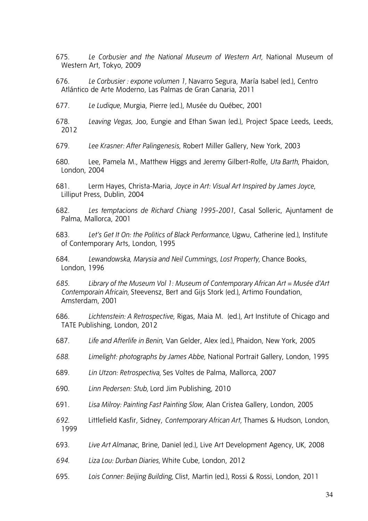675. *Le Corbusier and the National Museum of Western Art,* National Museum of Western Art, Tokyo, 2009

676. *Le Corbusier : expone volumen 1,* Navarro Segura, María Isabel (ed.), Centro Atlántico de Arte Moderno, Las Palmas de Gran Canaria, 2011

677. *Le Ludique,* Murgia, Pierre (ed.), Musée du Québec, 2001

678. *Leaving Vegas,* Joo, Eungie and Ethan Swan (ed.), Project Space Leeds, Leeds, 2012

679. *Lee Krasner: After Palingenesis,* Robert Miller Gallery, New York, 2003

680. Lee, Pamela M., Matthew Higgs and Jeremy Gilbert-Rolfe, *Uta Barth*, Phaidon, London, 2004

681. Lerm Hayes, Christa-Maria, *Joyce in Art: Visual Art Inspired by James Joyce*, Lilliput Press, Dublin, 2004

682. *Les temptacions de Richard Chiang 1995-2001*, Casal Solleric, Ajuntament de Palma, Mallorca, 2001

683. *Let's Get It On: the Politics of Black Performance,* Ugwu, Catherine (ed.), Institute of Contemporary Arts, London, 1995

684. *Lewandowska, Marysia and Neil Cummings, Lost Property,* Chance Books, London, 1996

*685. Library of the Museum Vol 1: Museum of Contemporary African Art = Musée d'Art Contemporain Africain,* Steevensz, Bert and Gijs Stork (ed.), Artimo Foundation, Amsterdam, 2001

686. *Lichtenstein: A Retrospective*, Rigas, Maia M. (ed.), Art Institute of Chicago and TATE Publishing, London, 2012

687. *Life and Afterlife in Benin*, Van Gelder, Alex (ed.), Phaidon, New York, 2005

*688. Limelight: photographs by James Abbe,* National Portrait Gallery, London, 1995

689. *Lin Utzon: Retrospectiva,* Ses Voltes de Palma, Mallorca, 2007

690. *Linn Pedersen: Stub,* Lord Jim Publishing, 2010

691. *Lisa Milroy: Painting Fast Painting Slow,* Alan Cristea Gallery, London, 2005

*692.* Littlefield Kasfir, Sidney, *Contemporary African Art,* Thames & Hudson, London, 1999

693. *Live Art Almanac*, Brine, Daniel (ed.), Live Art Development Agency, UK, 2008

*694. Liza Lou: Durban Diaries,* White Cube, London, 2012

695. *Lois Conner: Beijing Building,* Clist, Martin (ed.), Rossi & Rossi, London, 2011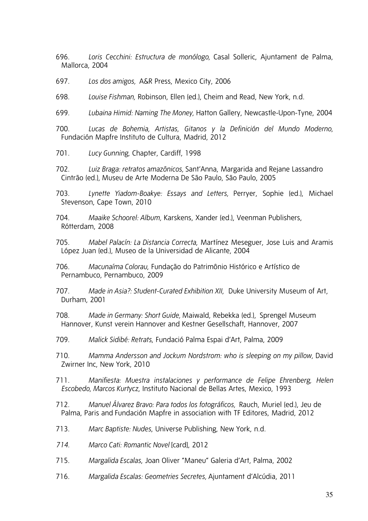696. *Loris Cecchini: Estructura de monólogo,* Casal Solleric, Ajuntament de Palma, Mallorca, 2004

697. *Los dos amigos,* A&R Press, Mexico City, 2006

698. *Louise Fishman,* Robinson, Ellen (ed.), Cheim and Read, New York, n.d.

699. *Lubaina Himid: Naming The Money,* Hatton Gallery, Newcastle-Upon-Tyne, 2004

700. *Lucas de Bohemia, Artistas, Gitanos y la Definición del Mundo Moderno,*  Fundación Mapfre Instituto de Cultura, Madrid, 2012

701. *Lucy Gunning*, Chapter, Cardiff, 1998

702. *Luiz Braga: retratos amazônicos,* Sant'Anna, Margarida and Rejane Lassandro Cintrão (ed.), Museu de Arte Moderna De São Paulo, São Paulo, 2005

703. *Lynette Yiadom-Boakye: Essays and Letters,* Perryer, Sophie (ed.), Michael Stevenson, Cape Town, 2010

704. *Maaike Schoorel: Album,* Karskens, Xander (ed.), Veenman Publishers, Rótterdam, 2008

705. *Mabel Palacín: La Distancia Correcta*, Martínez Meseguer, Jose Luis and Aramis López Juan (ed.), Museo de la Universidad de Alicante, 2004

706. *Macunaíma Colorau*, Fundação do Patrimônio Histórico e Artístico de Pernambuco, Pernambuco, 2009

707. *Made in Asia?: Student-Curated Exhibition XII*, Duke University Museum of Art, Durham, 2001

708. *Made in Germany: Short Guide,* Maiwald, Rebekka (ed.),Sprengel Museum Hannover, Kunst verein Hannover and Kestner Gesellschaft, Hannover, 2007

709. *Malick Sidibé: Retrats*, Fundació Palma Espai d'Art, Palma, 2009

710. *Mamma Andersson and Jockum Nordstrom: who is sleeping on my pillow,* David Zwirner Inc, New York, 2010

711. *Manifiesta: Muestra instalaciones y performance de Felipe Ehrenberg, Helen Escobedo, Marcos Kurtycz*, Instituto Nacional de Bellas Artes, Mexico, 1993

712. *Manuel Álvarez Bravo: Para todos los fotográficos,* Rauch, Muriel (ed.), Jeu de Palma, Paris and Fundación Mapfre in association with TF Editores, Madrid, 2012

713. *Marc Baptiste: Nudes*, Universe Publishing, New York, n.d.

*714. Marco Cati: Romantic Novel* [card], 2012

- 715. *Margalida Escalas*, Joan Oliver "Maneu" Galeria d'Art, Palma, 2002
- 716. *Margalida Escalas: Geometries Secretes,* Ajuntament d'Alcúdia, 2011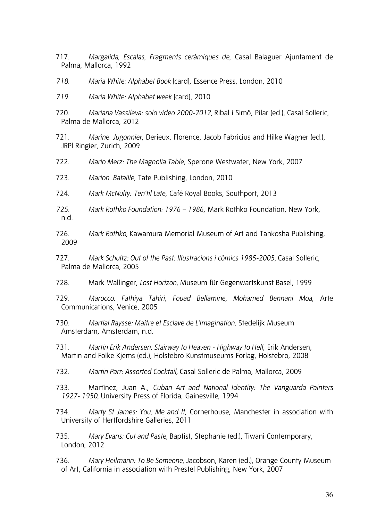- 717. *Margalida, Escalas, Fragments ceràmiques de*, Casal Balaguer Ajuntament de Palma, Mallorca, 1992
- *718. Maria White: Alphabet Book* [card], Essence Press, London, 2010
- *719. Maria White: Alphabet week* [card], 2010
- 720. *Mariana Vassileva: solo video 2000-2012,* Ribal i Simó, Pilar (ed.), Casal Solleric, Palma de Mallorca, 2012
- 721. *Marine Jugonnier*, Derieux, Florence, Jacob Fabricius and Hilke Wagner (ed.), JRP| Ringier, Zurich, 2009
- 722. *Mario Merz: The Magnolia Table*, Sperone Westwater, New York, 2007
- 723. *Marion Bataille,* Tate Publishing, London, 2010
- 724. *Mark McNulty: Ten'til Late*, Café Royal Books, Southport, 2013
- *725. Mark Rothko Foundation: 1976 1986*, Mark Rothko Foundation, New York, n.d.
- 726. *Mark Rothko,* Kawamura Memorial Museum of Art and Tankosha Publishing, 2009
- 727. *Mark Schultz: Out of the Past: Illustracions i còmics 1985-2005,* Casal Solleric, Palma de Mallorca, 2005
- 728. Mark Wallinger, *Lost Horizon,* Museum für Gegenwartskunst Basel, 1999
- 729. *Marocco: Fathiya Tahiri, Fouad Bellamine, Mohamed Bennani Moa*, Arte Communications, Venice, 2005
- 730. *Martial Raysse: Maitre et Esclave de L'Imagination,* Stedelijk Museum Amsterdam, Amsterdam, n.d.
- 731. *Martin Erik Andersen: Stairway to Heaven Highway to Hell*, Erik Andersen, Martin and Folke Kjems (ed.), Holstebro Kunstmuseums Forlag, Holstebro, 2008
- 732. *Martin Parr: Assorted Cocktail,* Casal Solleric de Palma, Mallorca, 2009
- 733. Martínez, Juan A., *Cuban Art and National Identity: The Vanguarda Painters 1927- 1950,* University Press of Florida, Gainesville, 1994
- 734. *Marty St James: You, Me and It*, Cornerhouse, Manchester in association with University of Hertfordshire Galleries, 2011
- 735. *Mary Evans: Cut and Paste,* Baptist, Stephanie (ed.), Tiwani Contemporary, London, 2012
- 736. *Mary Heilmann: To Be Someone,* Jacobson, Karen (ed.), Orange County Museum of Art, California in association with Prestel Publishing, New York, 2007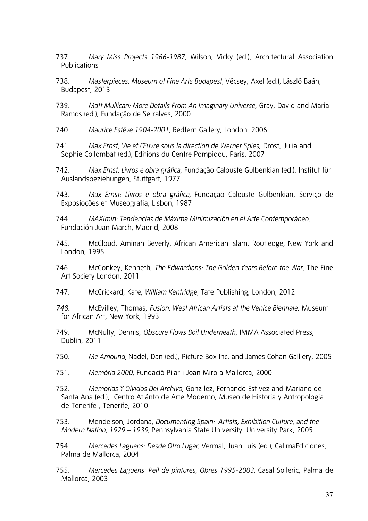- 737. *Mary Miss Projects 1966-1987*, Wilson, Vicky (ed.), Architectural Association Publications
- 738. *Masterpieces. Museum of Fine Arts Budapest,* Vécsey, Axel (ed.), László Baán, Budapest, 2013
- 739. *Matt Mullican: More Details From An Imaginary Universe*, Gray, David and Maria Ramos (ed.), Fundação de Serralves, 2000
- 740. *Maurice Estève 1904-2001*, Redfern Gallery, London, 2006
- 741. *Max Ernst, Vie et Œuvre sous la direction de Werner Spies*, Drost, Julia and Sophie Collombat (ed.), Editions du Centre Pompidou, Paris, 2007
- 742. *Max Ernst: Livros e obra gráfica*, Fundação Calouste Gulbenkian (ed.), Institut für Auslandsbeziehungen, Stuttgart, 1977
- 743. *Max Ernst: Livros e obra gráfica,* Fundação Calouste Gulbenkian, Serviço de Exposioções et Museografia, Lisbon, 1987
- 744. *MAXImin: Tendencias de Máxima Minimización en el Arte Contemporáneo,*  Fundación Juan March, Madrid, 2008
- 745. McCloud, Aminah Beverly, African American Islam, Routledge, New York and London, 1995
- 746. McConkey, Kenneth, *The Edwardians: The Golden Years Before the War*, The Fine Art Society London, 2011
- 747. McCrickard, Kate, *William Kentridge,* Tate Publishing, London, 2012
- *748.* McEvilley, Thomas, *Fusion: West African Artists at the Venice Biennale*, Museum for African Art, New York, 1993
- 749. McNulty, Dennis, *Obscure Flows Boil Underneath*, IMMA Associated Press, Dublin, 2011
- 750. *Me Amound,* Nadel, Dan (ed.), Picture Box Inc. and James Cohan Galllery, 2005
- 751. *Memòria 2000*, Fundació Pilar i Joan Miro a Mallorca, 2000
- 752. *Memorias Y Olvidos Del Archivo*, Gonz lez, Fernando Est vez and Mariano de Santa Ana (ed.), Centro Atlánto de Arte Moderno, Museo de Historia y Antropologia de Tenerife , Tenerife, 2010
- 753. Mendelson, Jordana, *Documenting Spain: Artists, Exhibition Culture, and the Modern Nation, 1929 – 1939,* Pennsylvania State University, University Park, 2005
- 754. *Mercedes Laguens: Desde Otro Lugar,* Vermal, Juan Luis (ed.), CalimaEdiciones, Palma de Mallorca, 2004
- 755. *Mercedes Laguens: Pell de pintures, Obres 1995-2003,* Casal Solleric, Palma de Mallorca, 2003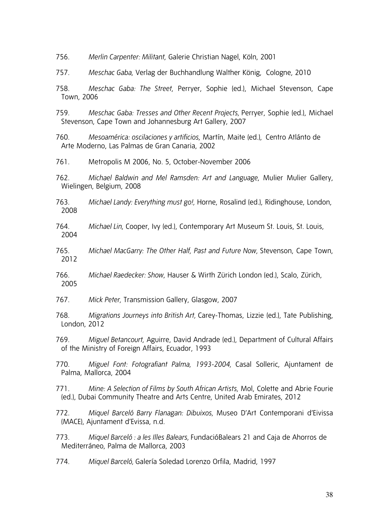756. *Merlin Carpenter: Militant*, Galerie Christian Nagel, Köln, 2001

757. *Meschac Gaba*, Verlag der Buchhandlung Walther König, Cologne, 2010

758. *Meschac Gaba: The Street*, Perryer, Sophie (ed.), Michael Stevenson, Cape Town, 2006

759. *Meschac Gaba: Tresses and Other Recent Projects,* Perryer, Sophie (ed.), Michael Stevenson, Cape Town and Johannesburg Art Gallery, 2007

760. *Mesoamérica: oscilaciones y artificios*, Martín, Maite (ed.),Centro Atlánto de Arte Moderno, Las Palmas de Gran Canaria, 2002

761. Metropolis M 2006, No. 5, October-November 2006

762. *Michael Baldwin and Mel Ramsden: Art and Language*, Mulier Mulier Gallery, Wielingen, Belgium, 2008

- 763. *Michael Landy: Everything must go!,* Horne, Rosalind (ed.), Ridinghouse, London, 2008
- 764. *Michael Lin*, Cooper, Ivy (ed.), Contemporary Art Museum St. Louis, St. Louis, 2004
- 765. *Michael MacGarry: The Other Half, Past and Future Now,* Stevenson, Cape Town, 2012
- 766. *Michael Raedecker: Show*, Hauser & Wirth Zürich London (ed.), Scalo, Zürich, 2005
- 767. *Mick Peter,* Transmission Gallery, Glasgow, 2007
- 768. *Migrations Journeys into British Art,* Carey-Thomas, Lizzie (ed.), Tate Publishing, London, 2012

769. *Miguel Betancourt*, Aguirre, David Andrade (ed.), Department of Cultural Affairs of the Ministry of Foreign Affairs, Ecuador, 1993

770. *Miguel Font: Fotografiant Palma, 1993-2004,* Casal Solleric, Ajuntament de Palma, Mallorca, 2004

771. *Mine: A Selection of Films by South African Artists,* Mol, Colette and Abrie Fourie (ed.), Dubai Community Theatre and Arts Centre, United Arab Emirates, 2012

772. *Miquel Barceló Barry Flanagan: Dibuixos,* Museo D'Art Contemporani d'Eivissa (MACE), Ajuntament d'Evissa, n.d.

773. *Miquel Barceló : a les Illes Balears,* FundacióBalears 21 and Caja de Ahorros de Mediterráneo, Palma de Mallorca, 2003

774. *Miquel Barceló,* Galería Soledad Lorenzo Orfila, Madrid, 1997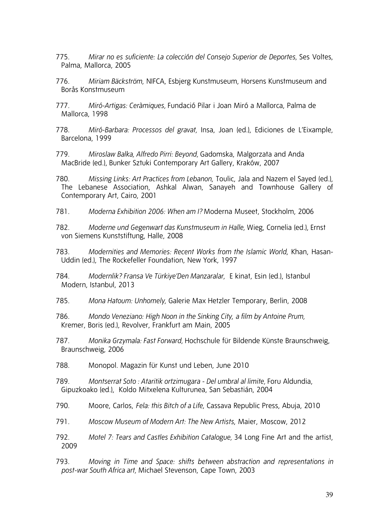- 775. *Mirar no es suficiente: La colección del Consejo Superior de Deportes,* Ses Voltes, Palma, Mallorca, 2005
- 776. *Miriam Bäckström*, NIFCA, Esbjerg Kunstmuseum, Horsens Kunstmuseum and Borås Konstmuseum
- 777. *Miró-Artigas: Ceràmiques,* Fundació Pilar i Joan Miró a Mallorca, Palma de Mallorca, 1998
- 778. *Miró-Barbara: Processos del gravat,* Insa, Joan (ed.), Ediciones de L'Eixample, Barcelona, 1999
- 779. *Miroslaw Balka, Alfredo Pirri: Beyond,* Gadomska, Malgorzata and Anda MacBride (ed.), Bunker Sztuki Contemporary Art Gallery, Kraków, 2007
- 780. *Missing Links: Art Practices from Lebanon*, Toulic, Jala and Nazem el Sayed (ed.), The Lebanese Association, Ashkal Alwan, Sanayeh and Townhouse Gallery of Contemporary Art, Cairo, 2001
- 781. *Moderna Exhibition 2006: When am I?* Moderna Museet, Stockholm, 2006
- 782. *Moderne und Gegenwart das Kunstmuseum in Halle,* Wieg, Cornelia (ed.), Ernst von Siemens Kunststiftung, Halle, 2008
- 783. *Modernities and Memories: Recent Works from the Islamic World*, Khan, Hasan-Uddin (ed.), The Rockefeller Foundation, New York, 1997
- 784. *Modernlik? Fransa Ve Türkiye'Den Manzaralar,* E kinat, Esin (ed.), Istanbul Modern, Istanbul, 2013
- 785. *Mona Hatoum: Unhomely,* Galerie Max Hetzler Temporary, Berlin, 2008
- 786. *Mondo Veneziano: High Noon in the Sinking City*, *a film by Antoine Prum,*  Kremer, Boris (ed.), Revolver, Frankfurt am Main, 2005
- 787. *Monika Grzymala: Fast Forward,* Hochschule für Bildende Künste Braunschweig, Braunschweig, 2006
- 788. Monopol. Magazin für Kunst und Leben, June 2010
- 789. *Montserrat Soto : Ataritik ortzimugara Del umbral al limite,* Foru Aldundia, Gipuzkoako (ed.), Koldo Mitxelena Kulturunea, San Sebastián, 2004
- 790. Moore, Carlos, *Fela: this Bitch of a Life*, Cassava Republic Press, Abuja, 2010
- 791. *Moscow Museum of Modern Art: The New Artists*, Maier, Moscow, 2012
- 792. *Motel 7: Tears and Castles Exhibition Catalogue,* 34 Long Fine Art and the artist, 2009
- 793. *Moving in Time and Space: shifts between abstraction and representations in post-war South Africa art,* Michael Stevenson, Cape Town, 2003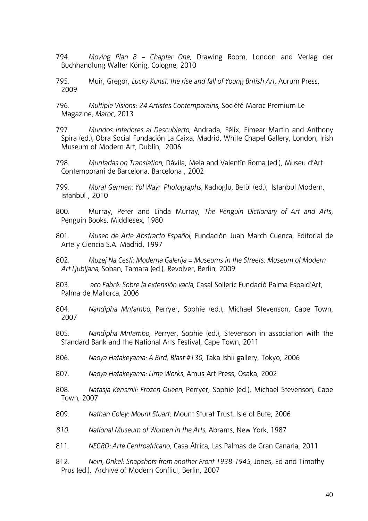- 794. *Moving Plan B Chapter One*, Drawing Room, London and Verlag der Buchhandlung Walter König, Cologne, 2010
- 795. Muir, Gregor, *Lucky Kunst: the rise and fall of Young British Art,* Aurum Press, 2009
- 796. *Multiple Visions: 24 Artistes Contemporains,* Société Maroc Premium Le Magazine*, Maroc*, 2013
- 797. *Mundos Interiores al Descubierto,* Andrada, Félix, Eimear Martin and Anthony Spira (ed.), Obra Social Fundación La Caixa, Madrid, White Chapel Gallery, London, Irish Museum of Modern Art, Dublín, 2006
- 798. *Muntadas on Translation*, Dávila, Mela and Valentín Roma (ed.), Museu d'Art Contemporani de Barcelona, Barcelona , 2002
- 799. *Murat Germen: Yol Way: Photographs,* Kadıoglu, Betül (ed.),Istanbul Modern, Istanbul , 2010
- 800. Murray, Peter and Linda Murray, *The Penguin Dictionary of Art and Arts,* Penguin Books, Middlesex, 1980
- 801. *Museo de Arte Abstracto Español,* Fundación Juan March Cuenca, Editorial de Arte y Ciencia S.A. Madrid, 1997
- 802. *Muzej Na Cesti: Moderna Galerija = Museums in the Streets: Museum of Modern Art Ljubljana,* Soban, Tamara (ed.), Revolver, Berlin, 2009
- 803. *aco Fabré: Sobre la extensión vacía,* Casal Solleric Fundació Palma Espaid'Art, Palma de Mallorca, 2006
- 804. *Nandipha Mntambo,* Perryer, Sophie (ed.), Michael Stevenson, Cape Town, 2007
- 805. *Nandipha Mntambo*, Perryer, Sophie (ed.), Stevenson in association with the Standard Bank and the National Arts Festival, Cape Town, 2011
- 806. *Naoya Hatakeyama: A Bird, Blast #130,* Taka Ishii gallery, Tokyo, 2006
- 807. *Naoya Hatakeyama: Lime Works,* Amus Art Press, Osaka, 2002
- 808. *Natasja Kensmil: Frozen Queen,* Perryer, Sophie (ed.), Michael Stevenson, Cape Town, 2007
- 809. *Nathan Coley: Mount Stuart*, Mount Sturat Trust, Isle of Bute, 2006
- *810. National Museum of Women in the Arts,* Abrams, New York, 1987
- 811. *NEGRO: Arte Centroafricano*, Casa África, Las Palmas de Gran Canaria, 2011
- 812. *Nein, Onkel: Snapshots from another Front 1938-1945,* Jones, Ed and Timothy Prus (ed.),Archive of Modern Conflict, Berlin, 2007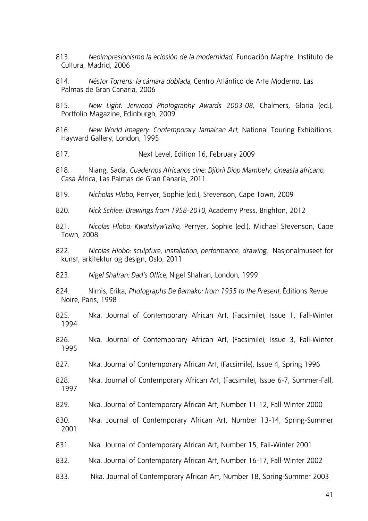- 813. *Neoimpresionismo la eclosión de la modernidad*, Fundación Mapfre, Instituto de Cultura, Madrid, 2006
- 814. *Néstor Torrens: la cámara doblada,* Centro Atlántico de Arte Moderno, Las Palmas de Gran Canaria, 2006
- 815. *New Light: Jerwood Photography Awards 2003-08*, Chalmers, Gloria (ed.), Portfolio Magazine, Edinburgh, 2009
- 816. *New World Imagery: Contemporary Jamaican Art,* National Touring Exhibitions, Hayward Gallery, London, 1995
- 817. Next Level, Edition 16, February 2009
- 818. Niang, Sada, *Cuadernos Africanos cine: Djibril Diop Mambety, cineasta africano,*  Casa África, Las Palmas de Gran Canaria, 2011
- 819. *Nicholas Hlobo*, Perryer, Sophie (ed.), Stevenson, Cape Town, 2009
- 820. *Nick Schlee: Drawings from 1958-2010,* Academy Press, Brighton, 2012
- 821. *Nicolas Hlobo: Kwatsityw'Iziko*, Perryer, Sophie (ed.), Michael Stevenson, Cape Town, 2008
- 822. *Nicolas Hlobo: sculpture, installation, performance, drawing,* Nasjonalmuseet for kunst, arkitektur og design, Oslo, 2011
- 823. *Nigel Shafran: Dad's Office,* Nigel Shafran, London, 1999
- 824. Nimis, Erika, *Photographs De Bamako: from 1935 to the Present,* Éditions Revue Noire, Paris, 1998
- 825. Nka. Journal of Contemporary African Art, (Facsimile), Issue 1, Fall-Winter 1994
- 826. Nka. Journal of Contemporary African Art, (Facsimile), Issue 3, Fall-Winter 1995
- 827. Nka. Journal of Contemporary African Art, (Facsimile), Issue 4, Spring 1996

828. Nka. Journal of Contemporary African Art, (Facsimile), Issue 6-7, Summer-Fall, 1997

- 829. Nka. Journal of Contemporary African Art, Number 11-12, Fall-Winter 2000
- 830. Nka. Journal of Contemporary African Art, Number 13-14, Spring-Summer 2001
- 831. Nka. Journal of Contemporary African Art, Number 15, Fall-Winter 2001
- 832. Nka. Journal of Contemporary African Art, Number 16-17, Fall-Winter 2002
- 833. Nka. Journal of Contemporary African Art, Number 18, Spring-Summer 2003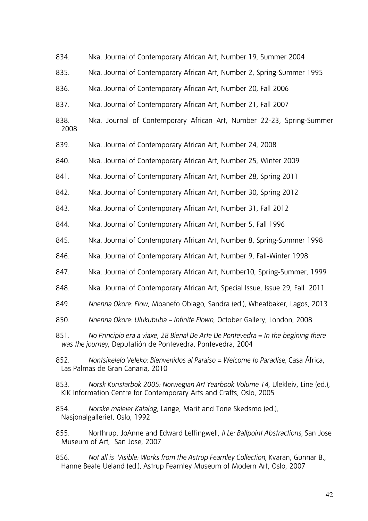- 834. Nka. Journal of Contemporary African Art, Number 19, Summer 2004
- 835. Nka. Journal of Contemporary African Art, Number 2, Spring-Summer 1995
- 836. Nka. Journal of Contemporary African Art, Number 20, Fall 2006
- 837. Nka. Journal of Contemporary African Art, Number 21, Fall 2007
- 838. Nka. Journal of Contemporary African Art, Number 22-23, Spring-Summer 2008
- 839. Nka. Journal of Contemporary African Art, Number 24, 2008
- 840. Nka. Journal of Contemporary African Art, Number 25, Winter 2009
- 841. Nka. Journal of Contemporary African Art, Number 28, Spring 2011
- 842. Nka. Journal of Contemporary African Art, Number 30, Spring 2012
- 843. Nka. Journal of Contemporary African Art, Number 31, Fall 2012
- 844. Nka. Journal of Contemporary African Art, Number 5, Fall 1996
- 845. Nka. Journal of Contemporary African Art, Number 8, Spring-Summer 1998
- 846. Nka. Journal of Contemporary African Art, Number 9, Fall-Winter 1998
- 847. Nka. Journal of Contemporary African Art, Number10, Spring-Summer, 1999
- 848. Nka. Journal of Contemporary African Art, Special Issue, Issue 29, Fall 2011
- 849. *Nnenna Okore: Flow*, Mbanefo Obiago, Sandra (ed.), Wheatbaker, Lagos, 2013
- 850. *Nnenna Okore: Ulukububa Infinite Flown*, October Gallery, London, 2008
- 851. *No Principio era a viaxe, 28 Bienal De Arte De Pontevedra = In the begining there was the journey*, Deputatión de Pontevedra, Pontevedra, 2004
- 852. *Nontsikelelo Veleko: Bienvenidos al Paraiso = Welcome to Paradise,* Casa África, Las Palmas de Gran Canaria, 2010
- 853. *Norsk Kunstarbok 2005: Norwegian Art Yearbook Volume 14*, Ulekleiv, Line (ed.), KIK Information Centre for Contemporary Arts and Crafts, Oslo, 2005
- 854. *Norske maleier Katalog*, Lange, Marit and Tone Skedsmo (ed.), Nasjonalgalleriet, Oslo, 1992
- 855. Northrup, JoAnne and Edward Leffingwell, *Il Le: Ballpoint Abstractions,* San Jose Museum of Art, San Jose, 2007
- 856. Not all is Visible: Works from the Astrup Fearnley Collection, Kvaran, Gunnar B., Hanne Beate Ueland (ed.), Astrup Fearnley Museum of Modern Art, Oslo, 2007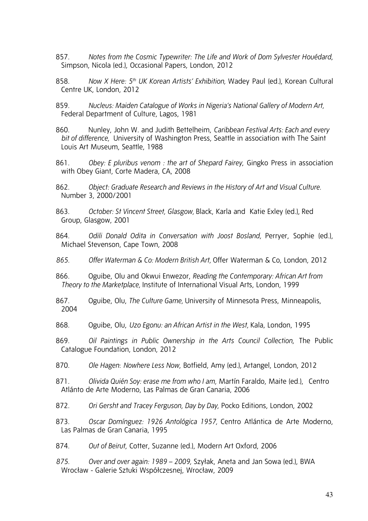- 857. *Notes from the Cosmic Typewriter: The Life and Work of Dom Sylvester Houédard*, Simpson, Nicola (ed.), Occasional Papers, London, 2012
- 858. *Now X Here: 5th UK Korean Artists' Exhibition,* Wadey Paul (ed.), Korean Cultural Centre UK, London, 2012
- 859. *Nucleus: Maiden Catalogue of Works in Nigeria's National Gallery of Modern Art,*  Federal Department of Culture, Lagos, 1981
- 860. Nunley, John W. and Judith Bettelheim, *Caribbean Festival Arts: Each and every bit of difference,* University of Washington Press, Seattle in association with The Saint Louis Art Museum, Seattle, 1988
- 861. *Obey: E pluribus venom : the art of Shepard Fairey*, Gingko Press in association with Obey Giant, Corte Madera, CA, 2008
- 862. *Object: Graduate Research and Reviews in the History of Art and Visual Culture.*  Number 3, 2000/2001
- 863. *October: St Vincent Street, Glasgow,* Black, Karla and Katie Exley (ed.), Red Group, Glasgow, 2001
- 864. *Odili Donald Odita in Conversation with Joost Bosland,* Perryer, Sophie (ed.), Michael Stevenson, Cape Town, 2008
- *865. Offer Waterman & Co: Modern British Art,* Offer Waterman & Co, London, 2012
- 866. Oguibe, Olu and Okwui Enwezor, *Reading the Contemporary: African Art from Theory to the Marketplace,* Institute of International Visual Arts, London, 1999
- 867. Oguibe, Olu, *The Culture Game,* University of Minnesota Press, Minneapolis, 2004
- 868. Oguibe, Olu, *Uzo Egonu: an African Artist in the West,* Kala, London, 1995
- 869. *Oil Paintings in Public Ownership in the Arts Council Collection*, The Public Catalogue Foundation, London, 2012
- 870. *Ole Hagen*: *Nowhere Less Now*, Botfield, Amy (ed.), Artangel, London, 2012
- 871. *Olivida Quién Soy: erase me from who I am,* Martín Faraldo, Maite (ed.),Centro Atlánto de Arte Moderno, Las Palmas de Gran Canaria, 2006
- 872. *Ori Gersht and Tracey Ferguson, Day by Day,* Pocko Editions, London, 2002
- 873. *Oscar Domínguez: 1926 Antológica 1957,* Centro Atlántica de Arte Moderno, Las Palmas de Gran Canaria, 1995
- 874. *Out of Beirut*, Cotter, Suzanne (ed.), Modern Art Oxford, 2006
- *875. Over and over again: 1989 2009,* Szyłak, Aneta and Jan Sowa (ed.), BWA Wrocław - Galerie Sztuki Współczesnej, Wrocław, 2009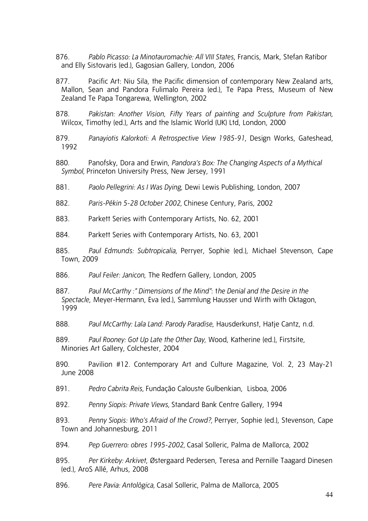- 876. *Pablo Picasso: La Minotauromachie: All VIII States*, Francis, Mark, Stefan Ratibor and Elly Sistovaris (ed.), Gagosian Gallery, London, 2006
- 877. Pacific Art: Niu Sila, the Pacific dimension of contemporary New Zealand arts, Mallon, Sean and Pandora Fulimalo Pereira (ed.), Te Papa Press, Museum of New Zealand Te Papa Tongarewa, Wellington, 2002
- 878. *Pakistan: Another Vision, Fifty Years of painting and Sculpture from Pakistan*, Wilcox, Timothy (ed.), Arts and the Islamic World (UK) Ltd, London, 2000
- 879. *Panayiotis Kalorkoti: A Retrospective View 1985-91*, Design Works, Gateshead, 1992
- 880. Panofsky, Dora and Erwin, *Pandora's Box: The Changing Aspects of a Mythical Symbol,* Princeton University Press, New Jersey, 1991
- 881. *Paolo Pellegrini: As I Was Dying,* Dewi Lewis Publishing, London, 2007
- 882. *Paris-Pékin 5-28 October 2002,* Chinese Century, Paris, 2002
- 883. Parkett Series with Contemporary Artists, No. 62, 2001
- 884. Parkett Series with Contemporary Artists, No. 63, 2001
- 885. *Paul Edmunds: Subtropicalia,* Perryer, Sophie (ed.), Michael Stevenson, Cape Town, 2009
- 886. *Paul Feiler: Janicon*, The Redfern Gallery, London, 2005
- 887. *Paul McCarthy :" Dimensions of the Mind"*: t*he Denial and the Desire in the Spectacle*, Meyer-Hermann, Eva (ed.), Sammlung Hausser und Wirth with Oktagon, 1999
- 888. *Paul McCarthy: Lala Land: Parody Paradise*, Hausderkunst, Hatje Cantz, n.d.
- 889. *Paul Rooney: Got Up Late the Other Day,* Wood, Katherine (ed.), Firstsite, Minories Art Gallery, Colchester, 2004
- 890. Pavilion #12. Contemporary Art and Culture Magazine, Vol. 2, 23 May-21 June 2008
- 891. *Pedro Cabrita Reis,* Fundação Calouste Gulbenkian, Lisboa, 2006
- 892. *Penny Siopis: Private Views,* Standard Bank Centre Gallery, 1994
- 893. *Penny Siopis: Who's Afraid of the Crowd?,* Perryer, Sophie (ed.), Stevenson, Cape Town and Johannesburg, 2011
- 894. *Pep Guerrero: obres 1995-2002,* Casal Solleric, Palma de Mallorca, 2002
- 895. *Per Kirkeby: Arkivet*, Østergaard Pedersen, Teresa and Pernille Taagard Dinesen (ed.), AroS Allé, Arhus, 2008
- 896. *Pere Pavia: Antològica,* Casal Solleric, Palma de Mallorca, 2005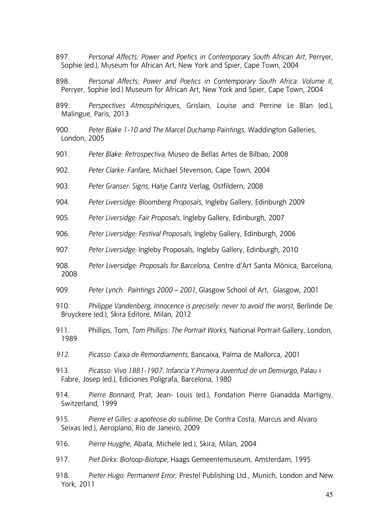897. *Personal Affects: Power and Poetics in Contemporary South African Art,* Perryer, Sophie (ed.), Museum for African Art, New York and Spier, Cape Town, 2004

898. *Personal Affects; Power and Poetics in Contemporary South Africa: Volume II,*  Perryer, Sophie (ed.) Museum for African Art, New York and Spier, Cape Town, 2004

899. *Perspectives Atmosphériques,* Grislain, Louise and Perrine Le Blan (ed.), Malingue, Paris, 2013

900. *Peter Blake 1-10 and The Marcel Duchamp Paintings,* Waddington Galleries, London, 2005

901. *Peter Blake: Retrospectiva,* Museo de Bellas Artes de Bilbao, 2008

902. *Peter Clarke: Fanfare,* Michael Stevenson, Cape Town, 2004

903. *Peter Granser: Signs,* Hatje Cantz Verlag, Ostfildern, 2008

904. *Peter Liversidge: Bloomberg Proposals*, Ingleby Gallery, Edinburgh 2009

905. *Peter Liversidge: Fair Proposals,* Ingleby Gallery, Edinburgh, 2007

906. *Peter Liversidge: Festival Proposals,* Ingleby Gallery, Edinburgh, 2006

907. *Peter Liversidge:* Ingleby Proposals, Ingleby Gallery, Edinburgh, 2010

908. *Peter Liversidge: Proposals for Barcelona*, Centre d'Art Santa Mònica, Barcelona, 2008

909. *Peter Lynch: Paintings 2000 – 2001,* Glasgow School of Art, Glasgow, 2001

910. *Philippe Vandenberg, Innocence is precisely: never to avoid the worst*, Berlinde De Bruyckere (ed.), Skira Editore, Milan, 2012

911. Phillips, Tom*, Tom Phillips: The Portrait Works,* National Portrait Gallery, London, 1989

*912. Picasso: Caixa de Remordiaments,* Bancaixa, Palma de Mallorca, 2001

913. *Picasso: Vivo 1881-1907: Infancia Y Primera Juventud de un Demiurgo,* Palau i Fabre, Josep (ed.), Ediciones Poligrafa, Barcelona, 1980

914. *Pierre Bonnard,* Prat, Jean- Louis (ed.), Fondation Pierre Gianadda Martigny, Switzerland, 1999

915. *Pierre et Gilles: a apoteose do sublime,* De Contra Costa, Marcus and Alvaro Seixas (ed.), Aeroplano, Rio de Janeiro, 2009

916. *Pierre Huyghe,* Abata, Michele (ed.), Skira, Milan, 2004

917. *Piet Dirkx: Biotoop-Biotope,* Haags Gemeentemuseum, Amsterdam, 1995

918. *Pieter Hugo: Permanent Error*, Prestel Publishing Ltd., Munich, London and New York, 2011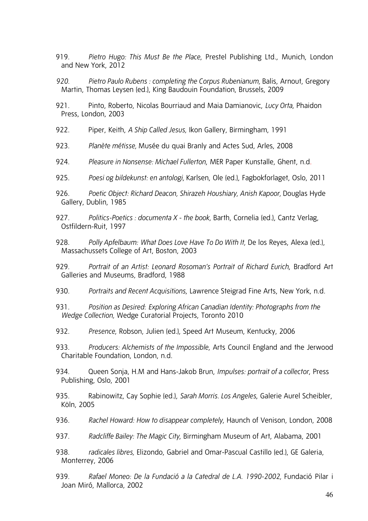- 919. *Pietro Hugo: This Must Be the Place*, Prestel Publishing Ltd., Munich, London and New York, 2012
- *920. Pietro Paulo Rubens : completing the Corpus Rubenianum,* Balis, Arnout, Gregory Martin, Thomas Leysen (ed.), King Baudouin Foundation, Brussels, 2009
- 921. Pinto, Roberto, Nicolas Bourriaud and Maia Damianovic, *Lucy Orta*, Phaidon Press, London, 2003
- 922. Piper, Keith, *A Ship Called Jesus,* Ikon Gallery, Birmingham, 1991
- 923. *Planète métisse,* Musée du quai Branly and Actes Sud, Arles, 2008
- 924. *Pleasure in Nonsense: Michael Fullerton*, MER Paper Kunstalle, Ghent, n.d.
- 925. *Poesi og bildekunst: en antologi,* Karlsen, Ole (ed.), Fagbokforlaget, Oslo, 2011
- 926. *Poetic Object: Richard Deacon, Shirazeh Houshiary, Anish Kapoor,* Douglas Hyde Gallery, Dublin, 1985
- 927. *Politics-Poetics : documenta X the book,* Barth, Cornelia (ed.), Cantz Verlag, Ostfildern-Ruit, 1997
- 928. *Polly Apfelbaum: What Does Love Have To Do With It,* De los Reyes, Alexa (ed.), Massachussets College of Art, Boston, 2003
- 929. *Portrait of an Artist: Leonard Rosoman's Portrait of Richard Eurich*, Bradford Art Galleries and Museums, Bradford, 1988
- 930. *Portraits and Recent Acquisitions*, Lawrence Steigrad Fine Arts, New York, n.d.
- 931. *Position as Desired*: *Exploring African Canadian Identity: Photographs from the Wedge Collection,* Wedge Curatorial Projects, Toronto 2010
- 932. *Presence*, Robson, Julien (ed.), Speed Art Museum, Kentucky, 2006
- 933. *Producers: Alchemists of the Impossible*, Arts Council England and the Jerwood Charitable Foundation, London, n.d.
- 934. Queen Sonja, H.M and Hans-Jakob Brun, *Impulses: portrait of a collector*, Press Publishing, Oslo, 2001
- 935. Rabinowitz, Cay Sophie (ed.), *Sarah Morris. Los Angeles*, Galerie Aurel Scheibler, Köln, 2005
- 936. *Rachel Howard: How to disappear completely*, Haunch of Venison, London, 2008
- 937. *Radcliffe Bailey: The Magic City*, Birmingham Museum of Art, Alabama, 2001
- 938. *radicales libres,* Elizondo, Gabriel and Omar-Pascual Castillo (ed.), GE Galeria, Monterrey, 2006
- 939. *Rafael Moneo: De la Fundació a la Catedral de L.A. 1990-2002,* Fundació Pilar i Joan Miró, Mallorca, 2002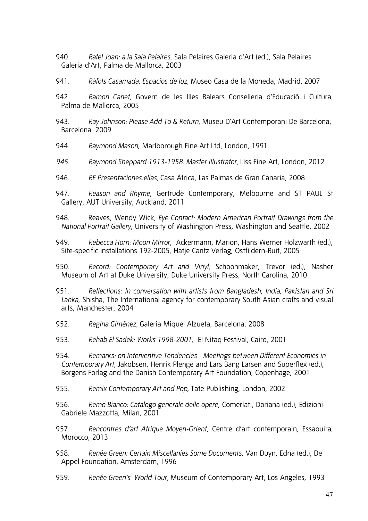- 940. *Rafel Joan: a la Sala Pelaires,* Sala Pelaires Galeria d'Art (ed.), Sala Pelaires Galeria d'Art, Palma de Mallorca, 2003
- 941. *Ràfols Casamada: Espacios de luz,* Museo Casa de la Moneda, Madrid, 2007
- 942. *Ramon Canet*, Govern de les Illes Balears Conselleria d'Educació i Cultura, Palma de Mallorca, 2005
- 943. *Ray Johnson: Please Add To & Return,* Museu D'Art Contemporani De Barcelona, Barcelona, 2009
- 944. *Raymond Mason*, Marlborough Fine Art Ltd, London, 1991
- *945. Raymond Sheppard 1913-1958: Master Illustrator,* Liss Fine Art, London, 2012
- 946. *RE Presentaciones:ellas,* Casa África, Las Palmas de Gran Canaria, 2008
- 947. *Reason and Rhyme*, Gertrude Contemporary, Melbourne and ST PAUL St Gallery, AUT University, Auckland, 2011
- 948. Reaves, Wendy Wick, *Eye Contact: Modern American Portrait Drawings from the National Portrait Gallery*, University of Washington Press, Washington and Seattle, 2002
- 949. *Rebecca Horn: Moon Mirror*, Ackermann, Marion, Hans Werner Holzwarth (ed.), Site-specific installations 192-2005, Hatje Cantz Verlag, Ostfildern-Ruit, 2005
- 950. *Record: Contemporary Art and Vinyl,* Schoonmaker, Trevor (ed.), Nasher Museum of Art at Duke University, Duke University Press, North Carolina, 2010
- 951. *Reflections: In conversation with artists from Bangladesh, India, Pakistan and Sri Lanka*, Shisha, The International agency for contemporary South Asian crafts and visual arts, Manchester, 2004
- 952. *Regina Giménez,* Galeria Miquel Alzueta, Barcelona, 2008
- 953. *Rehab El Sadek: Works 1998-2001*, El Nitaq Festival, Cairo, 2001
- 954. *Remarks: on Interventive Tendencies Meetings between Different Economies in Contemporary Art,* Jakobsen, Henrik Plenge and Lars Bang Larsen and Superflex (ed.), Borgens Forlag and the Danish Contemporary Art Foundation, Copenhage, 2001
- 955. *Remix Contemporary Art and Pop,* Tate Publishing, London, 2002
- 956. *Remo Bianco: Catalogo generale delle opere*, Comerlati, Doriana (ed.), Edizioni Gabriele Mazzotta, Milan, 2001
- 957. *Rencontres d'art Afrique Moyen-Orient*, Centre d'art contemporain, Essaouira, Morocco, 2013
- 958. *Renée Green: Certain Miscellanies Some Documents*, Van Duyn, Edna (ed.), De Appel Foundation, Amsterdam, 1996
- 959. *Renée Green's World Tour,* Museum of Contemporary Art, Los Angeles, 1993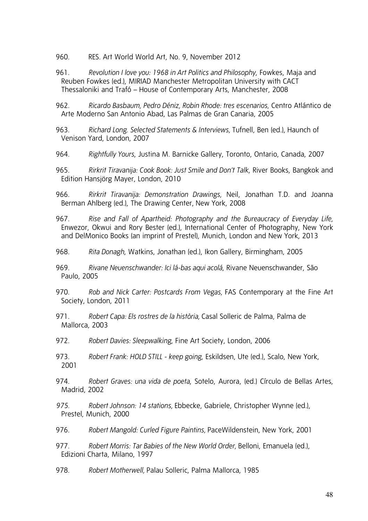- 960. RES. Art World World Art, No. 9, November 2012
- 961. *Revolution I love you: 1968 in Art Politics and Philosophy*, Fowkes, Maja and Reuben Fowkes (ed.), MIRIAD Manchester Metropolitan University with CACT Thessaloniki and Trafó – House of Contemporary Arts, Manchester, 2008

962. *Ricardo Basbaum, Pedro Déniz, Robin Rhode: tres escenarios,* Centro Atlántico de Arte Moderno San Antonio Abad, Las Palmas de Gran Canaria, 2005

963. *Richard Long. Selected Statements & Interviews,* Tufnell, Ben (ed.), Haunch of Venison Yard, London, 2007

- 964. *Rightfully Yours*, Justina M. Barnicke Gallery, Toronto, Ontario, Canada, 2007
- 965. *Rirkrit Tiravanija: Cook Book: Just Smile and Don't Talk*, River Books, Bangkok and Edition Hansjörg Mayer, London, 2010

966. *Rirkrit Tiravanija: Demonstration Drawings,* Neil, Jonathan T.D. and Joanna Berman Ahlberg (ed.), The Drawing Center, New York, 2008

- 967. *Rise and Fall of Apartheid: Photography and the Bureaucracy of Everyday Life*, Enwezor, Okwui and Rory Bester (ed.), International Center of Photography, New York and DelMonico Books (an imprint of Prestel), Munich, London and New York, 2013
- 968. *Rita Donagh*, Watkins, Jonathan (ed.), Ikon Gallery, Birmingham, 2005

969. *Rivane Neuenschwander: Ici lá-bas aqui acolá*, Rivane Neuenschwander, São Paulo, 2005

- 970. *Rob and Nick Carter: Postcards From Vegas,* FAS Contemporary at the Fine Art Society, London, 2011
- 971. *Robert Capa: Els rostres de la història,* Casal Solleric de Palma, Palma de Mallorca, 2003
- 972. *Robert Davies: Sleepwalking*, Fine Art Society, London, 2006
- 973. *Robert Frank: HOLD STILL keep going*, Eskildsen, Ute (ed.), Scalo, New York, 2001
- 974. *Robert Graves: una vida de poeta*, Sotelo, Aurora, (ed.) Círculo de Bellas Artes, Madrid, 2002
- *975. Robert Johnson: 14 stations,* Ebbecke, Gabriele, Christopher Wynne (ed.), Prestel, Munich, 2000
- 976. *Robert Mangold: Curled Figure Paintins,* PaceWildenstein, New York, 2001
- 977. *Robert Morris: Tar Babies of the New World Order,* Belloni, Emanuela (ed.), Edizioni Charta, Milano, 1997
- 978. *Robert Motherwell,* Palau Solleric, Palma Mallorca, 1985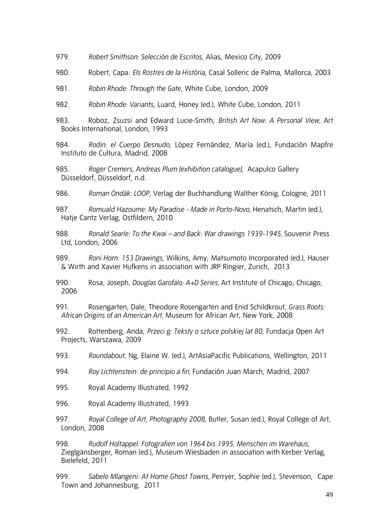979. *Robert Smithson: Selección de Escritos*, Alias, Mexico City, 2009

980. Robert, Capa: *Els Rostres de la Història*, Casal Solleric de Palma, Mallorca, 2003

981. *Robin Rhode: Through the Gate*, White Cube, London, 2009

982. *Robin Rhode: Variants*, Luard, Honey (ed.), White Cube, London, 2011

983. Roboz, Zsuzsi and Edward Lucie-Smith, *British Art Now: A Personal View,* Art Books International, London, 1993

984. *Rodin: el Cuerpo Desnudo*, López Fernández, María (ed.), Fundación Mapfre Instituto de Cultura, Madrid, 2008

985. *Roger Cremers, Andreas Plum [exhibition catalogue],* Acapulco Gallery Düsseldorf, Düsseldorf, n.d.

986. *Roman Ondák: LOOP*, Verlag der Buchhandlung Walther König, Cologne, 2011

987. *Romuald Hazoume: My Paradise - Made in Porto-Novo*, Henatsch, Martin (ed.), Hatje Cantz Verlag, Ostfildern, 2010

988. *Ronald Searle: To the Kwai – and Back: War drawings 1939-1945,* Souvenir Press Ltd, London, 2006

989. *Roni Horn: 153 Drawings,* Wilkins, Amy, Matsumoto Incorporated (ed.), Hauser & Wirth and Xavier Hufkens in association with JRP Ringier, Zurich, 2013

990. Rosa, Joseph*, Douglas Garofalo: A+D Series,* Art Institute of Chicago, Chicago, 2006

991. Rosengarten, Dale, Theodore Rosengarten and Enid Schildkrout, *Grass Roots: African Origins of an American Art,* Museum for African Art, New York, 2008

992. Rottenberg, Anda, *Przeci g: Teksty o sztuce polskiej lat 80*, Fundacja Open Art Projects, Warszawa, 2009

993. *Roundabout*, Ng, Elaine W. (ed.), ArtAsiaPacific Publications, Wellington, 2011

994. *Roy Lichtenstein: de principio a fin,* Fundación Juan March, Madrid, 2007

995. Royal Academy Illustrated, 1992

996. Royal Academy Illustrated, 1993

997. *Royal College of Art, Photography 2008*, Butler, Susan (ed.), Royal College of Art, London, 2008

998. *Rudolf Holtappel: Fotografien von 1964 bis 1995, Menschen im Warehaus,* Zieglgänsberger, Roman (ed.), Museum Wiesbaden in association with Kerber Verlag, Bielefeld, 2011

999. *Sabelo Mlangeni: At Home Ghost Towns,* Perryer, Sophie (ed.), Stevenson, Cape Town and Johannesburg, 2011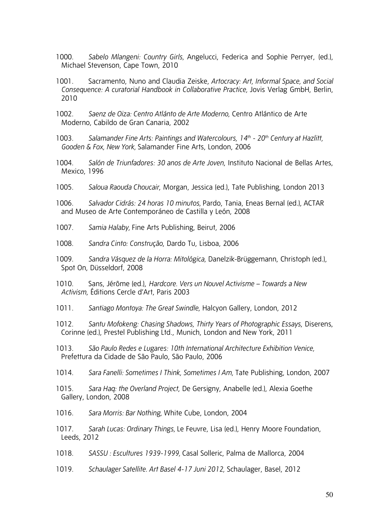- 1000. *Sabelo Mlangeni: Country Girls,* Angelucci, Federica and Sophie Perryer, (ed.), Michael Stevenson, Cape Town, 2010
- 1001. Sacramento, Nuno and Claudia Zeiske, *Artocracy: Art, Informal Space, and Social Consequence: A curatorial Handbook in Collaborative Practice,* Jovis Verlag GmbH, Berlin, 2010
- 1002. *Saenz de Oiza: Centro Atlánto de Arte Moderno,* Centro Atlántico de Arte Moderno, Cabildo de Gran Canaria, 2002
- 1003. *Salamander Fine Arts: Paintings and Watercolours, 14 th 20th Century at Hazlitt, Gooden & Fox, New York,* Salamander Fine Arts, London, 2006
- 1004. *Salón de Triunfadores: 30 anos de Arte Joven*, Instituto Nacional de Bellas Artes, Mexico, 1996
- 1005. *Saloua Raouda Choucair*, Morgan, Jessica (ed.), Tate Publishing, London 2013
- 1006. *Salvador Cidrás: 24 horas 10 minutos,* Pardo, Tania, Eneas Bernal (ed.), ACTAR and Museo de Arte Contemporáneo de Castilla y León, 2008
- 1007. *Samia Halaby,* Fine Arts Publishing, Beirut, 2006
- 1008. *Sandra Cinto: Construção*, Dardo Tu, Lisboa, 2006
- 1009. *Sandra Vásquez de la Horra: Mitológica,* Danelzik-Brüggemann, Christoph (ed.), Spot On, Düsseldorf, 2008
- 1010. Sans, Jérôme (ed.), *Hardcore. Vers un Nouvel Activisme Towards a New Activism*, Éditions Cercle d'Art, Paris 2003
- 1011. *Santiago Montoya: The Great Swindle*, Halcyon Gallery, London, 2012
- 1012. *Santu Mofokeng: Chasing Shadows, Thirty Years of Photographic Essays*, Diserens, Corinne (ed.), Prestel Publishing Ltd., Munich, London and New York, 2011
- 1013. *São Paulo Redes e Lugares: 10th International Architecture Exhibition Venice,* Prefettura da Cidade de São Paulo, São Paulo, 2006
- 1014. *Sara Fanelli: Sometimes I Think, Sometimes I Am,* Tate Publishing, London, 2007
- 1015. *Sara Haq: the Overland Project*, De Gersigny, Anabelle (ed.), Alexia Goethe Gallery, London, 2008
- 1016. *Sara Morris: Bar Nothing,* White Cube, London, 2004
- 1017. *Sarah Lucas: Ordinary Things,* Le Feuvre, Lisa (ed.), Henry Moore Foundation, Leeds, 2012
- 1018. *SASSU : Escultures 1939-1999,* Casal Solleric, Palma de Mallorca, 2004
- 1019. *Schaulager Satellite. Art Basel 4-17 Juni 2012,* Schaulager, Basel, 2012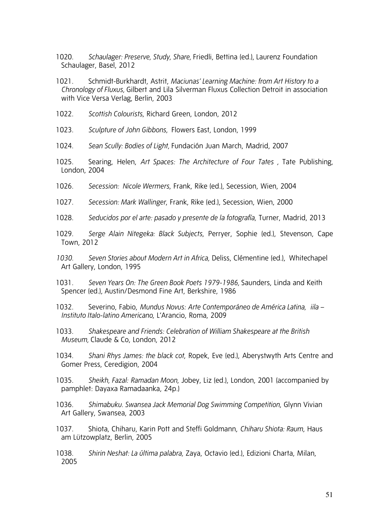1020. *Schaulager: Preserve, Study, Share,* Friedli, Bettina (ed.), Laurenz Foundation Schaulager, Basel, 2012

1021. Schmidt-Burkhardt, Astrit, *Maciunas' Learning Machine: from Art History to a Chronology of Fluxus,* Gilbert and Lila Silverman Fluxus Collection Detroit in association with Vice Versa Verlag, Berlin, 2003

- 1022. *Scottish Colourists*, Richard Green, London, 2012
- 1023. *Sculpture of John Gibbons,* Flowers East, London, 1999
- 1024. *Sean Scully: Bodies of Light,* Fundación Juan March, Madrid, 2007
- 1025. Searing, Helen, *Art Spaces: The Architecture of Four Tates ,* Tate Publishing*,*  London, 2004
- 1026. *Secession: Nicole Wermers*, Frank, Rike (ed.), Secession, Wien, 2004
- 1027. *Secession: Mark Wallinger*, Frank, Rike (ed.), Secession, Wien, 2000
- 1028. *Seducidos por el arte: pasado y presente de la fotografía,* Turner, Madrid, 2013
- 1029. *Serge Alain Nitegeka: Black Subjects*, Perryer, Sophie (ed.), Stevenson, Cape Town, 2012
- *1030. Seven Stories about Modern Art in Africa,* Deliss, Clémentine (ed.),Whitechapel Art Gallery, London, 1995
- 1031. *Seven Years On: The Green Book Poets 1979-1986,* Saunders, Linda and Keith Spencer (ed.), Austin/Desmond Fine Art, Berkshire, 1986
- 1032. Severino, Fabio, *Mundus Novus: Arte Contemporáneo de América Latina, iila Instituto Italo-latino Americano*, L'Arancio, Roma, 2009
- 1033. *Shakespeare and Friends: Celebration of William Shakespeare at the British Museum,* Claude & Co, London, 2012
- 1034. *Shani Rhys James: the black cot*, Ropek, Eve (ed.), Aberystwyth Arts Centre and Gomer Press, Ceredigion, 2004
- 1035. *Sheikh, Fazal: Ramadan Moon*, Jobey, Liz (ed.), London, 2001 (accompanied by pamphlet: Dayaxa Ramadaanka, 24p.)
- 1036. *Shimabuku. Swansea Jack Memorial Dog Swimming Competition*, Glynn Vivian Art Gallery, Swansea, 2003
- 1037. Shiota, Chiharu, Karin Pott and Steffi Goldmann, *Chiharu Shiota: Raum*, Haus am Lützowplatz, Berlin, 2005
- 1038. *Shirin Neshat: La última palabra,* Zaya, Octavio (ed.), Edizioni Charta, Milan, 2005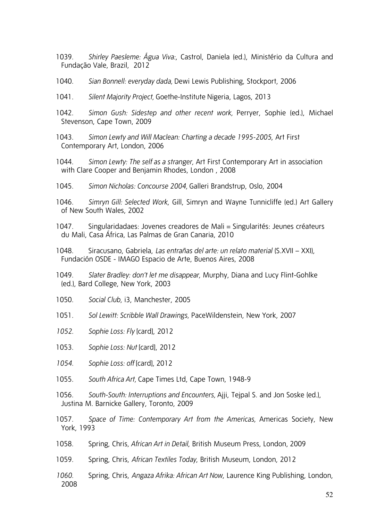- 1039. *Shirley Paesleme: Água Viva:*, Castrol, Daniela (ed.), Ministério da Cultura and Fundação Vale, Brazil, 2012
- 1040. *Sian Bonnell: everyday dada,* Dewi Lewis Publishing, Stockport, 2006
- 1041. *Silent Majority Project,* Goethe-Institute Nigeria, Lagos, 2013
- 1042. *Simon Gush: Sidestep and other recent work,* Perryer, Sophie (ed.), Michael Stevenson, Cape Town, 2009
- 1043. *Simon Lewty and Will Maclean: Charting a decade 1995-2005*, Art First Contemporary Art, London, 2006
- 1044. *Simon Lewty: The self as a stranger,* Art First Contemporary Art in association with Clare Cooper and Benjamin Rhodes, London , 2008
- 1045. *Simon Nicholas: Concourse 2004,* Galleri Brandstrup, Oslo, 2004
- 1046. *Simryn Gill: Selected Work*, Gill, Simryn and Wayne Tunnicliffe (ed.) Art Gallery of New South Wales, 2002
- 1047. Singularidadaes: Jovenes creadores de Mali = Singularités: Jeunes créateurs du Mali, Casa África, Las Palmas de Gran Canaria, 2010
- 1048. Siracusano, Gabriela, *Las entrañas del arte: un relato material* (S.XVII XXI), Fundación OSDE - IMAGO Espacio de Arte, Buenos Aires, 2008
- 1049. *Slater Bradley: don't let me disappear,* Murphy, Diana and Lucy Flint-Gohlke (ed.), Bard College, New York, 2003
- 1050. *Social Club,* i3, Manchester, 2005
- 1051. *Sol Lewitt: Scribble Wall Drawings,* PaceWildenstein, New York, 2007
- *1052. Sophie Loss: Fly* [card], 2012
- 1053. *Sophie Loss: Nut* [card], 2012
- *1054. Sophie Loss: off* [card], 2012
- 1055. *South Africa Art,* Cape Times Ltd, Cape Town, 1948-9
- 1056. *South-South: Interruptions and Encounters,* Ajji, Tejpal S. and Jon Soske (ed.), Justina M. Barnicke Gallery, Toronto, 2009
- 1057. *Space of Time: Contemporary Art from the Americas,* Americas Society, New York, 1993
- 1058. Spring, Chris*, African Art in Detail*, British Museum Press, London, 2009
- 1059. Spring, Chris, *African Textiles Today*, British Museum, London, 2012
- *1060.* Spring, Chris, *Angaza Afrika: African Art Now*, Laurence King Publishing, London, 2008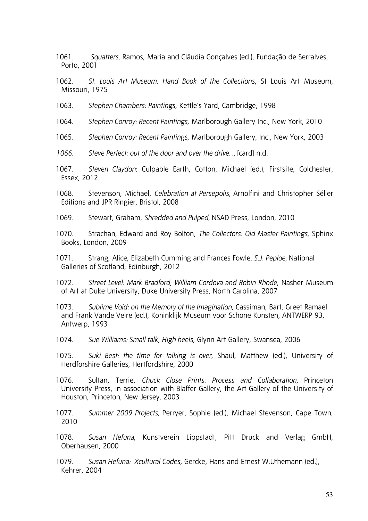1061. *Squatters,* Ramos, Maria and Cláudia Gonçalves (ed.), Fundação de Serralves, Porto, 2001

1062. *St. Louis Art Museum: Hand Book of the Collections*, St Louis Art Museum, Missouri, 1975

- 1063. *Stephen Chambers: Paintings*, Kettle's Yard, Cambridge, 1998
- 1064. *Stephen Conroy: Recent Paintings*, Marlborough Gallery Inc., New York, 2010
- 1065. *Stephen Conroy: Recent Paintings*, Marlborough Gallery, Inc., New York, 2003
- *1066. Steve Perfect: out of the door and over the drive…* [card] n.d*.*
- 1067. *Steven Claydon*: Culpable Earth, Cotton, Michael (ed.), Firstsite, Colchester, Essex, 2012
- 1068. Stevenson, Michael, *Celebration at Persepolis,* Arnolfini and Christopher Séller Editions and JPR Ringier, Bristol, 2008
- 1069. Stewart, Graham, *Shredded and Pulped,* NSAD Press, London, 2010
- 1070. Strachan, Edward and Roy Bolton, *The Collectors: Old Master Paintings*, Sphinx Books, London, 2009
- 1071. Strang, Alice, Elizabeth Cumming and Frances Fowle, *S.J. Peploe,* National Galleries of Scotland, Edinburgh, 2012
- 1072. *Street Level: Mark Bradford, William Cordova and Robin Rhode*, Nasher Museum of Art at Duke University, Duke University Press, North Carolina, 2007
- 1073. *Sublime Void: on the Memory of the Imagination*, Cassiman, Bart, Greet Ramael and Frank Vande Veire (ed.), Koninklijk Museum voor Schone Kunsten, ANTWERP 93, Antwerp, 1993
- 1074. *Sue Williams: Small talk, High heels,* Glynn Art Gallery, Swansea, 2006
- 1075. *Suki Best: the time for talking is over,* Shaul, Matthew (ed.), University of Herdforshire Galleries, Hertfordshire, 2000
- 1076. Sultan, Terrie, *Chuck Close Prints: Process and Collaboration,* Princeton University Press, in association with Blaffer Gallery, the Art Gallery of the University of Houston, Princeton, New Jersey, 2003
- 1077. *Summer 2009 Projects,* Perryer, Sophie (ed.), Michael Stevenson, Cape Town, 2010
- 1078. *Susan Hefuna*, Kunstverein Lippstadt, Pitt Druck and Verlag GmbH, Oberhausen, 2000
- 1079. *Susan Hefuna: Xcultural Codes,* Gercke, Hans and Ernest W.Uthemann (ed.), Kehrer, 2004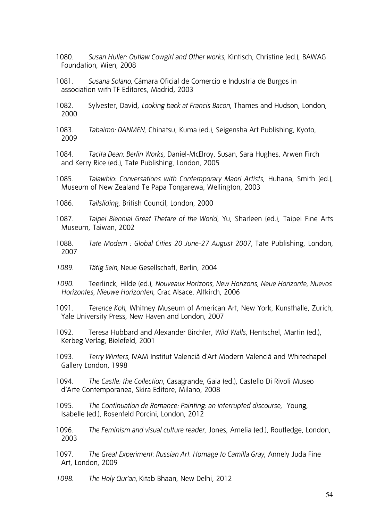- 1080. *Susan Huller: Outlaw Cowgirl and Other works,* Kintisch, Christine (ed.), BAWAG Foundation, Wien, 2008
- 1081. *Susana Solano,* Cámara Oficial de Comercio e Industria de Burgos in association with TF Editores, Madrid, 2003
- 1082. Sylvester, David, *Looking back at Francis Bacon*, Thames and Hudson, London, 2000
- 1083. *Tabaimo: DANMEN*, Chinatsu, Kuma (ed.), Seigensha Art Publishing, Kyoto, 2009
- 1084. *Tacita Dean: Berlin Works,* Daniel-McElroy, Susan, Sara Hughes, Arwen Firch and Kerry Rice (ed.), Tate Publishing, London, 2005
- 1085. *Taiawhio: Conversations with Contemporary Maori Artists*, Huhana, Smith (ed.), Museum of New Zealand Te Papa Tongarewa, Wellington, 2003
- 1086. *Tailsliding*, British Council, London, 2000
- 1087. *Taipei Biennial Great Thetare of the World*, Yu, Sharleen (ed.), Taipei Fine Arts Museum, Taiwan, 2002
- 1088. *Tate Modern : Global Cities 20 June-27 August 2007,* Tate Publishing, London, 2007
- *1089. Tätig Sein,* Neue Gesellschaft, Berlin, 2004
- *1090.* Teerlinck, Hilde (ed.), *Nouveaux Horizons, New Horizons, Neue Horizonte, Nuevos Horizontes, Nieuwe Horizonten*, Crac Alsace, Altkirch, 2006
- 1091. *Terence Koh*, Whitney Museum of American Art, New York, Kunsthalle, Zurich, Yale University Press, New Haven and London, 2007
- 1092. Teresa Hubbard and Alexander Birchler, *Wild Walls,* Hentschel, Martin (ed.), Kerbeg Verlag, Bielefeld, 2001
- 1093. *Terry Winters,* IVAM Institut Valencià d'Art Modern Valencià and Whitechapel Gallery London, 1998
- 1094. *The Castle: the Collection*, Casagrande, Gaia (ed.), Castello Di Rivoli Museo d'Arte Contemporanea, Skira Editore, Milano, 2008
- 1095. *The Continuation de Romance: Painting: an interrupted discourse*, Young, Isabelle (ed.), Rosenfeld Porcini, London, 2012
- 1096. *The Feminism and visual culture reader*, Jones, Amelia (ed.), Routledge, London, 2003
- 1097. *The Great Experiment: Russian Art. Homage to Camilla Gray*, Annely Juda Fine Art, London, 2009
- *1098. The Holy Qur'an,* Kitab Bhaan, New Delhi, 2012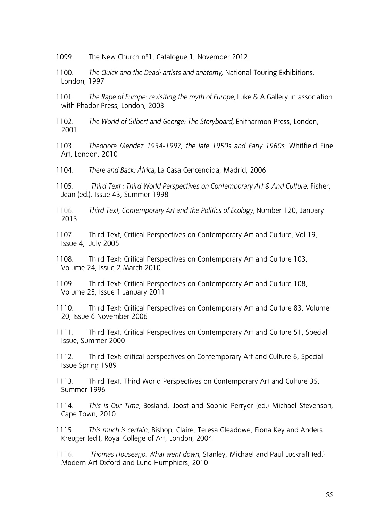- 1099. The New Church nº1, Catalogue 1, November 2012
- 1100. *The Quick and the Dead: artists and anatomy,* National Touring Exhibitions, London, 1997
- 1101. *The Rape of Europe: revisiting the myth of Europe,* Luke & A Gallery in association with Phador Press, London, 2003
- 1102. *The World of Gilbert and George: The Storyboard,* Enitharmon Press, London, 2001
- 1103. *Theodore Mendez 1934-1997, the late 1950s and Early 1960s,* Whitfield Fine Art, London, 2010
- 1104. *There and Back: África,* La Casa Cencendida, Madrid, 2006
- 1105. *Third Text : Third World Perspectives on Contemporary Art & And Culture,* Fisher, Jean (ed.), Issue 43, Summer 1998
- 1106. *Third Text, Contemporary Art and the Politics of Ecology,* Number 120, January 2013
- 1107. Third Text, Critical Perspectives on Contemporary Art and Culture, Vol 19, Issue 4, July 2005
- 1108. Third Text: Critical Perspectives on Contemporary Art and Culture 103, Volume 24, Issue 2 March 2010
- 1109. Third Text: Critical Perspectives on Contemporary Art and Culture 108, Volume 25, Issue 1 January 2011
- 1110. Third Text: Critical Perspectives on Contemporary Art and Culture 83, Volume 20, Issue 6 November 2006
- 1111. Third Text: Critical Perspectives on Contemporary Art and Culture 51, Special Issue, Summer 2000
- 1112. Third Text: critical perspectives on Contemporary Art and Culture 6, Special Issue Spring 1989
- 1113. Third Text: Third World Perspectives on Contemporary Art and Culture 35, Summer 1996
- 1114. *This is Our Time,* Bosland, Joost and Sophie Perryer (ed.) Michael Stevenson, Cape Town, 2010
- 1115. *This much is certain*, Bishop, Claire, Teresa Gleadowe, Fiona Key and Anders Kreuger (ed.), Royal College of Art, London, 2004
- 1116. *Thomas Houseago: What went down*, Stanley, Michael and Paul Luckraft (ed.) Modern Art Oxford and Lund Humphiers, 2010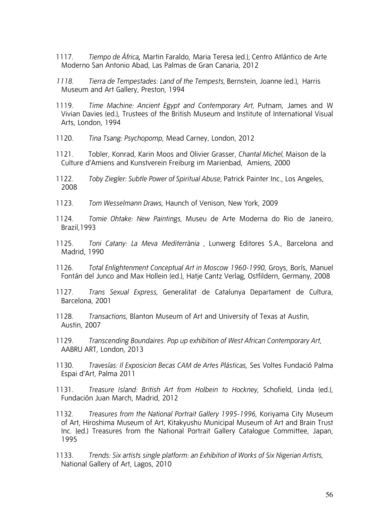- 1117. *Tiempo de África*, Martin Faraldo, Maria Teresa (ed.), Centro Atlántico de Arte Moderno San Antonio Abad, Las Palmas de Gran Canaria, 2012
- *1118. Tierra de Tempestades: Land of the Tempests,* Bernstein, Joanne (ed.)*,* Harris Museum and Art Gallery, Preston, 1994
- 1119. *Time Machine: Ancient Egypt and Contemporary Art,* Putnam, James and W Vivian Davies (ed.), Trustees of the British Museum and Institute of International Visual Arts, London, 1994
- 1120. *Tina Tsang: Psychopomp*, Mead Carney, London, 2012
- 1121. Tobler, Konrad, Karin Moos and Olivier Grasser, *Chantal Michel,* Maison de la Culture d'Amiens and Kunstverein Freiburg im Marienbad, Amiens, 2000
- 1122. *Toby Ziegler: Subtle Power of Spiritual Abuse,* Patrick Painter Inc., Los Angeles, 2008
- 1123. *Tom Wesselmann Draws*, Haunch of Venison, New York, 2009
- 1124. *Tomie Ohtake: New Paintings,* Museu de Arte Moderna do Rio de Janeiro, Brazil,1993
- 1125. *Toni Catany: La Meva Mediterrània ,* Lunwerg Editores S.A., Barcelona and Madrid, 1990
- 1126. *Total Enlightenment Conceptual Art in Moscow 1960-1990*, Groys, Borís, Manuel Fontán del Junco and Max Hollein (ed.), Hatje Cantz Verlag, Ostfildern, Germany, 2008
- 1127. *Trans Sexual Express,* Generalitat de Catalunya Departament de Cultura, Barcelona, 2001
- 1128. *Transactions*, Blanton Museum of Art and University of Texas at Austin, Austin, 2007
- 1129. *Transcending Boundaires. Pop up exhibition of West African Contemporary Art,*  AABRU ART, London, 2013
- 1130. *Travesías: Il Exposicion Becas CAM de Artes Plásticas*, Ses Voltes Fundació Palma Espai d'Art, Palma 2011
- 1131. *Treasure Island: British Art from Holbein to Hockney*, Schofield, Linda (ed.), Fundación Juan March, Madrid, 2012
- 1132. *Treasures from the National Portrait Gallery 1995-1996*, Koriyama City Museum of Art, Hiroshima Museum of Art, Kitakyushu Municipal Museum of Art and Brain Trust Inc. (ed.) Treasures from the National Portrait Gallery Catalogue Committee, Japan, 1995
- 1133. *Trends: Six artists single platform: an Exhibition of Works of Six Nigerian Artists*, National Gallery of Art, Lagos, 2010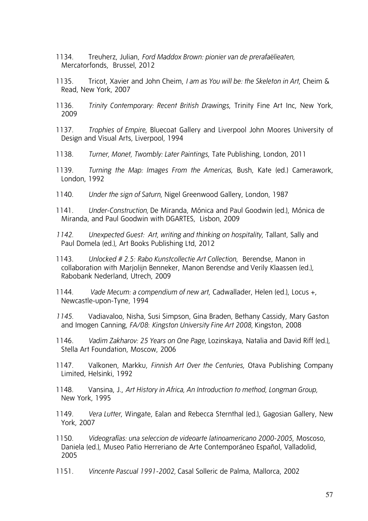- 1134. Treuherz, Julian, *Ford Maddox Brown: pionier van de prerafaëlieaten,*  Mercatorfonds, Brussel, 2012
- 1135. Tricot, Xavier and John Cheim, *I am as You will be: the Skeleton in Art*, Cheim & Read, New York, 2007
- 1136. *Trinity Contemporary: Recent British Drawings*, Trinity Fine Art Inc, New York, 2009
- 1137. *Trophies of Empire*, Bluecoat Gallery and Liverpool John Moores University of Design and Visual Arts, Liverpool, 1994
- 1138. *Turner, Monet, Twombly: Later Paintings*, Tate Publishing, London, 2011
- 1139. *Turning the Map: Images From the Americas*, Bush, Kate (ed.) Camerawork, London, 1992
- 1140. *Under the sign of Saturn*, Nigel Greenwood Gallery, London, 1987
- 1141. *Under-Construction,* De Miranda, Mónica and Paul Goodwin (ed.), Mónica de Miranda, and Paul Goodwin with DGARTES, Lisbon, 2009
- *1142. Unexpected Guest: Art, writing and thinking on hospitality*, Tallant, Sally and Paul Domela (ed.), Art Books Publishing Ltd, 2012
- 1143. *Unlocked # 2.5: Rabo Kunstcollectie Art Collection*, Berendse, Manon in collaboration with Marjolijn Benneker, Manon Berendse and Verily Klaassen (ed.), Rabobank Nederland, Utrech, 2009
- 1144. *Vade Mecum: a compendium of new art*, Cadwallader, Helen (ed.), Locus +, Newcastle-upon-Tyne, 1994
- *1145.* Vadiavaloo, Nisha, Susi Simpson, Gina Braden, Bethany Cassidy, Mary Gaston and Imogen Canning, *FA/08*: *Kingston University Fine Art 2008,* Kingston, 2008
- 1146. *Vadim Zakharov: 25 Years on One Page,* Lozinskaya, Natalia and David Riff (ed.), Stella Art Foundation, Moscow, 2006
- 1147. Valkonen, Markku, *Finnish Art Over the Centuries*, Otava Publishing Company Limited, Helsinki, 1992
- 1148. Vansina, J., *Art History in Africa, An Introduction to method, Longman Group,*  New York, 1995
- 1149. *Vera Lutter*, Wingate, Ealan and Rebecca Sternthal (ed.), Gagosian Gallery, New York, 2007
- 1150. *Videografías: una seleccion de videoarte latinoamericano 2000-2005*, Moscoso, Daniela (ed.), Museo Patio Herreriano de Arte Contemporáneo Español, Valladolid, 2005
- 1151. *Vincente Pascual 1991-2002,* Casal Solleric de Palma, Mallorca, 2002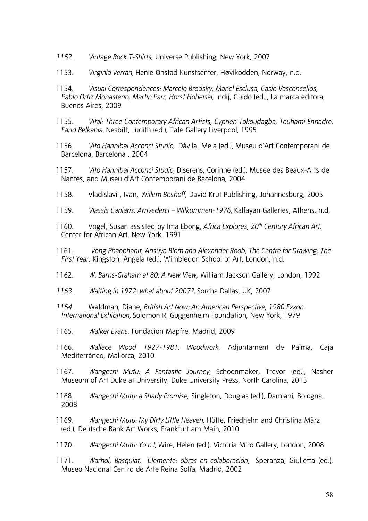- *1152. Vintage Rock T-Shirts*, Universe Publishing, New York, 2007
- 1153. *Virginia Verran,* Henie Onstad Kunstsenter, Høvikodden, Norway, n.d.
- 1154. *Visual Correspondences: Marcelo Brodsky, Manel Esclusa, Casio Vasconcellos, Pablo Ortiz Monasterio, Martin Parr, Horst Hoheisel,* Indij, Guido (ed.), La marca editora, Buenos Aires, 2009
- 1155. *Vital: Three Contemporary African Artists, Cyprien Tokoudagba, Touhami Ennadre, Farid Belkahia,* Nesbitt, Judith (ed.), Tate Gallery Liverpool, 1995
- 1156. *Vito Hannibal Acconci Studio,* Dávila, Mela (ed.), Museu d'Art Contemporani de Barcelona, Barcelona , 2004
- 1157. *Vito Hannibal Acconci Studio,* Diserens, Corinne (ed.), Musee des Beaux-Arts de Nantes, and Museu d'Art Contemporani de Bacelona, 2004
- 1158. Vladislavi , Ivan, *Willem Boshoff*, David Krut Publishing, Johannesburg, 2005
- 1159. *Vlassis Caniaris: Arrivederci Wilkommen-1976,* Kalfayan Galleries, Athens, n.d.
- 1160. Vogel, Susan assisted by Ima Ebong, *Africa Explores, 20th Century African Art,*  Center for African Art, New York, 1991
- 1161. *Vong Phaophanit, Ansuya Blom and Alexander Roob, The Centre for Drawing: The First Year*, Kingston, Angela (ed.), Wimbledon School of Art, London, n.d.
- 1162. *W. Barns-Graham at 80: A New View*, William Jackson Gallery, London, 1992
- *1163. Waiting in 1972: what about 2007?,* Sorcha Dallas, UK, 2007
- *1164.* Waldman, Diane, *British Art Now: An American Perspective, 1980 Exxon International Exhibition,* Solomon R. Guggenheim Foundation, New York, 1979
- 1165. *Walker Evans*, Fundación Mapfre, Madrid, 2009
- 1166. *Wallace Wood 1927-1981: Woodwork*, Adjuntament de Palma, Caja Mediterráneo, Mallorca, 2010
- 1167. *Wangechi Mutu: A Fantastic Journey,* Schoonmaker, Trevor (ed.), Nasher Museum of Art Duke at University, Duke University Press, North Carolina, 2013
- 1168. *Wangechi Mutu: a Shady Promise*, Singleton, Douglas (ed.), Damiani, Bologna, 2008
- 1169. *Wangechi Mutu: My Dirty Little Heaven,* Hütte, Friedhelm and Christina März (ed.), Deutsche Bank Art Works, Frankfurt am Main, 2010
- 1170. *Wangechi Mutu: Yo.n.I,* Wire, Helen (ed.), Victoria Miro Gallery, London, 2008
- 1171. *Warhol, Basquiat, Clemente: obras en colaboración,* Speranza, Giulietta (ed.), Museo Nacional Centro de Arte Reina Sofía, Madrid, 2002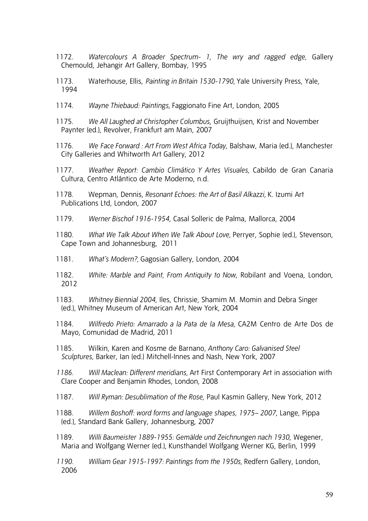- 1172. *Watercolours A Broader Spectrum- 1, The wry and ragged edge,* Gallery Chemould, Jehangir Art Gallery, Bombay, 1995
- 1173. Waterhouse, Ellis, *Painting in Britain 1530-1790,* Yale University Press, Yale, 1994
- 1174. *Wayne Thiebaud: Paintings,* Faggionato Fine Art, London, 2005
- 1175. *We All Laughed at Christopher Columbus*, Gruijthuijsen, Krist and November Paynter (ed.), Revolver, Frankfurt am Main, 2007
- 1176. *We Face Forward : Art From West Africa Today*, Balshaw, Maria (ed.), Manchester City Galleries and Whitworth Art Gallery, 2012
- 1177. *Weather Report: Cambio Climático Y Artes Visuales,* Cabildo de Gran Canaria Cultura, Centro Atlántico de Arte Moderno, n.d.
- 1178. Wepman, Dennis*, Resonant Echoes: the Art of Basil Alkazzi,* K. Izumi Art Publications Ltd, London, 2007
- 1179. *Werner Bischof 1916-1954*, Casal Solleric de Palma, Mallorca, 2004
- 1180. *What We Talk About When We Talk About Love,* Perryer, Sophie (ed.), Stevenson, Cape Town and Johannesburg, 2011
- 1181. *What´s Modern?,* Gagosian Gallery, London, 2004
- 1182. *White: Marble and Paint, From Antiquity to Now*, Robilant and Voena, London, 2012
- 1183. *Whitney Biennial 2004*, Iles, Chrissie, Shamim M. Momin and Debra Singer (ed.), Whitney Museum of American Art, New York, 2004
- 1184. *Wilfredo Prieto: Amarrado a la Pata de la Mesa,* CA2M Centro de Arte Dos de Mayo, Comunidad de Madrid, 2011
- 1185. Wilkin, Karen and Kosme de Barnano*, Anthony Caro: Galvanised Steel Sculptures,* Barker, Ian (ed.) Mitchell-Innes and Nash, New York, 2007
- *1186. Will Maclean: Different meridians,* Art First Contemporary Art in association with Clare Cooper and Benjamin Rhodes, London, 2008
- 1187. *Will Ryman: Desublimation of the Rose*, Paul Kasmin Gallery, New York, 2012
- 1188. *Willem Boshoff: word forms and language shapes, 1975– 2007*, Lange, Pippa (ed.), Standard Bank Gallery, Johannesburg, 2007
- 1189. *Willi Baumeister 1889-1955: Gemälde und Zeichnungen nach 1930*, Wegener, Maria and Wolfgang Werner (ed.), Kunsthandel Wolfgang Werner KG, Berlin, 1999
- *1190. William Gear 1915-1997: Paintings from the 1950s,* Redfern Gallery, London, 2006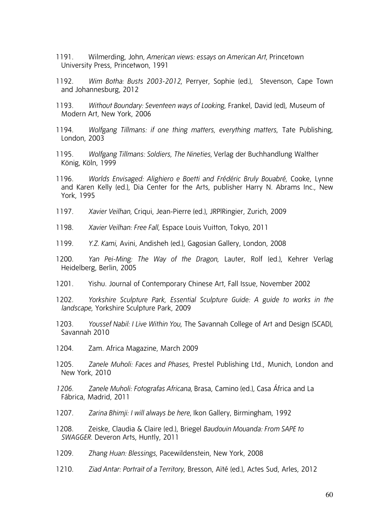- 1191. Wilmerding, John*, American views: essays on American Art,* Princetown University Press, Princetwon, 1991
- 1192. *Wim Botha: Busts 2003-2012*, Perryer, Sophie (ed.), Stevenson, Cape Town and Johannesburg, 2012
- 1193. *Without Boundary: Seventeen ways of Looking,* Frankel, David (ed), Museum of Modern Art, New York, 2006
- 1194. *Wolfgang Tillmans: if one thing matters, everything matters*, Tate Publishing, London, 2003
- 1195. *Wolfgang Tillmans: Soldiers, The Nineties,* Verlag der Buchhandlung Walther König, Köln, 1999
- 1196. *Worlds Envisaged: Alighiero e Boetti and Frédéric Bruly Bouabré,* Cooke, Lynne and Karen Kelly (ed.), Dia Center for the Arts, publisher Harry N. Abrams Inc., New York, 1995
- 1197. *Xavier Veilhan,* Criqui, Jean-Pierre (ed.), JRP|Ringier, Zurich, 2009
- 1198. *Xavier Veilhan: Free Fall*, Espace Louis Vuitton, Tokyo, 2011
- 1199. *Y.Z. Kami*, Avini, Andisheh (ed.), Gagosian Gallery, London, 2008
- 1200. *Yan Pei-Ming: The Way of the Dragon*, Lauter, Rolf (ed.), Kehrer Verlag Heidelberg, Berlin, 2005
- 1201. Yishu. Journal of Contemporary Chinese Art, Fall Issue, November 2002
- 1202. *Yorkshire Sculpture Park, Essential Sculpture Guide: A guide to works in the landscape*, Yorkshire Sculpture Park, 2009
- 1203. *Youssef Nabil: I Live Within You*, The Savannah College of Art and Design (SCAD), Savannah 2010
- 1204. Zam. Africa Magazine, March 2009
- 1205. *Zanele Muholi: Faces and Phases*, Prestel Publishing Ltd., Munich, London and New York, 2010
- *1206. Zanele Muholi: Fotografas Africana,* Brasa, Camino (ed.), Casa África and La Fábrica, Madrid, 2011
- 1207. *Zarina Bhimji: I will always be here,* Ikon Gallery, Birmingham, 1992
- 1208. Zeiske, Claudia & Claire (ed.), Briegel *Baudouin Mouanda: From SAPE to SWAGGER*. Deveron Arts, Huntly, 2011
- 1209. *Zhang Huan: Blessings,* Pacewildenstein, New York, 2008
- 1210. *Ziad Antar: Portrait of a Territory*, Bresson, Aïté (ed.), Actes Sud, Arles, 2012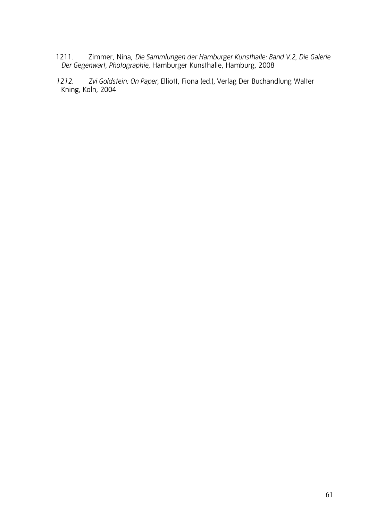- 1211. Zimmer, Nina, *Die Sammlungen der Hamburger Kunsthalle: Band V.2, Die Galerie Der Gegenwart, Photographie*, Hamburger Kunsthalle, Hamburg, 2008
- *1212. Zvi Goldstein: On Paper,* Elliott, Fiona (ed.), Verlag Der Buchandlung Walter Kning, Koln, 2004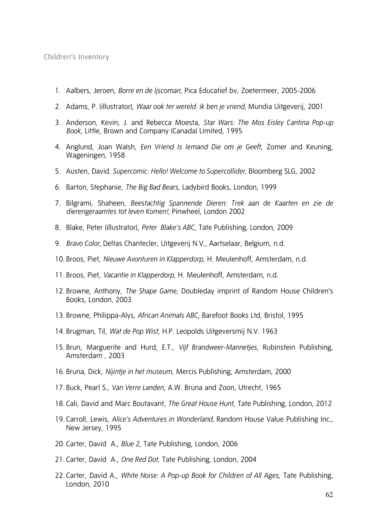## Children's Inventory

- 1. Aalbers, Jeroen, *Borre en de Ijscoman*, Pica Educatief bv, Zoetermeer, 2005-2006
- 2. Adams, P. (illustrator), *Waar ook ter wereld: ik ben je vriend,* Mundia Uitgeverij, 2001
- 3. Anderson, Kevin, J. and Rebecca Moesta, *Star Wars: The Mos Eisley Cantina Pop-up Book*, Little, Brown and Company (Canada) Limited, 1995
- 4. Anglund, Joan Walsh, *Een Vriend Is Iemand Die om je Geeft*, Zomer and Keuning, Wageningen, 1958
- 5. Austen, David*, Supercomic: Hello! Welcome to Supercollider,* Bloomberg SLG, 2002
- 6. Barton, Stephanie, *The Big Bad Bears*, Ladybird Books, London, 1999
- 7. Bilgrami, Shaheen, *Beestachtig Spannende Dieren: Trek aan de Kaarten en zie de dierengeraamtes tot leven Komen!,* Pinwheel, London 2002
- 8. Blake, Peter (illustrator), *Peter Blake's ABC*, Tate Publishing, London, 2009
- 9. *Bravo Color,* Deltas Chantecler, Uitgeverij N.V., Aartselaar, Belgium, n.d.
- 10. Broos, Piet, *Nieuwe Avonturen in Klapperdorp*, H. Meulenhoff, Amsterdam, n.d.
- 11. Broos, Piet, *Vacantie in Klapperdorp*, H. Meulenhoff, Amsterdam, n.d.
- 12. Browne, Anthony, *The Shape Game*, Doubleday imprint of Random House Children's Books, London, 2003
- 13. Browne, Philippa-Alys, *African Animals ABC*, Barefoot Books Ltd, Bristol, 1995
- 14. Brugman, Til, *Wat de Pop Wist*, H.P. Leopolds Uitgeversmij N.V. 1963
- 15. Brun, Marguerite and Hurd, E.T., *Vijf Brandweer-Mannetjes*, Rubinstein Publishing, Amsterdam , 2003
- 16. Bruna, Dick, *Nijintje in het museum*, Mercis Publishing, Amsterdam, 2000
- 17. Buck, Pearl S., *Van Verre Landen*, A.W. Bruna and Zoon, Utrecht, 1965
- 18. Cali, David and Marc Boutavant, *The Great House Hunt*, Tate Publishing, London, 2012
- 19. Carroll, Lewis, *Alice's Adventures in Wonderland,* Random House Value Publishing Inc., New Jersey, 1995
- 20. Carter, David A., *Blue 2*, Tate Publishing, London, 2006
- 21. Carter, David A., *One Red Dot*, Tate Publishing, London, 2004
- 22. Carter, David A., *White Noise: A Pop-up Book for Children of All Ages*, Tate Publishing, London, 2010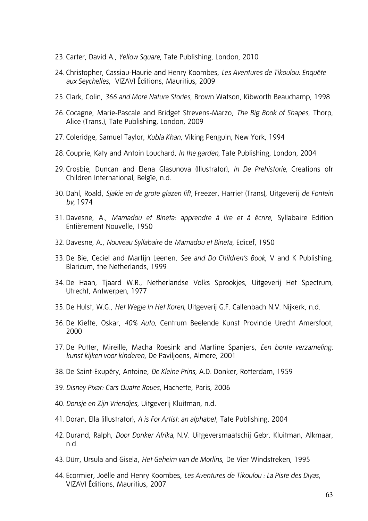- 23. Carter, David A., *Yellow Square*, Tate Publishing, London, 2010
- 24. Christopher, Cassiau-Haurie and Henry Koombes, *Les Aventures de Tikoulou: Enquête aux Seychelles*, VIZAVI Éditions, Mauritius, 2009
- 25. Clark, Colin, *366 and More Nature Stories*, Brown Watson, Kibworth Beauchamp, 1998
- 26. Cocagne, Marie-Pascale and Bridget Strevens-Marzo, *The Big Book of Shapes*, Thorp, Alice (Trans.), Tate Publishing, London, 2009
- 27. Coleridge, Samuel Taylor, *Kubla Khan*, Viking Penguin, New York, 1994
- 28. Couprie, Katy and Antoin Louchard, *In the garden,* Tate Publishing, London, 2004
- 29. Crosbie, Duncan and Elena Glasunova (Illustrator), *In De Prehistorie,* Creations ofr Children International, Belgïe, n.d.
- 30. Dahl, Roald, *Sjakie en de grote glazen lift,* Freezer, Harriet (Trans), Uitgeverij *de Fontein bv,* 1974
- 31. Davesne, A., *Mamadou et Bineta: apprendre à lire et à écrire*, Syllabaire Edition Entièrement Nouvelle, 1950
- 32. Davesne, A., *Nouveau Syllabaire* de *Mamadou et Bineta*, Edicef, 1950
- 33. De Bie, Ceciel and Martijn Leenen, *See and Do Children's Book*, V and K Publishing, Blaricum, the Netherlands, 1999
- 34. De Haan, Tjaard W.R., Netherlandse Volks Sprookjes, Uitgeverij Het Spectrum, Utrecht, Antwerpen, 1977
- 35. De Hulst, W.G., *Het Wegje In Het Koren,* Uitgeverij G.F. Callenbach N.V. Nijkerk, n.d.
- 36. De Kiefte, Oskar, *40% Auto*, Centrum Beelende Kunst Provincie Urecht Amersfoot, 2000
- 37. De Putter, Mireille, Macha Roesink and Martine Spanjers, *Een bonte verzameling: kunst kijken voor kinderen*, De Paviljoens, Almere, 2001
- 38. De Saint-Exupéry, Antoine, *De Kleine Prins*, A.D. Donker, Rotterdam, 1959
- 39. *Disney Pixar: Cars Quatre Roues*, Hachette, Paris, 2006
- 40. *Donsje en Zijn Vriendjes*, Uitgeverij Kluitman, n.d.
- 41. Doran, Ella (illustrator), *A is For Artist: an alphabet*, Tate Publishing, 2004
- 42. Durand, Ralph, *Door Donker Afrika,* N.V. Uitgeversmaatschij Gebr. Kluitman, Alkmaar, n.d.
- 43. Dürr, Ursula and Gisela, *Het Geheim van de Morlins*, De Vier Windstreken, 1995
- 44. Ecormier, Joëlle and Henry Koombes, *Les Aventures de Tikoulou : La Piste des Diyas*, VIZAVI Éditions, Mauritius, 2007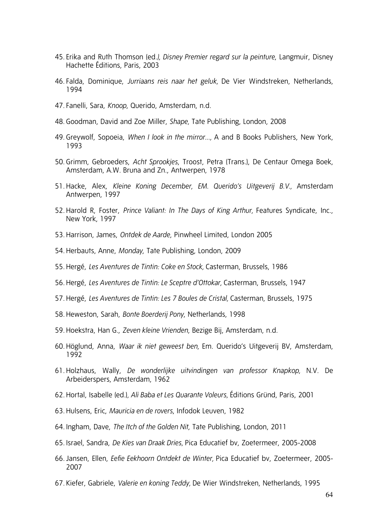- 45. Erika and Ruth Thomson (ed*.), Disney Premier regard sur la peinture*, Langmuir, Disney Hachette Éditions, Paris, 2003
- 46. Falda, Dominique, *Jurriaans reis naar het geluk,* De Vier Windstreken, Netherlands, 1994
- 47. Fanelli, Sara, *Knoop*, Querido, Amsterdam, n.d.
- 48. Goodman, David and Zoe Miller, *Shape,* Tate Publishing, London, 2008
- 49. Greywolf, Sopoeia, *When I look in the mirror...,* A and B Books Publishers, New York, 1993
- 50. Grimm, Gebroeders, *Acht Sprookjes*, Troost, Petra (Trans.), De Centaur Omega Boek, Amsterdam, A.W. Bruna and Zn., Antwerpen, 1978
- 51. Hacke, Alex, *Kleine Koning December, EM. Querido's Uitgeverij B.V.,* Amsterdam Antwerpen, 1997
- 52. Harold R, Foster, *Prince Valiant: In The Days of King Arthur,* Features Syndicate, Inc., New York, 1997
- 53. Harrison, James, *Ontdek de Aarde*, Pinwheel Limited, London 2005
- 54. Herbauts, Anne, *Monday*, Tate Publishing, London, 2009
- 55. Hergé, *Les Aventures de Tintin: Coke en Stock,* Casterman, Brussels, 1986
- 56. Hergé, *Les Aventures de Tintin: Le Sceptre d'Ottokar,* Casterman, Brussels, 1947
- 57. Hergé, *Les Aventures de Tintin: Les 7 Boules de Cristal,* Casterman, Brussels, 1975
- 58. Heweston, Sarah, *Bonte Boerderij Pony*, Netherlands, 1998
- 59. Hoekstra, Han G., *Zeven kleine Vrienden*, Bezige Bij, Amsterdam, n.d.
- 60. Höglund, Anna, *Waar ik niet geweest ben,* Em. Querido's Uitgeverij BV, Amsterdam, 1992
- 61. Holzhaus, Wally, *De wonderlijke uitvindingen van professor Knapkop,* N.V. De Arbeiderspers, Amsterdam, 1962
- 62. Hortal, Isabelle (ed.)*, Ali Baba et Les Quarante Voleurs,* Éditions Gründ, Paris, 2001
- 63. Hulsens, Eric, *Mauricia en de rovers*, Infodok Leuven, 1982
- 64. Ingham, Dave, *The Itch of the Golden Nit*, Tate Publishing, London, 2011
- 65. Israel, Sandra, *De Kies van Draak Dries,* Pica Educatief bv, Zoetermeer, 2005-2008
- 66.Jansen, Ellen, *Eefie Eekhoorn Ontdekt de Winter,* Pica Educatief bv, Zoetermeer, 2005- 2007
- 67. Kiefer, Gabriele, *Valerie en koning Teddy,* De Wier Windstreken, Netherlands, 1995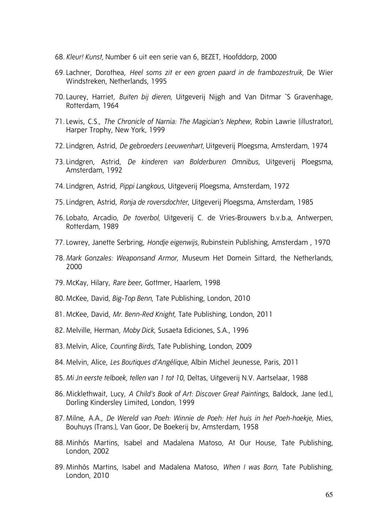- 68. *Kleur! Kunst,* Number 6 uit een serie van 6, BEZET, Hoofddorp, 2000
- 69. Lachner, Dorothea, *Heel soms zit er een groen paard in de frambozestruik,* De Wier Windstreken, Netherlands, 1995
- 70. Laurey, Harriet, *Buiten bij dieren,* Uitgeverij Nijgh and Van Ditmar `S Gravenhage, Rotterdam, 1964
- 71. Lewis, C.S., *The Chronicle of Narnia: The Magician's Nephew*, Robin Lawrie (illustrator), Harper Trophy, New York, 1999
- 72. Lindgren, Astrid, *De gebroeders Leeuwenhart,* Uitgeverij Ploegsma, Amsterdam, 1974
- 73. Lindgren, Astrid, *De kinderen van Bolderburen Omnibus,* Uitgeverij Ploegsma, Amsterdam, 1992
- 74. Lindgren, Astrid, *Pippi Langkous*, Uitgeverij Ploegsma, Amsterdam, 1972
- 75. Lindgren, Astrid, *Ronja de roversdochter*, Uitgeverij Ploegsma, Amsterdam, 1985
- 76. Lobato, Arcadio, *De toverbol,* Uitgeverij C. de Vries-Brouwers b.v.b.a, Antwerpen, Rotterdam, 1989
- 77. Lowrey, Janette Serbring, *Hondje eigenwijs,* Rubinstein Publishing, Amsterdam , 1970
- 78. *Mark Gonzales: Weaponsand Armor*, Museum Het Domein Sittard, the Netherlands, 2000
- 79. McKay, Hilary, *Rare beer*, Gottmer, Haarlem, 1998
- 80. McKee, David*, Big-Top Benn*, Tate Publishing, London, 2010
- 81. McKee, David, *Mr. Benn-Red Knight*, Tate Publishing, London, 2011
- 82. Melville, Herman, *Moby Dick*, Susaeta Ediciones, S.A., 1996
- 83. Melvin, Alice, *Counting Birds*, Tate Publishing, London, 2009
- 84. Melvin, Alice, *Les Boutiques d'Angélique,* Albin Michel Jeunesse, Paris, 2011
- 85. *Mi Jn eerste telboek, tellen van 1 tot 10*, Deltas, Uitgeverij N.V. Aartselaar, 1988
- 86. Micklethwait, Lucy, *A Child's Book of Art: Discover Great Paintings*, Baldock, Jane (ed.), Dorling Kindersley Limited, London, 1999
- 87. Milne, A.A., *De Wereld van Poeh: Winnie de Poeh: Het huis in het Poeh-hoekje,* Mies, Bouhuys (Trans.), Van Goor, De Boekerij bv, Amsterdam, 1958
- 88. Minhós Martins, Isabel and Madalena Matoso, At Our House, Tate Publishing, London, 2002
- 89. Minhós Martins, Isabel and Madalena Matoso, *When I was Born*, Tate Publishing, London, 2010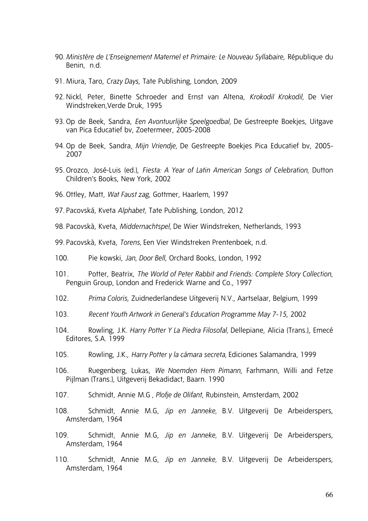- 90. *Ministère de L'Enseignement Maternel et Primaire: Le Nouveau Syllabaire*, République du Benin, n.d.
- 91. Miura, Taro, *Crazy Days*, Tate Publishing, London, 2009
- 92. Nickl, Peter, Binette Schroeder and Ernst van Altena, *Krokodil Krokodil,* De Vier Windstreken,Verde Druk, 1995
- 93. Op de Beek, Sandra, *Een Avontuurlijke Speelgoedbal,* De Gestreepte Boekjes, Uitgave van Pica Educatief bv, Zoetermeer, 2005-2008
- 94. Op de Beek, Sandra*, Mijn Vriendje,* De Gestreepte Boekjes Pica Educatief bv, 2005- 2007
- 95. Orozco, José-Luis (ed.), *Fiesta: A Year of Latin American Songs of Celebration,* Dutton Children's Books, New York, 2002
- 96. Ottley, Matt, *Wat Faust zag*, Gottmer, Haarlem, 1997
- 97. Pacovská, Kveta *Alphabet*, Tate Publishing, London, 2012
- 98. Pacovskà, Kveta, *Middernachtspel,* De Wier Windstreken, Netherlands, 1993
- 99. Pacovskà, Kveta, *Torens,* Een Vier Windstreken Prentenboek, n.d.
- 100. Pie kowski, *Jan, Door Bell*, Orchard Books, London, 1992
- 101. Potter, Beatrix, *The World of Peter Rabbit and Friends: Complete Story Collection*, Penguin Group, London and Frederick Warne and Co., 1997
- 102. *Prima Coloris*, Zuidnederlandese Uitgeverij N.V., Aartselaar, Belgium, 1999
- 103. *Recent Youth Artwork in General's Education Programme May 7-15*, 2002
- 104. Rowling, J.K. *Harry Potter Y La Piedra Filosofal,* Dellepiane, Alicia (Trans.), Emecé Editores, S.A. 1999
- 105. Rowling, J.K., *Harry Potter y la cámara secreta,* Ediciones Salamandra, 1999
- 106. Ruegenberg, Lukas, *We Noemden Hem Pimann*, Farhmann, Willi and Fetze Pijlman (Trans.), Uitgeverij Bekadidact, Baarn. 1990
- 107. Schmidt, Annie M.G *, Plofje de Olifant*, Rubinstein, Amsterdam, 2002
- 108. Schmidt, Annie M.G, *Jip en Janneke,* B.V. Uitgeverij De Arbeiderspers, Amsterdam, 1964
- 109. Schmidt, Annie M.G, *Jip en Janneke,* B.V. Uitgeverij De Arbeiderspers, Amsterdam, 1964
- 110. Schmidt, Annie M.G, *Jip en Janneke,* B.V. Uitgeverij De Arbeiderspers, Amsterdam, 1964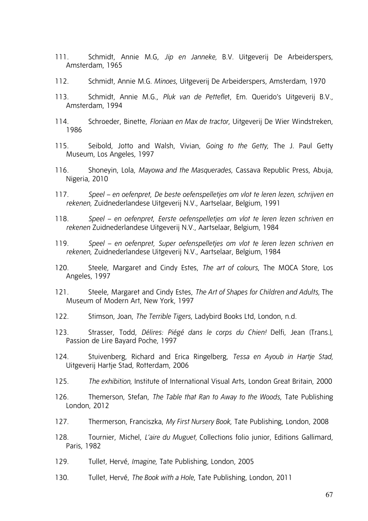- 111. Schmidt, Annie M.G, *Jip en Janneke,* B.V. Uitgeverij De Arbeiderspers, Amsterdam, 1965
- 112. Schmidt, Annie M.G. *Minoes*, Uitgeverij De Arbeiderspers, Amsterdam, 1970
- 113. Schmidt, Annie M.G., *Pluk van de Pettefle*t, Em. Querido's Uitgeverij B.V., Amsterdam, 1994
- 114. Schroeder, Binette, *Floriaan en Max de tractor*, Uitgeverij De Wier Windstreken, 1986
- 115. Seibold, Jotto and Walsh, Vivian, *Going to the Getty*, The J. Paul Getty Museum, Los Angeles, 1997
- 116. Shoneyin, Lola, *Mayowa and the Masquerades*, Cassava Republic Press, Abuja, Nigeria, 2010
- 117. *Speel en oefenpret*, *De beste oefenspelletjes om vlot te leren lezen, schrijven en rekenen,* Zuidnederlandese Uitgeverij N.V., Aartselaar, Belgium, 1991
- 118. *Speel en oefenpret*, *Eerste oefenspelletjes om vlot te leren lezen schriven en rekenen* Zuidnederlandese Uitgeverij N.V., Aartselaar, Belgium, 1984
- 119. *Speel en oefenpret*, *Super oefenspelletjes om vlot te leren lezen schriven en rekenen*, Zuidnederlandese Uitgeverij N.V., Aartselaar, Belgium, 1984
- 120. Steele, Margaret and Cindy Estes, *The art of colours*, The MOCA Store, Los Angeles, 1997
- 121. Steele, Margaret and Cindy Estes, *The Art of Shapes for Children and Adults,* The Museum of Modern Art, New York, 1997
- 122. Stimson, Joan, *The Terrible Tigers*, Ladybird Books Ltd, London, n.d.
- 123. Strasser, Todd, *Délires: Piégé dans le corps du Chien!* Delfi, Jean (Trans.), Passion de Lire Bayard Poche, 1997
- 124. Stuivenberg, Richard and Erica Ringelberg, *Tessa en Ayoub in Hartje Stad,*  Uitgeverij Hartje Stad, Rotterdam, 2006
- 125. *The exhibition*, Institute of International Visual Arts, London Great Britain, 2000
- 126. Themerson, Stefan, *The Table that Ran to Away to the Woods*, Tate Publishing London, 2012
- 127. Thermerson, Franciszka, *My First Nursery Book*, Tate Publishing, London, 2008
- 128. Tournier, Michel, *L'aire du Muguet,* Collections folio junior, Editions Gallimard, Paris, 1982
- 129. Tullet, Hervé, *Imagine*, Tate Publishing, London, 2005
- 130. Tullet, Hervé, *The Book with a Hole*, Tate Publishing, London, 2011